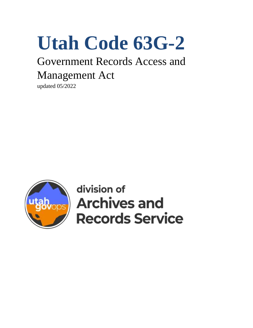# **Utah Code 63G-2**

# Government Records Access and Management Act

updated 05/2022



division of **Archives and Records Service**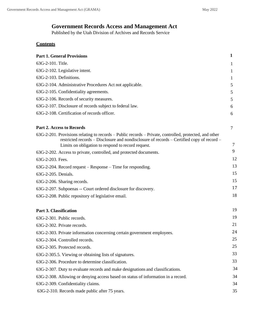# **Government Records Access and Management Act**

Published by the Utah Division of Archives and Records Service

# **Contents**

| <b>Part 1. General Provisions</b>                                                                                                                                                                                                                         | 1  |
|-----------------------------------------------------------------------------------------------------------------------------------------------------------------------------------------------------------------------------------------------------------|----|
| 63G-2-101. Title.                                                                                                                                                                                                                                         | 1  |
| 63G-2-102. Legislative intent.                                                                                                                                                                                                                            | 1  |
| 63G-2-103. Definitions.                                                                                                                                                                                                                                   | T  |
| 63G-2-104. Administrative Procedures Act not applicable.                                                                                                                                                                                                  | 5  |
| 63G-2-105. Confidentiality agreements.                                                                                                                                                                                                                    | 5  |
| 63G-2-106. Records of security measures.                                                                                                                                                                                                                  | 5  |
| 63G-2-107. Disclosure of records subject to federal law.                                                                                                                                                                                                  | 6  |
| 63G-2-108. Certification of records officer.                                                                                                                                                                                                              | 6  |
| <b>Part 2. Access to Records</b>                                                                                                                                                                                                                          | 7  |
| 63G-2-201. Provisions relating to records – Public records – Private, controlled, protected, and other<br>restricted records – Disclosure and nondisclosure of records – Certified copy of record –<br>Limits on obligation to respond to record request. | 7  |
| 63G-2-202. Access to private, controlled, and protected documents.                                                                                                                                                                                        | 9  |
| 63G-2-203. Fees.                                                                                                                                                                                                                                          | 12 |
| 63G-2-204. Record request – Response – Time for responding.                                                                                                                                                                                               | 13 |
| 63G-2-205. Denials.                                                                                                                                                                                                                                       | 15 |
| 63G-2-206. Sharing records.                                                                                                                                                                                                                               | 15 |
| 63G-2-207. Subpoenas -- Court ordered disclosure for discovery.                                                                                                                                                                                           | 17 |
| 63G-2-208. Public repository of legislative email.                                                                                                                                                                                                        | 18 |
| <b>Part 3. Classification</b>                                                                                                                                                                                                                             | 19 |
| 63G-2-301. Public records.                                                                                                                                                                                                                                | 19 |
| 63G-2-302. Private records.                                                                                                                                                                                                                               | 21 |
| 63G-2-303. Private information concerning certain government employees.                                                                                                                                                                                   | 24 |
| 63G-2-304. Controlled records.                                                                                                                                                                                                                            | 25 |
| 63G-2-305. Protected records.                                                                                                                                                                                                                             | 25 |
| 63G-2-305.5. Viewing or obtaining lists of signatures.                                                                                                                                                                                                    | 33 |
| 63G-2-306. Procedure to determine classification.                                                                                                                                                                                                         | 33 |
| 63G-2-307. Duty to evaluate records and make designations and classifications.                                                                                                                                                                            | 34 |
| 63G-2-308. Allowing or denying access based on status of information in a record.                                                                                                                                                                         | 34 |
| 63G-2-309. Confidentiality claims.                                                                                                                                                                                                                        | 34 |
| 63G-2-310. Records made public after 75 years.                                                                                                                                                                                                            | 35 |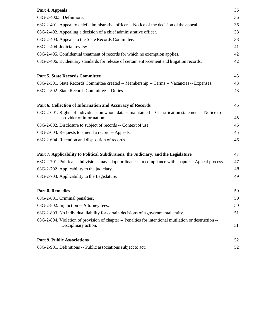| Part 4. Appeals                                                                                                                  | 36 |
|----------------------------------------------------------------------------------------------------------------------------------|----|
| 63G-2-400.5. Definitions.                                                                                                        | 36 |
| 63G-2-401. Appeal to chief administrative officer -- Notice of the decision of the appeal.                                       | 36 |
| 63G-2-402. Appealing a decision of a chief administrative officer.                                                               | 38 |
| 63G-2-403. Appeals to the State Records Committee.                                                                               | 38 |
| 63G-2-404. Judicial review.                                                                                                      | 41 |
| 63G-2-405. Confidential treatment of records for which no exemption applies.                                                     | 42 |
| 63G-2-406. Evidentiary standards for release of certain enforcement and litigation records.                                      | 42 |
| <b>Part 5. State Records Committee</b>                                                                                           | 43 |
| 63G-2-501. State Records Committee created -- Membership -- Terms -- Vacancies -- Expenses.                                      | 43 |
| 63G-2-502. State Records Committee -- Duties.                                                                                    | 43 |
| Part 6. Collection of Information and Accuracy of Records                                                                        | 45 |
| 63G-2-601. Rights of individuals on whom data is maintained -- Classification statement -- Notice to<br>provider of information. | 45 |
| 63G-2-602. Disclosure to subject of records -- Context of use.                                                                   | 45 |
| 63G-2-603. Requests to amend a record -- Appeals.                                                                                | 45 |
| 63G-2-604. Retention and disposition of records.                                                                                 | 46 |
| Part 7. Applicability to Political Subdivisions, the Judiciary, and the Legislature                                              | 47 |
| 63G-2-701. Political subdivisions may adopt ordinances in compliance with chapter -- Appeal process.                             | 47 |
| 63G-2-702. Applicability to the judiciary.                                                                                       | 48 |
| 63G-2-703. Applicability to the Legislature.                                                                                     | 49 |
| <b>Part 8. Remedies</b>                                                                                                          | 50 |
| 63G-2-801. Criminal penalties.                                                                                                   | 50 |
| 63G-2-802. Injunction -- Attorney fees.                                                                                          | 50 |
| 63G-2-803. No individual liability for certain decisions of a governmental entity.                                               | 51 |
| 63G-2-804. Violation of provision of chapter -- Penalties for intentional mutilation or destruction --<br>Disciplinary action.   | 51 |
| <b>Part 9. Public Associations</b>                                                                                               | 52 |
| 63G-2-901. Definitions -- Public associations subject to act.                                                                    | 52 |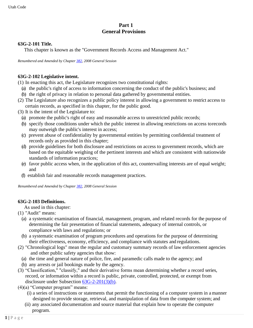# **Part 1 General Provisions**

#### **63G-2-101 Title.**

This chapter is known as the "Government Records Access and Management Act."

*Renumbered and Amended by Chapter [382, 2](http://le.utah.gov/UtahCode/ChapterLookup.jsp?chap=382&sess=2008GS)008 General Session*

#### **63G-2-102 Legislative intent.**

(1) In enacting this act, the Legislature recognizes two constitutional rights:

- (a) the public's right of access to information concerning the conduct of the public's business; and
- (b) the right of privacy in relation to personal data gathered by governmental entities.
- (2) The Legislature also recognizes a public policy interest in allowing a government to restrict access to certain records, as specified in this chapter, for the public good.
- (3) It is the intent of the Legislature to:
	- (a) promote the public's right of easy and reasonable access to unrestricted public records;
	- (b) specify those conditions under which the public interest in allowing restrictions on access torecords may outweigh the public's interest in access;
	- (c) prevent abuse of confidentiality by governmental entities by permitting confidential treatment of records only as provided in this chapter;
	- (d) provide guidelines for both disclosure and restrictions on access to government records, which are based on the equitable weighing of the pertinent interests and which are consistent with nationwide standards of information practices;
	- (e) favor public access when, in the application of this act, countervailing interests are of equal weight; and
	- (f) establish fair and reasonable records management practices.

*Renumbered and Amended by Chapte[r 382, 2](http://le.utah.gov/UtahCode/ChapterLookup.jsp?chap=382&sess=2008GS)008 General Session*

#### **63G-2-103 Definitions.**

As used in this chapter:

- (1) "Audit" means:
	- (a) a systematic examination of financial, management, program, and related records for the purpose of determining the fair presentation of financial statements, adequacy of internal controls, or compliance with laws and regulations; or
	- (b) a systematic examination of program procedures and operations for the purpose of determining their effectiveness, economy, efficiency, and compliance with statutes and regulations.
- (2) "Chronological logs" mean the regular and customary summary records of law enforcement agencies and other public safety agencies that show:
	- (a) the time and general nature of police, fire, and paramedic calls made to the agency; and
	- (b) any arrests or jail bookings made by the agency.
- (3) "Classification," "classify," and their derivative forms mean determining whether a record series, record, or information within a record is public, private, controlled, protected, or exempt from disclosure under Subsection [63G-2-201\(3\)\(b\).](https://le.utah.gov/xcode/Title63G/Chapter2/63G-2-S201.html?v=C63G-2-S201_2019051420190514&63G-2-201(3)(b))
- (4)(a) "Computer program" means:
	- (i) a series of instructions or statements that permit the functioning of a computer system in amanner designed to provide storage, retrieval, and manipulation of data from the computer system; and
	- (ii) any associated documentation and source material that explain how to operate the computer program.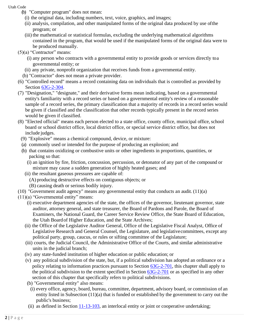- (b) "Computer program" does not mean:
	- (i) the original data, including numbers, text, voice, graphics, and images;
	- (ii) analysis, compilation, and other manipulated forms of the original data produced by use ofthe program; or
	- (iii) the mathematical or statistical formulas, excluding the underlying mathematical algorithms contained in the program, that would be used if the manipulated forms of the original data were to be produced manually.
- $(5)(a)$  "Contractor" means:
	- (i) any person who contracts with a governmental entity to provide goods or services directly toa governmental entity; or
	- (ii) any private, nonprofit organization that receives funds from a governmental entity.
	- (b) "Contractor" does not mean a private provider.
- (6) "Controlled record" means a record containing data on individuals that is controlled as provided by Section [63G-2-304.](https://le.utah.gov/xcode/Title63G/Chapter2/63G-2-S304.html?v=C63G-2-S304_1800010118000101)
- (7) "Designation," "designate," and their derivative forms mean indicating, based on a governmental entity's familiarity with a record series or based on a governmental entity's review of a reasonable sample of a record series, the primary classification that a majority of records in a record series would be given if classified and the classification that other records typically present in the record series would be given if classified.
- (8) "Elected official" means each person elected to a state office, county office, municipal office, school board or school district office, local district office, or special service district office, but does not include judges.
	- (9) "Explosive" means a chemical compound, device, or mixture:
	- (a) commonly used or intended for the purpose of producing an explosion; and
	- (b) that contains oxidizing or combustive units or other ingredients in proportions, quantities, or packing so that:
		- (i) an ignition by fire, friction, concussion, percussion, or detonator of any part of the compound or mixture may cause a sudden generation of highly heated gases; and
	- (ii) the resultant gaseous pressures are capable of:
		- (A) producing destructive effects on contiguous objects; or
		- (B) causing death or serious bodily injury.
- (10) "Government audit agency" means any governmental entity that conducts an audit. (11)(a)
- (11)(a) "Governmental entity" means:
	- (i) executive department agencies of the state, the offices of the governor, lieutenant governor, state auditor, attorney general, and state treasurer, the Board of Pardons and Parole, the Board of Examiners, the National Guard, the Career Service Review Office, the State Board of Education, the Utah Boardof Higher Education, and the State Archives;
	- (ii) the Office of the Legislative Auditor General, Office of the Legislative Fiscal Analyst, Office of Legislative Research and General Counsel, the Legislature, and legislativecommittees, except any political party, group, caucus, or rules or sifting committee of the Legislature;
	- (iii) courts, the Judicial Council, the Administrative Office of the Courts, and similar administrative units in the judicial branch;
	- (iv) any state-funded institution of higher education or public education; or
	- (v) any political subdivision of the state, but, if a political subdivision has adopted an ordinance or a policy relating to information practices pursuant to Section [63G-2-701,](https://le.utah.gov/xcode/Title63G/Chapter2/63G-2-S701.html?v=C63G-2-S701_2019051420190514) this chapter shall apply to the political subdivision to the extent specified in Section [63G-2-701](https://le.utah.gov/xcode/Title63G/Chapter2/63G-2-S701.html?v=C63G-2-S701_2019051420190514) or as specified in any other section of this chapter that specifically refers to political subdivisions.
	- (b) "Governmental entity" also means:
		- (i) every office, agency, board, bureau, committee, department, advisory board, or commission of an entity listed in Subsection (11)(a) that is funded or established by the government to carry out the public's business;
	- (ii) as defined in Section  $11-13-103$ , an interlocal entity or joint or cooperative undertaking;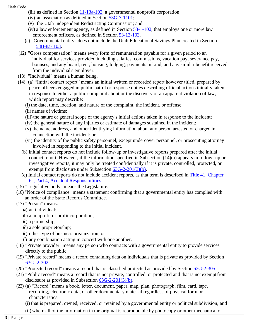- (iii) as defined in Section  $11-13a-102$ , a governmental nonprofit corporation;
	- (iv) an association as defined in Section [53G-7-1101;](https://le.utah.gov/xcode/Title53G/Chapter7/53G-7-S1101.html?v=C53G-7-S1101_2019051420190514)
	- (v) the Utah Independent Redistricting Commission; and
	- (iv) a law enforcement agency, as defined in Section [53-1-102,](https://le.utah.gov/xcode/Title53/Chapter1/53-1-S102.html?v=C53-1-S102_2019051420190514) that employs one or more law enforcement officers, as defined in [Section](https://le.utah.gov/xcode/Title53/Chapter13/53-13-S103.html?v=C53-13-S103_2019051420190514) 53-13-103.
- (c) "Governmental entity" does not include the Utah Educational Savings Plan created in Section [53B-8a-](https://le.utah.gov/xcode/Title53B/Chapter8A/53B-8a-S103.html?v=C53B-8a-S103_2019051420190514) 103.
- (12) "Gross compensation" means every form of remuneration payable for a given period to an individual for services provided including salaries, commissions, vacation pay, severance pay, bonuses, and any board, rent, housing, lodging, payments in kind, and any similar benefit received from the individual's employer.
- (13) "Individual" means a human being.
- (14) (a) "Initial contact report" means an initial written or recorded report however titled, prepared by peace officers engaged in public patrol or response duties describing official actions initially taken in response to either a public complaint about or the discovery of an apparent violation of law, which report may describe:
	- (i) the date, time, location, and nature of the complaint, the incident, or offense;
	- (ii) names of victims;
	- (iii) the nature or general scope of the agency's initial actions taken in response to the incident;
	- (iv) the general nature of any injuries or estimate of damages sustained in the incident;
	- (v) the name, address, and other identifying information about any person arrested or charged in connection with the incident; or
	- (vi) the identity of the public safety personnel, except undercover personnel, or prosecuting attorney involved in responding to the initial incident.
	- (b) Initial contact reports do not include follow-up or investigative reports prepared after the initial contact report. However, if the information specified in Subsection (14)(a) appears in follow- up or investigative reports, it may only be treated confidentially if it is private, controlled, protected, or exempt from disclosure under Subsection [63G-2-201\(3\)\(b\).](https://le.utah.gov/xcode/Title63G/Chapter2/63G-2-S201.html?v=C63G-2-S201_2019051420190514&63G-2-201(3)(b))
	- (c) Initial contact reports do not include accident reports, as that term is described in [Title 41, Chapter](https://le.utah.gov/xcode/Title41/Chapter6A/41-6a-P4.html?v=C41-6a-P4_1800010118000101)  [6a, Part 4, Accident Responsibilities.](https://le.utah.gov/xcode/Title41/Chapter6A/41-6a-P4.html?v=C41-6a-P4_1800010118000101)
- (15) "Legislative body" means the Legislature.
- (16) "Notice of compliance" means a statement confirming that a governmental entity has complied with an order of the State Records Committee.
- (17) "Person" means:
	- (a) an individual;
	- (b) a nonprofit or profit corporation;
	- (c) a partnership;
	- (d) a sole proprietorship;
	- (e) other type of business organization; or
	- (f) any combination acting in concert with one another.
- (18) "Private provider" means any person who contracts with a governmental entity to provide services directly to the public.
- (19) "Private record" means a record containing data on individuals that is private as provided by Section [63G-](https://le.utah.gov/xcode/Title63G/Chapter2/63G-2-S302.html?v=C63G-2-S302_2019051420190514) [2-302.](https://le.utah.gov/xcode/Title63G/Chapter2/63G-2-S302.html?v=C63G-2-S302_2019051420190514)
- (20) "Protected record" means a record that is classified protected as provided by Section [63G-2-305.](https://le.utah.gov/xcode/Title63G/Chapter2/63G-2-S305.html?v=C63G-2-S305_2019051420190514)
- (21) "Public record" means a record that is not private, controlled, or protected and that is not exemptfrom disclosure as provided in Subsection [63G-2-201\(3\)\(b\).](https://le.utah.gov/xcode/Title63G/Chapter2/63G-2-S201.html?v=C63G-2-S201_2019051420190514&63G-2-201(3)(b))
- (22) (a) "Record" means a book, letter, document, paper, map, plan, photograph, film, card, tape, recording, electronic data, or other documentary material regardless of physical form or characteristics:
	- (i) that is prepared, owned, received, or retained by a governmental entity or political subdivision; and
	- (ii) where all of the information in the original is reproducible by photocopy or other mechanical or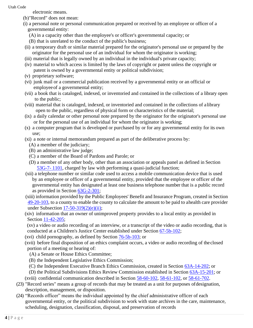electronic means.

- (b)"Record" does not mean:
- (i) a personal note or personal communication prepared or received by an employee or officer of a governmental entity:
	- (A) in a capacity other than the employee's or officer's governmental capacity; or
	- (B) that is unrelated to the conduct of the public's business;
- (ii) a temporary draft or similar material prepared for the originator's personal use or prepared by the originator for the personal use of an individual for whom the originator is working;
- (iii) material that is legally owned by an individual in the individual's private capacity;
- (iv) material to which access is limited by the laws of copyright or patent unless the copyright or patent is owned by a governmental entity or political subdivision;
- (v) proprietary software;
- (vi) junk mail or a commercial publication received by a governmental entity or an official or employeeof a governmental entity;
- (vii) a book that is cataloged, indexed, or inventoried and contained in the collections of a library open to the public;
- (viii) material that is cataloged, indexed, or inventoried and contained in the collections of alibrary open to the public, regardless of physical form or characteristics of the material;
- (ix) a daily calendar or other personal note prepared by the originator for the originator's personal use or for the personal use of an individual for whom the originator is working;
- (x) a computer program that is developed or purchased by or for any governmental entity for its own use;
- (xi) a note or internal memorandum prepared as part of the deliberative process by:
	- (A) a member of the judiciary;
	- (B) an administrative law judge;
	- (C) a member of the Board of Pardons and Parole; or
	- (D) a member of any other body, other than an association or appeals panel as defined in Section [53G-7-](https://le.utah.gov/xcode/Title53G/Chapter7/53G-7-S1101.html?v=C53G-7-S1101_2019051420190514) [1101,](https://le.utah.gov/xcode/Title53G/Chapter7/53G-7-S1101.html?v=C53G-7-S1101_2019051420190514) charged by law with performing a quasi-judicial function;
- (xii) a telephone number or similar code used to access a mobile communication device that is used by an employee or officer of a governmental entity, provided that the employee or officer of the governmental entity has designated at least one business telephone number that is a public record as provided in Section [63G-2-301;](https://le.utah.gov/xcode/Title63G/Chapter2/63G-2-S301.html?v=C63G-2-S301_2018032220180322)
- (xiii) information provided by the Public Employees' Benefit and Insurance Program, created in Section [49-20-103,](https://le.utah.gov/xcode/Title49/Chapter20/49-20-S103.html?v=C49-20-S103_2017050920170701) to a county to enable the county to calculate the amount to be paid to ahealth care provider under Subsection  $17-50-319(2)(e)(ii)$ ;
- (xiv) information that an owner of unimproved property provides to a local entity as provided in Section [11-42-205;](https://le.utah.gov/xcode/Title11/Chapter42/11-42-S205.html?v=C11-42-S205_1800010118000101)
- (xv) a video or audio recording of an interview, or a transcript of the video or audio recording, that is conducted at a Children's Justice Center established under Section [67-5b-102;](https://le.utah.gov/xcode/Title67/Chapter5B/67-5b-S102.html?v=C67-5b-S102_2019051420190514)
- (xvi) child pornography, as defined by Section [76-5b-103;](https://le.utah.gov/xcode/Title76/Chapter5B/76-5b-S103.html?v=C76-5b-S103_1800010118000101) or
- (xvii) before final disposition of an ethics complaint occurs, a video or audio recording of the closed portion of a meeting or hearing of:
	- (A) a Senate or House Ethics Committee;
	- (B) the Independent Legislative Ethics Commission;
	- (C) the Independent Executive Branch Ethics Commission, created in Section [63A-14-202;](https://le.utah.gov/xcode/Title63A/Chapter14/63A-14-S202.html?v=C63A-14-S202_2019051420190514) or
	- (D) the Political Subdivisions Ethics Review Commission established in Section [63A-15-201;](https://le.utah.gov/xcode/Title63A/Chapter15/63A-15-S201.html?v=C63A-15-S201_2019051420190514) or
- (xviii) confidential communication described in Section [58-60-102,](https://le.utah.gov/xcode/Title58/Chapter60/58-60-S102.html?v=C58-60-S102_2021050520210505) [58-61-102,](https://le.utah.gov/xcode/Title58/Chapter61/58-61-S102.html?v=C58-61-S102_1800010118000101) or [58-61-702.](https://le.utah.gov/xcode/Title58/Chapter61/58-61-S702.html?v=C58-61-S702_2015070120150701)
- (23) "Record series" means a group of records that may be treated as a unit for purposes ofdesignation, description, management, or disposition.
- (24) "Records officer" means the individual appointed by the chief administrative officer of each governmental entity, or the political subdivision to work with state archives in the care, maintenance, scheduling, designation, classification, disposal, and preservation of records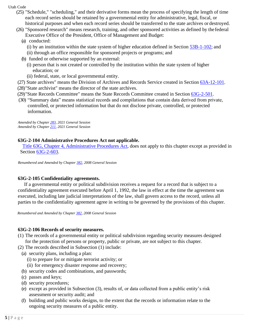- (25) "Schedule," "scheduling," and their derivative forms mean the process of specifying the length of time each record series should be retained by a governmental entity for administrative, legal, fiscal, or historical purposes and when each record series should be transferred to the state archives or destroyed.
- (26) "Sponsored research" means research, training, and other sponsored activities as defined by thefederal Executive Office of the President, Office of Management and Budget:

# (a) conducted:

- (i) by an institution within the state system of higher education defined in Section  $53B-1-102$ ; and
- (ii) through an office responsible for sponsored projects or programs; and
- (b) funded or otherwise supported by an external:
	- (i) person that is not created or controlled by the institution within the state system of higher education; or
	- (ii) federal, state, or local governmental entity.
- (27) State archives" means the Division of Archives and Records Service created in Section [63A-12-101.](https://le.utah.gov/xcode/Title63A/Chapter12/63A-12-S101.html?v=C63A-12-S101_2019051420190514)
- (28)"State archivist" means the director of the state archives.
- (29)"State Records Committee" means the State Records Committee created in Section [63G-2-501.](https://le.utah.gov/xcode/Title63G/Chapter2/63G-2-S501.html?v=C63G-2-S501_2019051420190514)
- (30) "Summary data" means statistical records and compilations that contain data derived from private, controlled, or protected information but that do not disclose private, controlled, or protected information.

*Amended by Chapte[r 283,](https://le.utah.gov/~2021/bills/static/HB0350.html) 2021 General Session Amended by Chapte[r 211,](https://le.utah.gov/~2021/bills/static/SB0060.html) 2021 General Session*

# **63G-2-104 Administrative Procedures Act not applicable.**

[Title 63G, Chapter 4, Administrative Procedures Act, d](http://le.utah.gov/xcode/Title63G/Chapter4/63G-4.html)oes not apply to this chapter except as provided in Section 63G-2-603.

*Renumbered and Amended by Chapte[r 382, 2](http://le.utah.gov/UtahCode/ChapterLookup.jsp?chap=382&sess=2008GS)008 General Session*

#### **63G-2-105 Confidentiality agreements.**

If a governmental entity or political subdivision receives a request for a record that is subject to a confidentiality agreement executed before April 1, 1992, the law in effect at the time the agreement was executed, including late judicial interpretations of the law, shall govern access to the record, unless all parties to the confidentiality agreement agree in writing to be governed by the provisions of this chapter.

*Renumbered and Amended by Chapter [382, 2](http://le.utah.gov/UtahCode/ChapterLookup.jsp?chap=382&sess=2008GS)008 General Session*

#### **63G-2-106 Records of security measures.**

- (1) The records of a governmental entity or political subdivision regarding security measures designed for the protection of persons or property, public or private, are not subject to this chapter.
- (2) The records described in Subsection (1) include:
- (a) security plans, including a plan:
	- (i) to prepare for or mitigate terrorist activity; or
	- (ii) for emergency disaster response and recovery;
- (b) security codes and combinations, and passwords;
- (c) passes and keys;
- (d) security procedures;
- (e) except as provided in Subsection (3), results of, or data collected from a public entity's risk assessment or security audit; and
- (f) building and public works designs, to the extent that the records or information relate to the ongoing security measures of a public entity.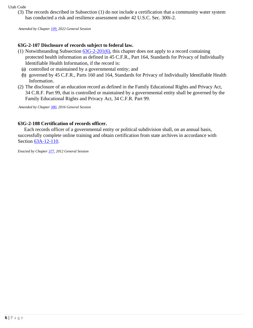(3) The records described in Subsection (1) do not include a certification that a community water system has conducted a risk and resilience assessment under 42 U.S.C. Sec. 300i-2.

*Amended by Chapter [109,](https://le.utah.gov/~2022/bills/static/SB0254.html) 2022 General Session*

# **63G-2-107 Disclosure of records subject to federal law.**

- (1) Notwithstanding Subsection [63G-2-201\(6\),](https://le.utah.gov/xcode/Title63G/Chapter2/63G-2-S201.html?v=C63G-2-S201_2016051020160510&63G-2-201(6)) this chapter does not apply to a record containing protected health information as defined in 45 C.F.R., Part 164, Standards for Privacy of Individually Identifiable Health Information, if the record is:
	- (a) controlled or maintained by a governmental entity; and
	- (b) governed by 45 C.F.R., Parts 160 and 164, Standards for Privacy of Individually Identifiable Health Information.
- (2) The disclosure of an education record as defined in the Family Educational Rights and Privacy Act, 34 C.R.F. Part 99, that is controlled or maintained by a governmental entity shall be governed by the Family Educational Rights and Privacy Act, 34 C.F.R. Part 99.

*Amended by Chapter [380, 2](http://le.utah.gov/UtahCode/ChapterLookup.jsp?chap=380&sess=2016GS)016 General Session*

#### **63G-2-108 Certification of records officer.**

Each records officer of a governmental entity or political subdivision shall, on an annual basis, successfully complete online training and obtain certification from state archives in accordance with Section [63A-12-110.](http://le.utah.gov/xcode/Title63A/Chapter12/63A-12-S110.html)

*Enacted by Chapte[r 377, 2](http://le.utah.gov/UtahCode/ChapterLookup.jsp?chap=377&sess=2012GS)012 General Session*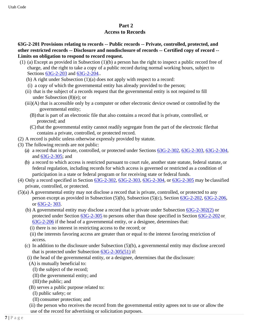# **Part 2**

#### **Access to Records**

**63G-2-201 Provisions relating to records -- Public records -- Private, controlled, protected, and other restricted records -- Disclosure and nondisclosure of records -- Certified copy of record -- Limits on obligation to respond to record request.**

- (1) (a) Except as provided in Subsection (1)(b) a person has the right to inspect a public record free of charge, and the right to take a copy of a public record during normal working hours, subject to Sections [63G-2-203](https://le.utah.gov/xcode/Title63G/Chapter2/63G-2-S203.html?v=C63G-2-S203_2016051020160510) and [63G-2-204..](https://le.utah.gov/xcode/Title63G/Chapter2/63G-2-S204.html?v=C63G-2-S204_2019051420190514)
	- (b) A right under Subsection (1)(a) does not apply with respect to a record:
	- (i) a copy of which the governmental entity has already provided to the person;
	- (ii) that is the subject of a records request that the governmental entity is not required to fill under Subsection (8)(e); or
	- (iii)(A) that is accessible only by a computer or other electronic device owned or controlled by the governmental entity;
		- (B)that is part of an electronic file that also contains a record that is private, controlled, or protected; and
		- (C)that the governmental entity cannot readily segregate from the part of the electronic filethat contains a private, controlled, or protected record.
- (2) A record is public unless otherwise expressly provided by statute.
- (3) The following records are not public:
	- (a) a record that is private, controlled, or protected under Sections [63G-2-302,](https://le.utah.gov/xcode/Title63G/Chapter2/63G-2-S302.html?v=C63G-2-S302_2019051420190514) [63G-2-303,](https://le.utah.gov/xcode/Title63G/Chapter2/63G-2-S303.html?v=C63G-2-S303_2019051420190514) [63G-2-304,](https://le.utah.gov/xcode/Title63G/Chapter2/63G-2-S304.html?v=C63G-2-S304_1800010118000101) and [63G-2-305;](https://le.utah.gov/xcode/Title63G/Chapter2/63G-2-S305.html?v=C63G-2-S305_2019051420190514) and
	- (b) a record to which access is restricted pursuant to court rule, another state statute, federal statute, or federal regulation, including records for which access is governed or restricted as a condition of participation in a state or federal program or for receiving state or federal funds.
- (4) Only a record specified in Section [63G-2-302,](https://le.utah.gov/xcode/Title63G/Chapter2/63G-2-S302.html?v=C63G-2-S302_2019051420190514) [63G-2-303,](https://le.utah.gov/xcode/Title63G/Chapter2/63G-2-S303.html?v=C63G-2-S303_2019051420190514) [63G-2-304,](https://le.utah.gov/xcode/Title63G/Chapter2/63G-2-S304.html?v=C63G-2-S304_1800010118000101) or [63G-2-305](https://le.utah.gov/xcode/Title63G/Chapter2/63G-2-S305.html?v=C63G-2-S305_2019051420190514) may be classified private, controlled, or protected.
- (5)(a) A governmental entity may not disclose a record that is private, controlled, or protected to any person except as provided in Subsection (5)(b), Subsection (5)(c), Section [63G-2-202,](https://le.utah.gov/xcode/Title63G/Chapter2/63G-2-S202.html?v=C63G-2-S202_2019051420190514) [63G-2-206,](https://le.utah.gov/xcode/Title63G/Chapter2/63G-2-S206.html?v=C63G-2-S206_2019051420190514) or [63G-2-](https://le.utah.gov/xcode/Title63G/Chapter2/63G-2-S303.html?v=C63G-2-S303_2019051420190514) [303.](https://le.utah.gov/xcode/Title63G/Chapter2/63G-2-S303.html?v=C63G-2-S303_2019051420190514)
	- (b) A governmental entity may disclose a record that is private under Subsection [63G-2-302\(2\)](https://le.utah.gov/xcode/Title63G/Chapter2/63G-2-S302.html?v=C63G-2-S302_2019051420190514&63G-2-302(2)) or protected under Section [63G-2-305](https://le.utah.gov/xcode/Title63G/Chapter2/63G-2-S305.html?v=C63G-2-S305_2019051420190514) to persons other than those specified in Section [63G-2-202](https://le.utah.gov/xcode/Title63G/Chapter2/63G-2-S202.html?v=C63G-2-S202_2019051420190514) o[r](https://le.utah.gov/xcode/Title63G/Chapter2/63G-2-S206.html?v=C63G-2-S206_2019051420190514) [63G-2-206](https://le.utah.gov/xcode/Title63G/Chapter2/63G-2-S206.html?v=C63G-2-S206_2019051420190514) if the head of a governmental entity, or a designee, determines that:
		- (i) there is no interest in restricting access to the record; or
		- (ii) the interests favoring access are greater than or equal to the interest favoring restriction of access.
	- (c) In addition to the disclosure under Subsection (5)(b), a governmental entity may disclose arecord that is protected under Subsection [63G-2-305\(51\)](https://le.utah.gov/xcode/Title63G/Chapter2/63G-2-S305.html?v=C63G-2-S305_2019051420190514&63G-2-305(51)) if:
		- (i) the head of the governmental entity, or a designee, determines that the disclosure:
		- (A) is mutually beneficial to:
			- (I) the subject of the record;
			- (II) the governmental entity; and
			- (III)the public; and
		- (B) serves a public purpose related to:
			- (I) public safety; or
			- (II) consumer protection; and

(ii) the person who receives the record from the governmental entity agrees not to use or allow the use of the record for advertising or solicitation purposes.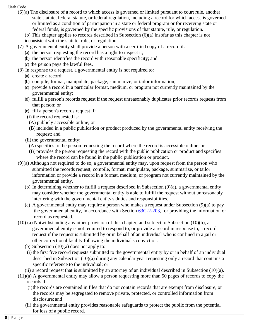- (6)(a) The disclosure of a record to which access is governed or limited pursuant to court rule, another state statute, federal statute, or federal regulation, including a record for which access is governed or limited as a condition of participation in a state or federal program or for receiving state or federal funds, is governed by the specific provisions of that statute, rule, or regulation.
	- (b) This chapter applies to records described in Subsection (6)(a) insofar as this chapter is not
	- inconsistent with the statute, rule, or regulation.
- (7) A governmental entity shall provide a person with a certified copy of a record if:
	- (a) the person requesting the record has a right to inspect it;
	- (b) the person identifies the record with reasonable specificity; and
	- (c) the person pays the lawful fees.
- (8) In response to a request, a governmental entity is not required to:
	- (a) create a record;
	- (b) compile, format, manipulate, package, summarize, or tailor information;
	- (c) provide a record in a particular format, medium, or program not currently maintained by the governmental entity;
	- (d) fulfill a person's records request if the request unreasonably duplicates prior records requests from that person; or
	- (e) fill a person's records request if:
	- (i) the record requested is:
	- (A) publicly accessible online; or
	- (B) included in a public publication or product produced by the governmental entity receiving the request; and
	- (ii) the governmental entity:
		- (A) specifies to the person requesting the record where the record is accessible online; or
	- (B) provides the person requesting the record with the public publication or product and specifies where the record can be found in the public publication or product.
- (9)(a) Although not required to do so, a governmental entity may, upon request from the person who submitted the records request, compile, format, manipulate, package, summarize, or tailor information or provide a record in a format, medium, or program not currently maintained by the governmental entity.
	- (b) In determining whether to fulfill a request described in Subsection (9)(a), a governmental entity may consider whether the governmental entity is able to fulfill the request without unreasonably interfering with the governmental entity's duties and responsibilities.
	- (c) A governmental entity may require a person who makes a request under Subsection (9)(a) to pay the governmental entity, in accordance with Section [63G-2-203, f](https://le.utah.gov/xcode/Title63G/Chapter2/63G-2-S203.html?v=C63G-2-S203_2016051020160510)or providing the information or record as requested.
- (10) (a) Notwithstanding any other provision of this chapter, and subject to Subsection (10)(b), a governmental entity is not required to respond to, or provide a record in response to, a record request if the request is submitted by or in behalf of an individual who is confined in a jail or other correctional facility following the individual's conviction.
	- (b) Subsection  $(10)(a)$  does not apply to:
	- (i) the first five record requests submitted to the governmental entity by or in behalf of an individual described in Subsection (10)(a) during any calendar year requesting only a record that contains a specific reference to the individual; or
	- (ii) a record request that is submitted by an attorney of an individual described in Subsection  $(10)(a)$ .
- (11)(a) A governmental entity may allow a person requesting more than 50 pages of records to copy the records if:
	- (i)the records are contained in files that do not contain records that are exempt from disclosure, or the records may be segregated to remove private, protected, or controlled information from disclosure; and
	- (ii) the governmental entity provides reasonable safeguards to protect the public from the potential for loss of a public record.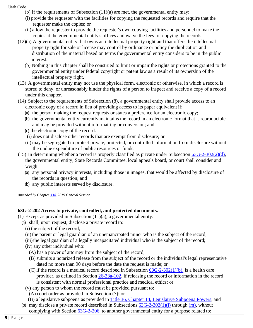- (b) If the requirements of Subsection  $(11)(a)$  are met, the governmental entity may:
- (i) provide the requester with the facilities for copying the requested records and require that the requester make the copies; or
- (ii) allow the requester to provide the requester's own copying facilities and personnel to make the copies at the governmental entity's offices and waive the fees for copying the records.
- (12)(a) A governmental entity that owns an intellectual property right and that offers the intellectual property right for sale or license may control by ordinance or policy the duplication and distribution of the material based on terms the governmental entity considers to be in the public interest.
	- (b) Nothing in this chapter shall be construed to limit or impair the rights or protections granted to the governmental entity under federal copyright or patent law as a result of its ownership of the intellectual property right.
- (13) A governmental entity may not use the physical form, electronic or otherwise, in which a record is stored to deny, or unreasonably hinder the rights of a person to inspect and receive a copy of a record under this chapter.
- (14) Subject to the requirements of Subsection (8), a governmental entity shall provide access to an electronic copy of a record in lieu of providing access to its paper equivalent if:
	- (a) the person making the request requests or states a preference for an electronic copy;
	- (b) the governmental entity currently maintains the record in an electronic format that is reproducible and may be provided without reformatting or conversion; and
	- (c) the electronic copy of the record:
	- (i) does not disclose other records that are exempt from disclosure; or
	- (ii) may be segregated to protect private, protected, or controlled information from disclosure without the undue expenditure of public resources or funds.
- (15) In determining whether a record is properly classified as private under Subsection  $63G-2-302(2)(d)$ , the governmental entity, State Records Committee, local appeals board, or court shall consider and weigh:
	- (a) any personal privacy interests, including those in images, that would be affected by disclosure of the records in question; and
	- (b) any public interests served by disclosure.

*Amended by Chapte[r 334, 2](http://le.utah.gov/UtahCode/ChapterLookup.jsp?chap=334&sess=2019GS)019 General Session*

# **63G-2-202 Access to private, controlled, and protected documents.**

- (1) Except as provided in Subsection (11)(a), a governmental entity:
	- (a) shall, upon request, disclose a private record to:
		- (i) the subject of the record;
		- (ii) the parent or legal guardian of an unemancipated minor who is the subject of the record;
		- (iii) the legal guardian of a legally incapacitated individual who is the subject of the record;
		- (iv) any other individual who:
			- (A) has a power of attorney from the subject of the record;
			- (B)submits a notarized release from the subject of the record or the individual's legal representative dated no more than 90 days before the date the request is made; or
			- (C) if the record is a medical record described in Subsection  $63G-2-302(1)(b)$ , is a health care provider, as defined in Section [26-33a-102, i](https://le.utah.gov/xcode/Title26/Chapter33A/26-33a-S102.html?v=C26-33a-S102_2019051420190514)f releasing the record or information in the record is consistent with normal professional practice and medical ethics; or
		- (v) any person to whom the record must be provided pursuant to:
			- (A) court order as provided in Subsection (7); or
		- (B) a legislative subpoena as provided in [Title 36, Chapter 14, Legislative Subpoena Powers;](https://le.utah.gov/xcode/Title36/Chapter14/36-14.html?v=C36-14_1800010118000101) and
	- (b) may disclose a private record described in Subsections  $63G-2-302(1)(i)$  through  $(m)$ , without complying with Section [63G-2-206, t](https://le.utah.gov/xcode/Title63G/Chapter2/63G-2-S206.html?v=C63G-2-S206_2019051420190514)o another governmental entity for a purpose related to: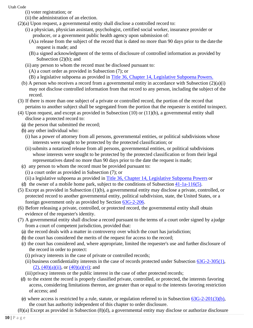- (i) voter registration; or
- (ii) the administration of an election.
- (2)(a) Upon request, a governmental entity shall disclose a controlled record to:
	- (i) a physician, physician assistant, psychologist, certified social worker, insurance provider or producer, or a government public health agency upon submission of:
		- (A) a release from the subject of the record that is dated no more than 90 days prior to the date the request is made; and
		- (B) a signed acknowledgment of the terms of disclosure of controlled information as provided by Subsection (2)(b); and
	- (ii) any person to whom the record must be disclosed pursuant to:
		- (A) a court order as provided in Subsection (7); or
		- (B) a legislative subpoena as provided in [Title 36, Chapter 14, Legislative Subpoena](https://le.utah.gov/xcode/Title36/Chapter14/36-14.html?v=C36-14_1800010118000101) Powers.
	- (b) A person who receives a record from a governmental entity in accordance with Subsection (2)(a)(i) may not disclose controlled information from that record to any person, including the subject of the record.
- (3) If there is more than one subject of a private or controlled record, the portion of the record that pertains to another subject shall be segregated from the portion that the requester is entitled toinspect.
- (4) Upon request, and except as provided in Subsection (10) or (11)(b), a governmental entity shall disclose a protected record to:
	- (a) the person that submitted the record;
	- (b) any other individual who:
		- (i) has a power of attorney from all persons, governmental entities, or political subdivisions whose interests were sought to be protected by the protected classification; or
		- (ii)submits a notarized release from all persons, governmental entities, or political subdivisions whose interests were sought to be protected by the protected classification or from their legal representatives dated no more than 90 days prior to the date the request is made;
	- (c) any person to whom the record must be provided pursuant to:
		- (i) a court order as provided in Subsection (7); or
		- (ii) a legislative subpoena as provided in [Title 36, Chapter 14, Legislative Subpoena Powers](https://le.utah.gov/xcode/Title36/Chapter14/36-14.html?v=C36-14_1800010118000101) or
- (d) the owner of a mobile home park, subject to the conditions of Subsection [41-1a-116\(5\).](https://le.utah.gov/xcode/Title41/Chapter1A/41-1a-S116.html?v=C41-1a-S116_2019051420190514&41-1a-116(5))
- (5) Except as provided in Subsection (1)(b), a governmental entity may disclose a private, controlled, or protected record to another governmental entity, political subdivision, state, the United States, or a foreign government only as provided by Section [63G-2-206.](https://le.utah.gov/xcode/Title63G/Chapter2/63G-2-S206.html?v=C63G-2-S206_2019051420190514)
- (6) Before releasing a private, controlled, or protected record, the governmental entity shall obtain evidence of the requester's identity.
- (7) A governmental entity shall disclose a record pursuant to the terms of a court order signed by ajudge from a court of competent jurisdiction, provided that:
	- (a) the record deals with a matter in controversy over which the court has jurisdiction;
	- (b) the court has considered the merits of the request for access to the record;
	- (c) the court has considered and, where appropriate, limited the requester's use and further disclosure of the record in order to protect:
		- (i) privacy interests in the case of private or controlled records;
		- (ii) business confidentiality interests in the case of records protected under Subsection  $63G-2-305(1)$ ,  $(2)$ ,  $(40)(a)(ii)$ , or  $(40)(a)(vi)$ ; and
	- (iii)privacy interests or the public interest in the case of other protected records;
	- (d) to the extent the record is properly classified private, controlled, or protected, the interests favoring access, considering limitations thereon, are greater than or equal to the interests favoring restriction of access; and
	- (e) where access is restricted by a rule, statute, or regulation referred to in Subsection [63G-2-201\(3\)\(b\),](https://le.utah.gov/xcode/Title63G/Chapter2/63G-2-S201.html?v=C63G-2-S201_2019051420190514&63G-2-201(3)(b)) the court has authority independent of this chapter to order disclosure.
- (8)(a) Except as provided in Subsection (8)(d), a governmental entity may disclose or authorize disclosure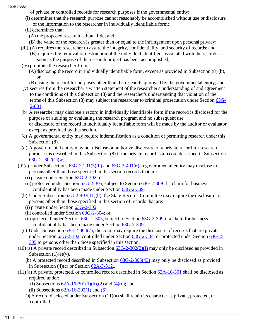- of private or controlled records for research purposes if the governmental entity:
- (i) determines that the research purpose cannot reasonably be accomplished without use or disclosure of the information to the researcher in individually identifiable form;
- (ii) determines that:
	- (A) the proposed research is bona fide; and
- (B) the value of the research is greater than or equal to the infringement upon personal privacy;
- (iii) (A) requires the researcher to assure the integrity, confidentiality, and security of records; and
	- (B) requires the removal or destruction of the individual identifiers associated with the records as soon as the purpose of the research project has been accomplished;
- (iv) prohibits the researcher from:
	- (A)disclosing the record in individually identifiable form, except as provided in Subsection (8) (b); or
	- (B) using the record for purposes other than the research approved by the governmental entity; and
- (v) secures from the researcher a written statement of the researcher's understanding of and agreement to the conditions of this Subsection (8) and the researcher's understanding that violation of the terms of this Subsection (8) may subject the researcher to criminal prosecution under Section [63G-](https://le.utah.gov/xcode/Title63G/Chapter2/63G-2-S801.html?v=C63G-2-S801_2019051420190514)[2-801.](https://le.utah.gov/xcode/Title63G/Chapter2/63G-2-S801.html?v=C63G-2-S801_2019051420190514)
- (b) A researcher may disclose a record in individually identifiable form if the record is disclosed for the purpose of auditing or evaluating the research program and no subsequent use or disclosure of the record in individually identifiable form will be made by the auditor or evaluator except as provided by this section.
- (c) A governmental entity may require indemnification as a condition of permitting research under this Subsection (8).
- (d) A governmental entity may not disclose or authorize disclosure of a private record for research purposes as described in this Subsection (8) if the private record is a record described in Subsection [63G-2-](https://le.utah.gov/xcode/Title63G/Chapter2/63G-2-S302.html?v=C63G-2-S302_2020051220200512&63G-2-302(1))  $302(1)(w)$ .
- (9)(a) Under Subsections  $63G-2-201(5)$  and  $63G-2-401(6)$ , a governmental entity may disclose to persons other than those specified in this section records that are:
	- (i) private under Section  $63G-2-302$ ; or
	- (ii) protected under Section  $63G-2-305$ , subject to Section  $63G-2-309$  if a claim for business confidentiality has been made under Section [63G-2-309.](https://le.utah.gov/xcode/Title63G/Chapter2/63G-2-S309.html?v=C63G-2-S309_2019051420190514)
	- (b) Under Subsection [63G-2-403\(11\)\(b\),](https://le.utah.gov/xcode/Title63G/Chapter2/63G-2-S403.html?v=C63G-2-S403_2019051420190514&63G-2-403(11)(b)) the State Records Committee may require the disclosure to persons other than those specified in this section of records that are:
		- (i) private under Section [63G-2-302;](https://le.utah.gov/xcode/Title63G/Chapter2/63G-2-S302.html?v=C63G-2-S302_2019051420190514)
		- (ii) controlled under Section [63G-2-304;](https://le.utah.gov/xcode/Title63G/Chapter2/63G-2-S304.html?v=C63G-2-S304_1800010118000101) or
		- (iii)protected under Section  $\underline{63G-2-305}$ , subject to Section  $\underline{63G-2-309}$  $\underline{63G-2-309}$  $\underline{63G-2-309}$  if a claim for business confidentiality has been made under Section [63G-2-309](https://le.utah.gov/xcode/Title63G/Chapter2/63G-2-S309.html?v=C63G-2-S309_2019051420190514) .
	- (c) Under Subsection [63G-2-404\(7\), t](https://le.utah.gov/xcode/Title63G/Chapter2/63G-2-S404.html?v=C63G-2-S404_2019051420190514&63G-2-404(7))he court may require the disclosure of records that are private under Section [63G-2-302,](https://le.utah.gov/xcode/Title63G/Chapter2/63G-2-S302.html?v=C63G-2-S302_2019051420190514) controlled under Section [63G-2-304,](https://le.utah.gov/xcode/Title63G/Chapter2/63G-2-S304.html?v=C63G-2-S304_1800010118000101) or protected under Section [63G-2-](https://le.utah.gov/xcode/Title63G/Chapter2/63G-2-S305.html?v=C63G-2-S305_2019051420190514) [305](https://le.utah.gov/xcode/Title63G/Chapter2/63G-2-S305.html?v=C63G-2-S305_2019051420190514) to persons other than those specified in this section.
- $(10)(a)$  A private record described in Subsection  $63G-2-302(2)(f)$  may only be disclosed as provided in Subsection  $(1)(a)(v)$ .
	- (b) A protected record described in Subsection [63G-2-305\(43\)](https://le.utah.gov/xcode/Title63G/Chapter2/63G-2-S305.html?v=C63G-2-S305_2019051420190514&63G-2-305(43)) may only be disclosed as provided in Subsection  $(4)(c)$  or Section  $62A-3-312$ ...
- (11)(a) A private, protected, or controlled record described in Section [62A-16-301](https://le.utah.gov/xcode/Title62A/Chapter16/62A-16-S301.html?v=C62A-16-S301_2019051420190514) shall be disclosed as required under:
	- (i) Subsections  $62A-16-301(1)(b),(2)$  and  $(4)(c)$ ; and
	- (ii) Subsections  $62A-16-302(1)$  and  $(6)$ .
	- (b) A record disclosed under Subsection (11)(a) shall retain its character as private, protected, or controlled.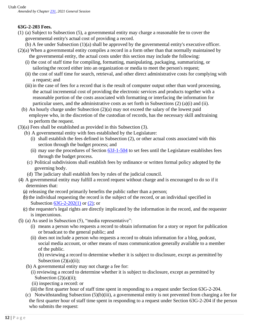# **63G-2-203 Fees.**

- (1) (a) Subject to Subsection (5), a governmental entity may charge a reasonable fee to cover the governmental entity's actual cost of providing a record.
	- (b) A fee under Subsection (1)(a) shall be approved by the governmental entity's executive officer.
- (2)(a) When a governmental entity compiles a record in a form other than that normally maintained by the governmental entity, the actual costs under this section may include the following:
	- (i) the cost of staff time for compiling, formatting, manipulating, packaging, summarizing, or tailoringthe record either into an organization or media to meet the person's request;
	- (ii) the cost of staff time for search, retrieval, and other direct administrative costs for complying with a request; and
	- (iii) in the case of fees for a record that is the result of computer output other than word processing, the actual incremental cost of providing the electronic services and products together with a reasonable portion of the costs associated with formatting or interfacing the information for particular users, and the administrative costs as set forth in Subsections (2) (a)(i) and (ii).
	- (b) An hourly charge under Subsection (2)(a) may not exceed the salary of the lowest paid employee who, in the discretion of the custodian of records, has the necessary skill andtraining to perform the request.
- (3)(a) Fees shall be established as provided in this Subsection (3).
	- (b) A governmental entity with fees established by the Legislature:
		- (i) shall establish the fees defined in Subsection (2), or other actual costs associated with this section through the budget process; and
		- (ii) may use the procedures of Section  $63J-1-504$  to set fees until the Legislature establishes fees through the budget process.
		- (c) Political subdivisions shall establish fees by ordinance or written formal policy adopted by the governing body.
		- (d) The judiciary shall establish fees by rules of the judicial council.
- (4) A governmental entity may fulfill a record request without charge and is encouraged to do so if it determines that:
	- (a) releasing the record primarily benefits the public rather than a person;
	- (b) the individual requesting the record is the subject of the record, or an individual specified in Subsection [63G-2-202\(1\)](https://le.utah.gov/xcode/Title63G/Chapter2/63G-2-S202.html?v=C63G-2-S202_2016051020160510&63G-2-202(1)) or [\(2\);](https://le.utah.gov/xcode/Title63G/Chapter2/63G-2-S202.html?v=C63G-2-S202_2016051020160510&63G-2-202(2)) or
	- (c) the requester's legal rights are directly implicated by the information in the record, and the requester is impecunious.
- (5) (a) As used in Subsection (5), "media representative":
	- (i) means a person who requests a record to obtain information for a story or report for publication or broadcast to the general public; and
	- (ii) does not include a person who requests a record to obtain information for a blog, podcast, social media account, or other means of mass communication generally available to a member of the public.

(b) reviewing a record to determine whether it is subject to disclosure, except as permitted by Subsection  $(2)(a)(ii)$ ;

- (b) A governmental entity may not charge a fee for:
	- (i) reviewing a record to determine whether it is subject to disclosure, except as permitted by Subsection  $(2)(a)(ii)$ ;
	- (ii) inspecting a record: or
	- (iii) the first quarter hour of staff time spent in responding to a request under Section 63G-2-204.
- (c) Notwithstanding Subsection (5)(b)(iii), a governmental entity is not prevented from charging a fee for the first quarter hour of staff time spent in responding to a request under Section 63G-2-204 if the person who submits the request: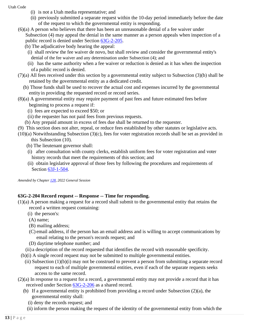- (i) is not a Utah media representative; and
	- (ii) previously submitted a separate request within the 10-day period immediately before the date of the request to which the governmental entity is responding.
- (6)(a) A person who believes that there has been an unreasonable denial of a fee waiver under Subsection (4) may appeal the denial in the same manner as a person appeals when inspection of a public record is denied under Section [63G-2-205.](https://le.utah.gov/xcode/Title63G/Chapter2/63G-2-S205.html?v=C63G-2-S205_1800010118000101)

(b) The adjudicative body hearing the appeal:

- (i) shall review the fee waiver de novo, but shall review and consider the governmental entity's denial of the fee waiver and any determination under Subsection (4); and
- (ii) has the same authority when a fee waiver or reduction is denied as it has when the inspection of a public record is denied.
- (7)(a) All fees received under this section by a governmental entity subject to Subsection (3)(b) shall be retained by the governmental entity as a dedicated credit.
	- (b) Those funds shall be used to recover the actual cost and expenses incurred by the governmental entityin providing the requested record or record series.
- (8)(a) A governmental entity may require payment of past fees and future estimated fees before beginning to process a request if:
	- (i) fees are expected to exceed \$50; or
	- (ii) the requester has not paid fees from previous requests.
	- (b) Any prepaid amount in excess of fees due shall be returned to the requester.
- (9) This section does not alter, repeal, or reduce fees established by other statutes or legislative acts.
- (10)(a) Notwithstanding Subsection (3)(c), fees for voter registration records shall be set as provided in this Subsection (10).
	- (b) The lieutenant governor shall:
	- (i) after consultation with county clerks, establish uniform fees for voter registration and voter history records that meet the requirements of this section; and
	- (ii) obtain legislative approval of those fees by following the procedures and requirements of Section [63J-1-504.](https://le.utah.gov/xcode/Title63J/Chapter1/63J-1-S504.html?v=C63J-1-S504_1800010118000101)

*Amended by Chapte[r 128,](https://le.utah.gov/~2022/bills/static/HB0096.html) 2022 General Session*

# **63G-2-204 Record request -- Response -- Time for responding.**

- (1)(a) A person making a request for a record shall submit to the governmental entity that retains the record a written request containing:
	- (i) the person's:
	- (A) name;
	- (B) mailing address;
	- (C) email address, if the person has an email address and is willing to accept communications by email relating to the person's records request; and
	- (D) daytime telephone number; and
	- (ii) a description of the record requested that identifies the record with reasonable specificity.
	- (b)(i) A single record request may not be submitted to multiple governmental entities.
		- (ii) Subsection (1)(b)(i) may not be construed to prevent a person from submitting a separate record request to each of multiple governmental entities, even if each of the separate requests seeks access to the same record.
- (2)(a) In response to a request for a record, a governmental entity may not provide a record that it has received under Section [63G-2-206](https://le.utah.gov/xcode/Title63G/Chapter2/63G-2-S206.html?v=C63G-2-S206_2019051420190514) as a shared record.
	- (b) If a governmental entity is prohibited from providing a record under Subsection (2)(a), the governmental entity shall:
		- (i) deny the records request; and
	- (ii) inform the person making the request of the identity of the governmental entity from which the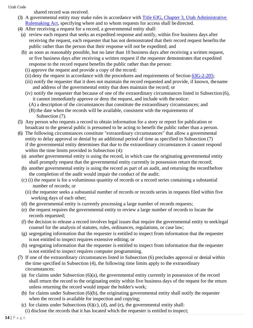shared record was received.

- (3) A governmental entity may make rules in accordance with [Title 63G, Chapter 3, Utah Administrative](https://le.utah.gov/xcode/Title63G/Chapter3/63G-3.html?v=C63G-3_1800010118000101)  [Rulemaking Act,](https://le.utah.gov/xcode/Title63G/Chapter3/63G-3.html?v=C63G-3_1800010118000101) specifying where and to whom requests for access shall be directed.
- (4) After receiving a request for a record, a governmental entity shall:
	- (a) review each request that seeks an expedited response and notify, within five business days after receiving the request, each requester that has not demonstrated that their record request benefits the public rather than the person that their response will not be expedited; and
	- (b) as soon as reasonably possible, but no later than 10 business days after receiving a written request, or five business days after receiving a written request if the requester demonstrates that expedited response to the record request benefits the public rather than the person:
		- (i) approve the request and provide a copy of the record;
		- (ii) deny the request in accordance with the procedures and requirements of Section [63G-2-205;](https://le.utah.gov/xcode/Title63G/Chapter2/63G-2-S205.html?v=C63G-2-S205_1800010118000101)
		- (iii) notify the requester that it does not maintain the record requested and provide, if known, thename and address of the governmental entity that does maintain the record; or
		- (iv) notify the requester that because of one of the extraordinary circumstances listed in Subsection (6), it cannot immediately approve or deny the request, and include with the notice:
			- (A) a description of the circumstances that constitute the extraordinary circumstances; and
			- (B) the date when the records will be available, consistent with the requirements of Subsection (7).
- (5) Any person who requests a record to obtain information for a story or report for publication or broadcast to the general public is presumed to be acting to benefit the public rather than a person.
- (6) The following circumstances constitute "extraordinary circumstances" that allow a governmental entity to delay approval or denial by an additional period of time as specified in Subsection (7) if the governmental entity determines that due to the extraordinary circumstances it cannot respond within the time limits provided in Subsection (4):
	- (a) another governmental entity is using the record, in which case the originating governmental entity shall promptly request that the governmental entity currently in possession return the record;
	- (b) another governmental entity is using the record as part of an audit, and returning the recordbefore the completion of the audit would impair the conduct of the audit;
	- (c) (i) the request is for a voluminous quantity of records or a record series containing a substantial number of records; or
		- (ii) the requester seeks a substantial number of records or records series in requests filed within five working days of each other;
	- (d) the governmental entity is currently processing a large number of records requests;
	- (e) the request requires the governmental entity to review a large number of records to locate the records requested;
	- (f) the decision to release a record involves legal issues that require the governmental entity to seeklegal counsel for the analysis of statutes, rules, ordinances, regulations, or case law;
	- (g) segregating information that the requester is entitled to inspect from information that the requester is not entitled to inspect requires extensive editing; or
	- (h) segregating information that the requester is entitled to inspect from information that the requester is not entitled to inspect requires computer programming.
- (7) If one of the extraordinary circumstances listed in Subsection (6) precludes approval or denial within the time specified in Subsection (4), the following time limits apply to the extraordinary circumstances:
	- (a) for claims under Subsection (6)(a), the governmental entity currently in possession of the record shall return the record to the originating entity within five business days of the request for the return unless returning the record would impair the holder's work;
	- (b) for claims under Subsection (6)(b), the originating governmental entity shall notify the requester when the record is available for inspection and copying;
	- (c) for claims under Subsections  $(6)(c)$ ,  $(d)$ , and  $(e)$ , the governmental entity shall: (i) disclose the records that it has located which the requester is entitled to inspect;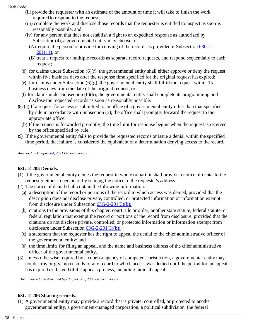- (ii) provide the requester with an estimate of the amount of time it will take to finish the work required to respond to the request;
- (iii) complete the work and disclose those records that the requester is entitled to inspect as soonas reasonably possible; and
- (iv) for any person that does not establish a right to an expedited response as authorized by Subsection(4), a governmental entity may choose to:
	- (A)require the person to provide for copying of the records as provided inSubsection [63G-2-](https://le.utah.gov/xcode/Title63G/Chapter2/63G-2-S201.html?v=C63G-2-S201_2019051420190514&63G-2-201(10))  $201(11)$ ; or
	- (B) treat a request for multiple records as separate record requests, and respond sequentially to each request;
- (d) for claims under Subsection (6)(f), the governmental entity shall either approve or deny the request within five business days after the response time specified for the original request has expired;
- (e) for claims under Subsection  $(6)(g)$ , the governmental entity shall fulfill the request within 15 business days from the date of the original request; or
- (f) for claims under Subsection (6)(h), the governmental entity shall complete its programming and disclose the requested records as soon as reasonably possible.
- (8) (a) If a request for access is submitted to an office of a governmental entity other than that specified by rule in accordance with Subsection (3), the office shall promptly forward the request to the appropriate office.
	- (b) If the request is forwarded promptly, the time limit for response begins when the request is received by the office specified by rule.
- (9) If the governmental entity fails to provide the requested records or issue a denial within the specified time period, that failure is considered the equivalent of a determination denying access to the record.

*Amended by Chapte[r 64, 2](http://le.utah.gov/UtahCode/ChapterLookup.jsp?chap=334&sess=2019GS)021 General Session*

#### **63G-2-205 Denials.**

- (1) If the governmental entity denies the request in whole or part, it shall provide a notice of denial to the requester either in person or by sending the notice to the requester's address.
- (2) The notice of denial shall contain the following information:
	- (a) a description of the record or portions of the record to which access was denied, provided that the description does not disclose private, controlled, or protected information or information exempt from disclosure under Subsection [63G-2-201\(3\)\(b\);](https://le.utah.gov/xcode/Title63G/Chapter2/63G-2-S201.html?v=C63G-2-S201_1800010118000101&63G-2-201(3)(b))
	- (b) citations to the provisions of this chapter, court rule or order, another state statute, federal statute, or federal regulation that exempt the record or portions of the record from disclosure, provided that the citations do not disclose private, controlled, or protected information or information exempt from disclosure under Subsection [63G-2-201\(3\)\(b\);](https://le.utah.gov/xcode/Title63G/Chapter2/63G-2-S201.html?v=C63G-2-S201_1800010118000101&63G-2-201(3)(b))
	- (c) a statement that the requester has the right to appeal the denial to the chief administrative officer of the governmental entity; and
	- (d) the time limits for filing an appeal, and the name and business address of the chief administrative officer of the governmental entity.
- (3) Unless otherwise required by a court or agency of competent jurisdiction, a governmental entity may not destroy or give up custody of any record to which access was denied until the period for an appeal has expired or the end of the appeals process, including judicial appeal.

*Renumbered and Amended by Chapte[r 382, 2](http://le.utah.gov/UtahCode/ChapterLookup.jsp?chap=382&sess=2008GS)008 General Session*

#### **63G-2-206 Sharing records.**

(1) A governmental entity may provide a record that is private, controlled, or protected to another governmental entity, a government-managed corporation, a political subdivision, the federal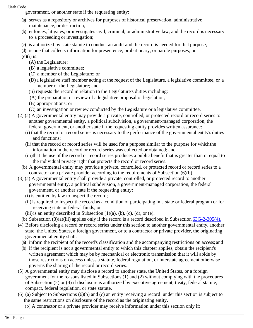government, or another state if the requesting entity:

- (a) serves as a repository or archives for purposes of historical preservation, administrative maintenance, or destruction;
- (b) enforces, litigates, or investigates civil, criminal, or administrative law, and the record is necessary to a proceeding or investigation;
- (c) is authorized by state statute to conduct an audit and the record is needed for that purpose;
- (d) is one that collects information for presentence, probationary, or parole purposes; or
- $(e)(i)$  is:
	- (A) the Legislature;
	- (B) a legislative committee;
	- (C) a member of the Legislature; or
	- (D) a legislative staff member acting at the request of the Legislature, a legislative committee, or a member of the Legislature; and
	- (ii) requests the record in relation to the Legislature's duties including:
	- (A) the preparation or review of a legislative proposal or legislation;
	- (B) appropriations; or
	- (C) an investigation or review conducted by the Legislature or a legislative committee.
- (2) (a) A governmental entity may provide a private, controlled, or protected record or record series to another governmental entity, a political subdivision, a government-managed corporation, the federal government, or another state if the requesting entity provides written assurance:
	- (i) that the record or record series is necessary to the performance of the governmental entity's duties and functions;
	- (ii) that the record or record series will be used for a purpose similar to the purpose for whichthe information in the record or record series was collected or obtained; and
	- (iii)that the use of the record or record series produces a public benefit that is greater than or equal to the individual privacy right that protects the record or record series.
	- (b) A governmental entity may provide a private, controlled, or protected record or record series to a contractor or a private provider according to the requirements of Subsection (6)(b).
- (3) (a) A governmental entity shall provide a private, controlled, or protected record to another governmental entity, a political subdivision, a government-managed corporation, the federal government, or another state if the requesting entity:
	- (i) is entitled by law to inspect the record;
	- (ii) is required to inspect the record as a condition of participating in a state or federal program or for receiving state or federal funds; or
	- (iii) is an entity described in Subsection  $(1)(a)$ ,  $(b)$ ,  $(c)$ ,  $(d)$ , or  $(e)$ .
- (b) Subsection (3)(a)(iii) applies only if the record is a record described in Subsection [63G-2-305\(4\).](https://le.utah.gov/xcode/Title63G/Chapter2/63G-2-S305.html?v=C63G-2-S305_2019051420190514&63G-2-305(4))
- (4) Before disclosing a record or record series under this section to another governmental entity, another state, the United States, a foreign government, or to a contractor or private provider, the originating governmental entity shall:
	- (a) inform the recipient of the record's classification and the accompanying restrictions on access; and
	- (b) if the recipient is not a governmental entity to which this chapter applies, obtain the recipient's written agreement which may be by mechanical or electronic transmission that it will abide by those restrictions on access unless a statute, federal regulation, or interstate agreement otherwise governs the sharing of the record or record series.
- (5) A governmental entity may disclose a record to another state, the United States, or a foreign government for the reasons listed in Subsections (1) and (2) without complying with the procedures of Subsection (2) or (4) if disclosure is authorized by executive agreement, treaty, federal statute, compact, federal regulation, or state statute.
- (6) (a) Subject to Subsections (6)(b) and (c) an entity receiving a record under this section is subject to the same restrictions on disclosure of the record as the originating entity.
	- (b) A contractor or a private provider may receive information under this section only if: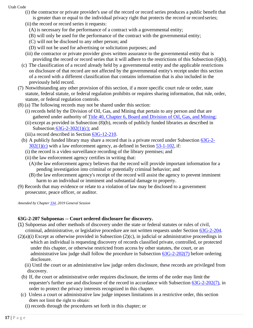- (i) the contractor or private provider's use of the record or record series produces a public benefit that
	- is greater than or equal to the individual privacy right that protects the record or record series;
	- (ii) the record or record series it requests:
		- (A) is necessary for the performance of a contract with a governmental entity;
		- (B) will only be used for the performance of the contract with the governmental entity;
		- (C) will not be disclosed to any other person; and
		- (D) will not be used for advertising or solicitation purposes; and
	- (iii) the contractor or private provider gives written assurance to the governmental entity that is providing the record or record series that it will adhere to the restrictions of this Subsection (6)(b).
	- (c) The classification of a record already held by a governmental entity and the applicable restrictions on disclosure of that record are not affected by the governmental entity's receipt under this section of a record with a different classification that contains information that is also included in the previously held record.
- (7) Notwithstanding any other provision of this section, if a more specific court rule or order, state statute, federal statute, or federal regulation prohibits or requires sharing information, that rule, order, statute, or federal regulation controls.
- (8) (a) The following records may not be shared under this section:
	- (i) records held by the Division of Oil, Gas, and Mining that pertain to any person and that are gathered under authority of [Title 40, Chapter 6, Board and Division of Oil, Gas, and](https://le.utah.gov/xcode/Title40/Chapter6/40-6.html?v=C40-6_1800010118000101) Mining;
	- (ii) except as provided in Subsection (8)(b), records of publicly funded libraries as described in Subsection [63G-2-302\(1\)\(c\);](https://le.utah.gov/xcode/Title63G/Chapter2/63G-2-S302.html?v=C63G-2-S302_2019051420190514&63G-2-302(1)(c)) and
	- (iii) a record described in Section [63G-12-210.](https://le.utah.gov/xcode/Title63G/Chapter12/63G-12-S210.html?v=C63G-12-S210_1800010118000101)
	- (b) A publicly funded library may share a record that is a private record under Subsection [63G-2-](https://le.utah.gov/xcode/Title63G/Chapter2/63G-2-S302.html?v=C63G-2-S302_2019051420190514&63G-2-302(1)(c))  $302(1)(c)$  with a law enforcement agency, as defined in Section [53-1-102,](https://le.utah.gov/xcode/Title53/Chapter1/53-1-S102.html?v=C53-1-S102_2019051420190514) if:
		- (i) the record is a video surveillance recording of the library premises; and
		- (ii) the law enforcement agency certifies in writing that:
			- (A)the law enforcement agency believes that the record will provide important information for a pending investigation into criminal or potentially criminal behavior; and
			- (B) the law enforcement agency's receipt of the record will assist the agency to prevent imminent harm to an individual or imminent and substantial damage to property.
- (9) Records that may evidence or relate to a violation of law may be disclosed to a government prosecutor, peace officer, or auditor.

*Amended by Chapte[r 334, 2](http://le.utah.gov/UtahCode/ChapterLookup.jsp?chap=334&sess=2019GS)019 General Session*

# **63G-2-207 Subpoenas -- Court ordered disclosure for discovery.**

- (1) Subpoenas and other methods of discovery under the state or federal statutes or rules of civil, criminal, administrative, or legislative procedure are not written requests under Section [63G-2-204.](https://le.utah.gov/xcode/Title63G/Chapter2/63G-2-S204.html?v=C63G-2-S204_1800010118000101)
- $(2)(a)(i)$  Except as otherwise provided in Subsection  $(2)(c)$ , in judicial or administrative proceedings in which an individual is requesting discovery of records classified private, controlled, or protected under this chapter, or otherwise restricted from access by other statutes, the court, or an administrative law judge shall follow the procedure in Subsection [63G-2-202\(7\)](https://le.utah.gov/xcode/Title63G/Chapter2/63G-2-S202.html?v=C63G-2-S202_2015051220150512&63G-2-202(7)) before ordering disclosure.
	- (ii) Until the court or an administrative law judge orders disclosure, these records are privileged from discovery.
	- (b) If, the court or administrative order requires disclosure, the terms of the order may limit the requester's further use and disclosure of the record in accordance with Subsection [63G-2-202\(7\), i](https://le.utah.gov/xcode/Title63G/Chapter2/63G-2-S202.html?v=C63G-2-S202_2015051220150512&63G-2-202(7))n order to protect the privacy interests recognized in this chapter.
	- (c) Unless a court or administrative law judge imposes limitations in a restrictive order, this section does not limit the right to obtain:
		- (i) records through the procedures set forth in this chapter; or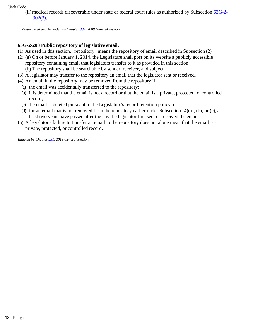(ii) medical records discoverable under state or federal court rules as authorized by Subsection [63G-2-](https://le.utah.gov/xcode/Title63G/Chapter2/63G-2-S302.html?v=C63G-2-S302_2020051220200512) [302\(3\).](https://le.utah.gov/xcode/Title63G/Chapter2/63G-2-S302.html?v=C63G-2-S302_2020051220200512)

*Renumbered and Amended by Chapte[r 382, 2](http://le.utah.gov/UtahCode/ChapterLookup.jsp?chap=382&sess=2008GS)008 General Session*

# **63G-2-208 Public repository of legislative email.**

- (1) As used in this section, "repository" means the repository of email described in Subsection (2).
- (2) (a) On or before January 1, 2014, the Legislature shall post on its website a publicly accessible repository containing email that legislators transfer to it as provided in this section. (b) The repository shall be searchable by sender, receiver, and subject.
- (3) A legislator may transfer to the repository an email that the legislator sent or received.
- (4) An email in the repository may be removed from the repository if:
- (a) the email was accidentally transferred to the repository;
- (b) it is determined that the email is not a record or that the email is a private, protected, or controlled record;
- (c) the email is deleted pursuant to the Legislature's record retention policy; or
- (d) for an email that is not removed from the repository earlier under Subsection (4)(a), (b), or (c), at least two years have passed after the day the legislator first sent or received the email.
- (5) A legislator's failure to transfer an email to the repository does not alone mean that the email is a private, protected, or controlled record.

*Enacted by Chapte[r 231, 2](http://le.utah.gov/UtahCode/ChapterLookup.jsp?chap=231&sess=2013GS)013 General Session*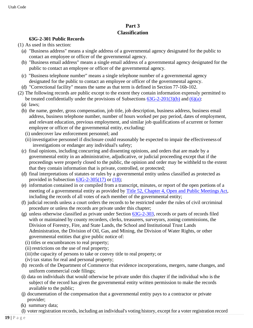# **Part 3 Classification**

# **63G-2-301 Public Records**

- (1) As used in this section:
	- (a) "Business address" means a single address of a governmental agency designated for the public to contact an employee or officer of the governmental agency.
	- (b) "Business email address" means a single email address of a governmental agency designated for the public to contact an employee or officer of the governmental agency.
	- (c) "Business telephone number" means a single telephone number of a governmental agency designated for the public to contact an employee or officer of the governmental agency.
	- (d) "Correctional facility" means the same as that term is defined in Section 77-16b-102.
- (2) The following records are public except to the extent they contain information expressly permitted to be treated confidentially under the provisions of Subsections  $63G-2-201(3)(b)$  and  $(6)(a)$ :
	- (a) laws;
	- (b) the name, gender, gross compensation, job title, job description, business address, business email address, business telephone number, number of hours worked per pay period, dates of employment, and relevant education, previous employment, and similar job qualifications of acurrent or former employee or officer of the governmental entity, excluding:
		- (i) undercover law enforcement personnel; and
		- (ii) investigative personnel if disclosure could reasonably be expected to impair the effectiveness of investigations or endanger any individual's safety;
	- (c) final opinions, including concurring and dissenting opinions, and orders that are made by a governmental entity in an administrative, adjudicative, or judicial proceeding except that if the proceedings were properly closed to the public, the opinion and order may be withheld to the extent that they contain information that is private, controlled, or protected;
	- (d) final interpretations of statutes or rules by a governmental entity unless classified as protected as provided in Subsection [63G-2-305\(17\)](https://le.utah.gov/xcode/Title63G/Chapter2/63G-2-S305.html?v=C63G-2-S305_2018050820180508&63G-2-305(17)) or [\(18\);](https://le.utah.gov/xcode/Title63G/Chapter2/63G-2-S305.html?v=C63G-2-S305_2018050820180508&63G-2-305(18))
	- (e) information contained in or compiled from a transcript, minutes, or report of the open portions of a meeting of a governmental entity as provided by [Title 52, Chapter 4, Open and Public Meetings](https://le.utah.gov/xcode/Title52/Chapter4/52-4.html?v=C52-4_1800010118000101) Act, including the records of all votes of each member of the governmental entity;
	- (f) judicial records unless a court orders the records to be restricted under the rules of civil orcriminal procedure or unless the records are private under this chapter;
	- (g) unless otherwise classified as private under Section [63G-2-303,](https://le.utah.gov/xcode/Title63G/Chapter2/63G-2-S303.html?v=C63G-2-S303_1800010118000101) records or parts of records filed with or maintained by county recorders, clerks, treasurers, surveyors, zoning commissions, the Division of Forestry, Fire, and State Lands, the School and Institutional Trust Lands Administration, the Division of Oil, Gas, and Mining, the Division of Water Rights, or other governmental entities that give public notice of:
		- (i) titles or encumbrances to real property;
		- (ii) restrictions on the use of real property;
		- (iii) the capacity of persons to take or convey title to real property; or
		- (iv) tax status for real and personal property;
	- (h) records of the Department of Commerce that evidence incorporations, mergers, name changes, and uniform commercial code filings;
	- (i) data on individuals that would otherwise be private under this chapter if the individual who is the subject of the record has given the governmental entity written permission to make the records available to the public;
	- (j) documentation of the compensation that a governmental entity pays to a contractor or private provider;
	- (k) summary data;
	- (l) voter registration records, including an individual's voting history, except for a voter registration record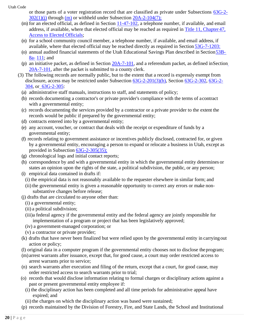- or those parts of a voter registration record that are classified as private under Subsections [63G-2-](https://le.utah.gov/xcode/Title63G/Chapter2/63G-2-S302.html?v=C63G-2-S302_2018050820180508&63G-2-302(1)(j))  $302(1)(i)$  through [\(m\)](https://le.utah.gov/xcode/Title63G/Chapter2/63G-2-S302.html?v=C63G-2-S302_2018050820180508&63G-2-302(1)(k)) or withheld under Subsection  $20A-2-104(7)$ ;
- (m) for an elected official, as defined in Section [11-47-102, a](https://le.utah.gov/xcode/Title11/Chapter47/11-47-S102.html?v=C11-47-S102_1800010118000101) telephone number, if available, and email address, if available, where that elected official may be reached as required in [Title 11, Chapter](https://le.utah.gov/xcode/Title11/Chapter47/11-47.html?v=C11-47_1800010118000101) 47[,](https://le.utah.gov/xcode/Title11/Chapter47/11-47.html?v=C11-47_1800010118000101) [Access to Elected](https://le.utah.gov/xcode/Title11/Chapter47/11-47.html?v=C11-47_1800010118000101) Officials;
- (n) for a school community council member, a telephone number, if available, and email address, if available, where that elected official may be reached directly as required in Section [53G-7-1203:](https://le.utah.gov/xcode/Title53G/Chapter7/53G-7-S1203.html?v=C53G-7-S1203_2018012420180124)
- (o) annual audited financial statements of the Utah Educational Savings Plan described in Section 53B-[8a-](https://le.utah.gov/xcode/Title53B/Chapter8A/53B-8a-S111.html?v=C53B-8a-S111_1800010118000101) [111;](https://le.utah.gov/xcode/Title53B/Chapter8A/53B-8a-S111.html?v=C53B-8a-S111_1800010118000101) and
- (p) a[n](https://le.utah.gov/xcode/Title20A/Chapter7/20A-7-S101.html?v=C20A-7-S101_2017050920170509) initiative packet, as defined in Section  $20A-7-101$ , and a referendum packet, as defined in Section [20A-7-101, a](https://le.utah.gov/xcode/Title20A/Chapter7/20A-7-S101.html?v=C20A-7-S101_2017050920170509)fter the packet is submitted to a county clerk.
- (3) The following records are normally public, but to the extent that a record is expressly exempt from disclosure, access may be restricted under Subsection [63G-2-201\(3\)\(b\), S](https://le.utah.gov/xcode/Title63G/Chapter2/63G-2-S201.html?v=C63G-2-S201_2017050920170509&63G-2-201(3)(b))ection [63G-2-302,](https://le.utah.gov/xcode/Title63G/Chapter2/63G-2-S302.html?v=C63G-2-S302_2018050820180508) [63G-2-](https://le.utah.gov/xcode/Title63G/Chapter2/63G-2-S304.html?v=C63G-2-S304_1800010118000101) [304,](https://le.utah.gov/xcode/Title63G/Chapter2/63G-2-S304.html?v=C63G-2-S304_1800010118000101) or [63G-2-305:](https://le.utah.gov/xcode/Title63G/Chapter2/63G-2-S305.html?v=C63G-2-S305_2018050820180508)
	- (a) administrative staff manuals, instructions to staff, and statements of policy;
	- (b) records documenting a contractor's or private provider's compliance with the terms of acontract with a governmental entity;
	- (c) records documenting the services provided by a contractor or a private provider to the extent the records would be public if prepared by the governmental entity;
	- (d) contracts entered into by a governmental entity;
	- (e) any account, voucher, or contract that deals with the receipt or expenditure of funds by a governmental entity;
	- (f) records relating to government assistance or incentives publicly disclosed, contracted for, or given by a governmental entity, encouraging a person to expand or relocate a business in Utah, except as provided in Subsection [63G-2-305\(35\);](https://le.utah.gov/xcode/Title63G/Chapter2/63G-2-S305.html?v=C63G-2-S305_2018050820180508&63G-2-305(35))
	- (g) chronological logs and initial contact reports;
	- (h) correspondence by and with a governmental entity in which the governmental entity determines or states an opinion upon the rights of the state, a political subdivision, the public, or any person;
	- (i) empirical data contained in drafts if:
		- (i) the empirical data is not reasonably available to the requester elsewhere in similar form; and
		- (ii) the governmental entity is given a reasonable opportunity to correct any errors or make nonsubstantive changes before release;
	- (j) drafts that are circulated to anyone other than:
		- (i) a governmental entity;
		- (ii) a political subdivision;
		- (iii)a federal agency if the governmental entity and the federal agency are jointly responsible for implementation of a program or project that has been legislatively approved;
		- (iv) a government-managed corporation; or
		- (v) a contractor or private provider;
	- (k) drafts that have never been finalized but were relied upon by the governmental entity in carryingout action or policy;
	- (l) original data in a computer program if the governmental entity chooses not to disclose theprogram;
	- (m)arrest warrants after issuance, except that, for good cause, a court may order restricted access to arrest warrants prior to service;
	- (n) search warrants after execution and filing of the return, except that a court, for good cause, may order restricted access to search warrants prior to trial;
	- (o) records that would disclose information relating to formal charges or disciplinary actions against a past or present governmental entity employee if:
		- (i) the disciplinary action has been completed and all time periods for administrative appeal have expired; and
		- (ii) the charges on which the disciplinary action was based were sustained;
	- (p) records maintained by the Division of Forestry, Fire, and State Lands, the School and Institutional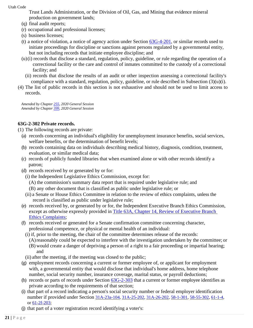Trust Lands Administration, or the Division of Oil, Gas, and Mining that evidence mineral production on government lands;

- (q) final audit reports;
- (r) occupational and professional licenses;
- (s) business licenses;
- (t) a notice of violation, a notice of agency action under Section  $63G-4-201$ , or similar records used to initiate proceedings for discipline or sanctions against persons regulated by a governmental entity, but not including records that initiate employee discipline; and
- (u)(i) records that disclose a standard, regulation, policy, guideline, or rule regarding the operation of a correctional facility or the care and control of inmates committed to the custody of a correctional facility; and
	- (ii) records that disclose the results of an audit or other inspection assessing a correctional facility's compliance with a standard, regulation, policy, guideline, or rule described in Subsection  $(3)(u)(i)$ .
- (4) The list of public records in this section is not exhaustive and should not be used to limit access to records.

*Amended by Chapter [255, 2](http://le.utah.gov/UtahCode/ChapterLookup.jsp?chap=415&sess=2018GS)020 General Session Amended by Chapter [399, 2](http://le.utah.gov/UtahCode/ChapterLookup.jsp?chap=415&sess=2018GS)020 General Session*

# **63G-2-302 Private records.**

(1) The following records are private:

- (a) records concerning an individual's eligibility for unemployment insurance benefits, social services, welfare benefits, or the determination of benefit levels;
- (b) records containing data on individuals describing medical history, diagnosis, condition, treatment, evaluation, or similar medical data;
- (c) records of publicly funded libraries that when examined alone or with other records identify a patron;
- (d) records received by or generated by or for:
	- (i) the Independent Legislative Ethics Commission, except for:
		- (A) the commission's summary data report that is required under legislative rule; and
		- (B) any other document that is classified as public under legislative rule; or
	- (ii) a Senate or House Ethics Committee in relation to the review of ethics complaints, unless the record is classified as public under legislative rule;
- (e) records received by, or generated by or for, the Independent Executive Branch Ethics Commission, except as otherwise expressly provided in [Title 63A, Chapter 14, Review of Executive Branch](https://le.utah.gov/xcode/Title63A/Chapter14/63A-14.html?v=C63A-14_1800010118000101)  [Ethics](https://le.utah.gov/xcode/Title63A/Chapter14/63A-14.html?v=C63A-14_1800010118000101) [Complaints;](https://le.utah.gov/xcode/Title63A/Chapter14/63A-14.html?v=C63A-14_1800010118000101)
- (f) records received or generated for a Senate confirmation committee concerning character, professional competence, or physical or mental health of an individual:
	- (i) if, prior to the meeting, the chair of the committee determines release of the records:
		- (A)reasonably could be expected to interfere with the investigation undertaken by the committee; or
		- (B) would create a danger of depriving a person of a right to a fair proceeding or impartial hearing; and
	- (ii) after the meeting, if the meeting was closed to the public;
- (g) employment records concerning a current or former employee of, or applicant for employment with, a governmental entity that would disclose that individual's home address, home telephone number, social security number, insurance coverage, marital status, or payroll deductions;
- (h) records or parts of records under Section  $63G-2-303$  that a current or former employee identifies as private according to the requirements of that section;
- (i) that part of a record indicating a person's social security number or federal employer identification number if provided under Section [31A-23a-104,](https://le.utah.gov/xcode/Title31A/Chapter23A/31A-23a-S104.html?v=C31A-23a-S104_2018050820180508) [31A-25-202,](https://le.utah.gov/xcode/Title31A/Chapter25/31A-25-S202.html?v=C31A-25-S202_1800010118000101) [31A-26-202,](https://le.utah.gov/xcode/Title31A/Chapter26/31A-26-S202.html?v=C31A-26-S202_2018050820180508) [58-1-301,](https://le.utah.gov/xcode/Title58/Chapter1/58-1-S301.html?v=C58-1-S301_2019051420190514) [58-55-302,](https://le.utah.gov/xcode/Title58/Chapter55/58-55-S302.html?v=C58-55-S302_2019051420190514) [61-1-4,](https://le.utah.gov/xcode/Title61/Chapter1/61-1-S4.html?v=C61-1-S4_1800010118000101) or [61-2f-203;](https://le.utah.gov/xcode/Title61/Chapter2F/61-2f-S203.html?v=C61-2f-S203_2016051020160510)
- (j) that part of a voter registration record identifying a voter's: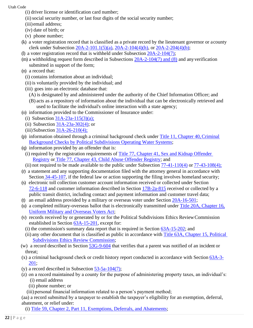- (i) driver license or identification card number;
- (ii) social security number, or last four digits of the social security number;
- (iii) email address;
- (iv) date of birth; or
- (v) phone number;
- (k) a voter registration record that is classified as a private record by the lieutenant governor or acounty clerk under Subsection [20A-2-101.1\(5\)\(a\),](https://le.utah.gov/xcode/Title20A/Chapter2/20A-2-S101.1.html?v=C20A-2-S101.1_2018050820180508) [20A-2-104\(4\)\(h\),](https://le.utah.gov/xcode/Title20A/Chapter2/20A-2-S104.html?v=C20A-2-S104_2020051220200512) or [20A-2-204\(4\)\(b\);](https://le.utah.gov/xcode/Title20A/Chapter2/20A-2-S204.html?v=C20A-2-S204_2020051220200512)
- (l) a voter registration record that is withheld under Subsection [20A-2-104\(7\);](https://le.utah.gov/xcode/Title20A/Chapter2/20A-2-S104.html?v=C20A-2-S104_2020051220200512)
- (m) a withholding request form described in Subsections [20A-2-104\(7\) and \(8\)](https://le.utah.gov/xcode/Title20A/Chapter2/20A-2-S104.html?v=C20A-2-S104_2020051220200512) and anyverification submitted in support of the form;
- (n) a record that:
	- (i) contains information about an individual;
	- (ii) is voluntarily provided by the individual; and
	- (iii) goes into an electronic database that:
		- (A) is designated by and administered under the authority of the Chief Information Officer; and
		- (B) acts as a repository of information about the individual that can be electronically retrieved and used to facilitate the individual's online interaction with a state agency;
- (o) information provided to the Commissioner of Insurance under:
	- (i) Subsection  $31A-23a-115(3)(a)$ ;
	- (ii) Subsection  $31A-23a-302(4)$ ; or
	- $(iii)$ Subsection [31A-26-210\(4\);](https://le.utah.gov/xcode/Title31A/Chapter26/31A-26-S210.html?v=C31A-26-S210_2017050920170509&31A-26-210(4))
- (p) information obtained through a criminal background check under [Title 11, Chapter 40,Criminal](https://le.utah.gov/xcode/Title11/Chapter40/11-40.html?v=C11-40_1800010118000101) [Background Checks by Political Subdivisions Operating Water](https://le.utah.gov/xcode/Title11/Chapter40/11-40.html?v=C11-40_1800010118000101) Systems;
- (q) information provided by an offender that is:
	- (i) required by the registration requirements of [Title 77, Chapter 41, Sex and Kidnap Offender](https://le.utah.gov/xcode/Title77/Chapter41/77-41.html?v=C77-41_1800010118000101)  [Registry](https://le.utah.gov/xcode/Title77/Chapter41/77-41.html?v=C77-41_1800010118000101) or [Title 77, Chapter 43, Child Abuse Offender Registry;](https://le.utah.gov/xcode/Title77/Chapter43/77-43.html?v=C77-43_2017050920170509) and
	- (ii) not required to be made available to the public under Subsection  $77-41-110(4)$  or  $77-43-108(4)$ ;
- (r) a statement and any supporting documentation filed with the attorney general in accordance with Section [34-45-107,](https://le.utah.gov/xcode/Title34/Chapter45/34-45-S107.html?v=C34-45-S107_2016051020160510) if the federal law or action supporting the filing involves homeland security;
- (s) electronic toll collection customer account information received or collected under Section [72-6-118](https://le.utah.gov/xcode/Title72/Chapter6/72-6-S118.html?v=C72-6-S118_2018050820180508) and customer information described in Section [17B-2a-815](https://le.utah.gov/xcode/Title17B/Chapter2A/17B-2a-S815.html?v=C17B-2a-S815_1800010118000101) received or collected by a public transit district, including contact and payment information and customer travel data;
- (t) an email address provided by a military or overseas voter under Section [20A-16-501;](https://le.utah.gov/xcode/Title20A/Chapter16/20A-16-S501.html?v=C20A-16-S501_1800010118000101)
- (u) a completed military-overseas ballot that is electronically transmitted under [Title 20A, Chapter 16,](https://le.utah.gov/xcode/Title20A/Chapter16/20A-16.html?v=C20A-16_1800010118000101) [Uniform Military and Overseas Voters](https://le.utah.gov/xcode/Title20A/Chapter16/20A-16.html?v=C20A-16_1800010118000101) Act;
- (v) records received by or generated by or for the Political Subdivisions Ethics ReviewCommission established in Section [63A-15-201,](https://le.utah.gov/xcode/Title63A/Chapter15/63A-15-S201.html?v=C63A-15-S201_2019051420190514) except for:
	- (i) the commission's summary data report that is required in Section [63A-15-202;](https://le.utah.gov/xcode/Title63A/Chapter15/63A-15-S202.html?v=C63A-15-S202_2018050820180508) and
	- (ii) any other document that is classified as public in accordance with [Title 63A, Chapter 15, Political](https://le.utah.gov/xcode/Title63A/Chapter15/63A-15.html?v=C63A-15_2018050820180508) [Subdivisions Ethics Review](https://le.utah.gov/xcode/Title63A/Chapter15/63A-15.html?v=C63A-15_2018050820180508) Commission;
- (w) a record described in Section [53G-9-604](https://le.utah.gov/xcode/Title53G/Chapter9/53G-9-S604.html?v=C53G-9-S604_2019051420190514) that verifies that a parent was notified of an incident or threat;
- (x) a criminal background check or credit history report conducted in accordance with Section [63A-3-](https://le.utah.gov/xcode/Title63A/Chapter3/63A-3-S201.html?v=C63A-3-S201_2018050820180508) [201;](https://le.utah.gov/xcode/Title63A/Chapter3/63A-3-S201.html?v=C63A-3-S201_2018050820180508)
- (y) a record described in Subsection  $53-5a-104(7)$ ;
- (z) on a record maintained by a county for the purpose of administering property taxes, an individual's: (i) email address
	- (ii) phone number; or
	- (iii) personal financial information related to a person's payment method;

(aa) a record submitted by a taxpayer to establish the taxpayer's eligibility for an exemption, deferral, abatement, or relief under:

(i) [Title 59, Chapter 2, Part 11, Exemptions, Deferrals, and](https://le.utah.gov/xcode/Title59/Chapter2/59-2-P11.html?v=C59-2-P11_1800010118000101) Abatements;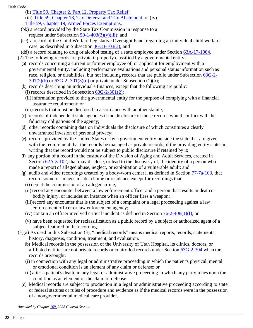- (ii) [Title 59, Chapter 2, Part 12,](https://le.utah.gov/xcode/Title59/Chapter2/59-2-P12.html) Property Tax Relief;
- (iii) [Title 59, Chapter 18, Tax Deferral and Tax Abatement;](https://le.utah.gov/xcode/Title59/Chapter2/59-2-P18.html) or (iv[\)](https://le.utah.gov/xcode/Title59/Chapter2/59-2-P19.html) [Title 59, Chapter 19, Armed Forces](https://le.utah.gov/xcode/Title59/Chapter2/59-2-P19.html) Exemptions.
- (bb) a record provided by the State Tax Commission in response to a request under Subsection  $59-1-403(3)(y)(iii)$ ; and
- (cc) a record of the Child Welfare Legislative Oversight Panel regarding an individual child welfare case, as described in Subsection [36-33-103\(3\);](https://le.utah.gov/xcode/Title36/Chapter33/36-33-S103.html?v=C36-33-S103_2022050420220901#36-33-103(3)) and
- (dd) a record relating to drug or alcohol testing of a state employee under Section [63A-17-1004.](https://le.utah.gov/xcode/Title63A/Chapter17/63A-17-S1004.html?v=C63A-17-S1004_2022050420220504)
- (2) The following records are private if properly classified by a governmental entity:
	- (a) records concerning a current or former employee of, or applicant for employment with a governmental entity, including performance evaluations and personal status information such as race, religion, or disabilities, but not including records that are public under Subsection [63G-2-](https://le.utah.gov/xcode/Title63G/Chapter2/63G-2-S301.html?v=C63G-2-S301_2018032220180322&63G-2-301(2)(b))  $301(2)(b)$  or  $63G-2-301(3)(o)$  $63G-2-301(3)(o)$  or private under Subsection (1)(b);
	- (b) records describing an individual's finances, except that the following are public: (i) records described in Subsection  $63G-2-301(2)$ ;
		- (ii) information provided to the governmental entity for the purpose of complying with a financial assurance requirement; or
		- (iii) records that must be disclosed in accordance with another statute;
	- (c) records of independent state agencies if the disclosure of those records would conflict with the fiduciary obligations of the agency;
	- (d) other records containing data on individuals the disclosure of which constitutes a clearly unwarranted invasion of personal privacy;
	- (e) records provided by the United States or by a government entity outside the state that are given with the requirement that the records be managed as private records, if the providing entity states in writing that the record would not be subject to public disclosure if retained by it;
	- (f) any portion of a record in the custody of the Division of Aging and Adult Services, created in Section  $62A-3-102$ , that may disclose, or lead to the discovery of, the identity of a person who made a report of alleged abuse, neglect, or exploitation of a vulnerable adult; and
	- (g) audio and video recordings created by a body-worn camera, as defined in Section [77-7a-103,](https://le.utah.gov/xcode/Title77/Chapter7A/77-7a-S103.html?v=C77-7a-S103_2016051020160510) that record sound or images inside a home or residence except for recordings that:
		- (i) depict the commission of an alleged crime;
		- (ii) record any encounter between a law enforcement officer and a person that results in death or bodily injury, or includes an instance when an officer fires a weapon;
		- (iii)record any encounter that is the subject of a complaint or a legal proceeding against a law enforcement officer or law enforcement agency;
		- (iv) contain an officer involved critical incident as defined in Section [76-2-408\(1\)\(f\);](https://le.utah.gov/xcode/Title76/Chapter2/76-2-S408.html?v=C76-2-S408_2019051420190514&76-2-408(1)(d)) or
		- (v) have been requested for reclassification as a public record by a subject or authorized agent of a subject featured in the recording.
- (3)(a) As used in this Subsection (3), "medical records" means medical reports, records, statements, history, diagnosis, condition, treatment, and evaluation.
	- (b) Medical records in the possession of the University of Utah Hospital, its clinics, doctors, or affiliated entities are not private records or controlled records under Section [63G-2-304](https://le.utah.gov/xcode/Title63G/Chapter2/63G-2-S304.html?v=C63G-2-S304_1800010118000101) when the records are sought:
	- (i) in connection with any legal or administrative proceeding in which the patient's physical, mental, or emotional condition is an element of any claim or defense; or
	- (ii) after a patient's death, in any legal or administrative proceeding in which any party relies upon the condition as an element of the claim or defense.
	- (c) Medical records are subject to production in a legal or administrative proceeding according to state or federal statutes or rules of procedure and evidence as if the medical records were in the possession of a nongovernmental medical care provider.

*Amended by Chapte[r 169,](https://le.utah.gov/~2022/bills/static/SB0015.html) 2022 General Session*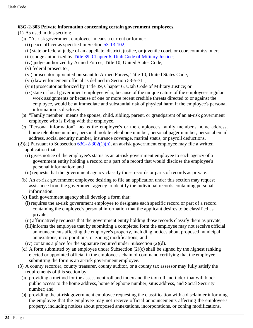## **63G-2-303 Private information concerning certain government employees.**

- (1) As used in this section:
	- (a) "At-risk government employee" means a current or former:
		- (i) peace officer as specified in Section [53-13-102;](https://le.utah.gov/xcode/Title53/Chapter13/53-13-S102.html?v=C53-13-S102_1800010118000101)
		- (ii) state or federal judge of an appellate, district, justice, or juvenile court, or court commissioner;
		- (iii) judge authorized by [Title 39, Chapter 6, Utah Code of Military](https://le.utah.gov/xcode/Title39/Chapter6/39-6.html?v=C39-6_1800010118000101) Justice;
		- (iv) judge authorized by Armed Forces, Title 10, United States Code;
		- (v) federal prosecutor;
		- (vi) prosecutor appointed pursuant to Armed Forces, Title 10, United States Code;
		- (vii) law enforcement official as defined in Section 53-5-711;
		- (viii)prosecutor authorized by Title 39, Chapter 6, Utah Code of Military Justice; or
		- (ix)state or local government employee who, because of the unique nature of the employee's regular work assignments or because of one or more recent credible threats directed to or against the employee, would be at immediate and substantial risk of physical harm if the employee's personal information is disclosed.
	- (b) "Family member" means the spouse, child, sibling, parent, or grandparent of an at-risk government employee who is living with the employee.
	- (c) "Personal information" means the employee's or the employee's family member's home address, home telephone number, personal mobile telephone number, personal pager number, personal email address, social security number, insurance coverage, marital status, or payroll deductions.
- (2)(a) Pursuant to Subsection  $63G-2-302(1)$ (h), an at-risk government employee may file a written application that:
	- (i) gives notice of the employee's status as an at-risk government employee to each agency of a government entity holding a record or a part of a record that would disclose the employee's personal information; and
	- (ii) requests that the government agency classify those records or parts of records as private.
	- (b) An at-risk government employee desiring to file an application under this section may request assistance from the government agency to identify the individual records containing personal information.
	- (c) Each government agency shall develop a form that:
		- (i) requires the at-risk government employee to designate each specific record or part of a record containing the employee's personal information that the applicant desires to be classified as private;
		- (ii) affirmatively requests that the government entity holding those records classify them as private;
		- (iii)informs the employee that by submitting a completed form the employee may not receive official announcements affecting the employee's property, including notices about proposed municipal annexations, incorporations, or zoning modifications; and
		- (iv) contains a place for the signature required under Subsection (2)(d).
	- (d) A form submitted by an employee under Subsection (2)(c) shall be signed by the highest ranking elected or appointed official in the employee's chain of command certifying that the employee submitting the form is an at-risk government employee.
- (3) A county recorder, county treasurer, county auditor, or a county tax assessor may fully satisfy the requirements of this section by:
	- (a) providing a method for the assessment roll and index and the tax roll and index that will block public access to the home address, home telephone number, situs address, and Social Security number; and
	- (b) providing the at-risk government employee requesting the classification with a disclaimer informing the employee that the employee may not receive official announcements affecting the employee's property, including notices about proposed annexations, incorporations, or zoning modifications.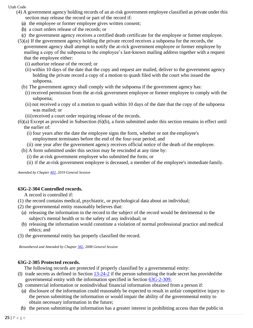- (4) A government agency holding records of an at-risk government employee classified as private under this
	- section may release the record or part of the record if:
	- (a) the employee or former employee gives written consent;
	- (b) a court orders release of the records; or
	- (c) the government agency receives a certified death certificate for the employee or former employee.
	- (5)(a) If the government agency holding the private record receives a subpoena for the records, the government agency shall attempt to notify the at-rick government employee or former employee by mailing a copy of the subpoena to the employee's last-known mailing address together with a request that the employee either:
		- (i) authorize release of the record; or
		- (ii) within 10 days of the date that the copy and request are mailed, deliver to the government agency holding the private record a copy of a motion to quash filed with the court who issued the subpoena.
		- (b) The government agency shall comply with the subpoena if the government agency has:
			- (i) received permission from the at-risk government employee or former employee to comply with the subpoena;
			- (ii) not received a copy of a motion to quash within 10 days of the date that the copy of the subpoena was mailed; or
		- (iii)received a court order requiring release of the records.
	- (6)(a) Except as provided in Subsection (6)(b), a form submitted under this section remains in effect until the earlier of:
		- (i) four years after the date the employee signs the form, whether or not the employee's employment terminates before the end of the four-year period; and
		- (ii) one year after the government agency receives official notice of the death of the employee.
		- (b) A form submitted under this section may be rescinded at any time by:
			- (i) the at-risk government employee who submitted the form; or
			- (ii) if the at-risk government employee is deceased, a member of the employee's immediate family.

*Amended by Chapte[r 402, 2](http://le.utah.gov/UtahCode/ChapterLookup.jsp?chap=402&sess=2019GS)019 General Session*

# **63G-2-304 Controlled records.**

A record is controlled if:

- (1) the record contains medical, psychiatric, or psychological data about an individual;
- (2) the governmental entity reasonably believes that:
	- (a) releasing the information in the record to the subject of the record would be detrimental to the subject's mental health or to the safety of any individual; or
	- (b) releasing the information would constitute a violation of normal professional practice and medical ethics; and
- (3) the governmental entity has properly classified the record.

*Renumbered and Amended by Chapter [382, 2](http://le.utah.gov/UtahCode/ChapterLookup.jsp?chap=382&sess=2008GS)008 General Session*

# **63G-2-305 Protected records.**

The following records are protected if properly classified by a governmental entity:

- (1) trade secrets as defined in Section  $13-24-2$  if the person submitting the trade secret has provided the governmental entity with the information specified in Section [63G-2-309;](https://le.utah.gov/xcode/Title63G/Chapter2/63G-2-S309.html?v=C63G-2-S309_2019051420190514)
- (2) commercial information or nonindividual financial information obtained from a person if:
- (a) disclosure of the information could reasonably be expected to result in unfair competitive injury to the person submitting the information or would impair the ability of the governmental entity to obtain necessary information in the future;
- (b) the person submitting the information has a greater interest in prohibiting access than the public in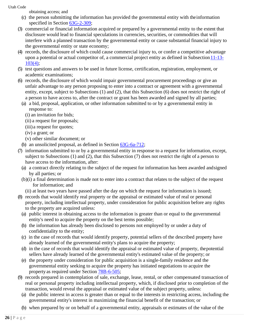obtaining access; and

- (c) the person submitting the information has provided the governmental entity with theinformation specified in Section [63G-2-309;](https://le.utah.gov/xcode/Title63G/Chapter2/63G-2-S309.html?v=C63G-2-S309_2019051420190514)
- (3) commercial or financial information acquired or prepared by a governmental entity to the extent that disclosure would lead to financial speculations in currencies, securities, or commodities that will interfere with a planned transaction by the governmental entity or cause substantial financial injury to the governmental entity or state economy;
- (4) records, the disclosure of which could cause commercial injury to, or confer a competitive advantage upon a potential or actual competitor of, a commercial project entity as defined in Subsection 11-13-[103\(4\);](https://le.utah.gov/xcode/Title11/Chapter13/11-13-S103.html?v=C11-13-S103_2018050820180508&11-13-103(4))
- (5) test questions and answers to be used in future license, certification, registration, employment, or academic examinations;
- (6) records, the disclosure of which would impair governmental procurement proceedings or give an unfair advantage to any person proposing to enter into a contract or agreement with a governmental entity, except, subject to Subsections (1) and (2), that this Subsection (6) does not restrict the right of a person to have access to, after the contract or grant has been awarded and signed by all parties;
	- (a) a bid, proposal, application, or other information submitted to or by a governmental entity in response to:
		- (i) an invitation for bids;
		- (ii) a request for proposals;
		- (iii) a request for quotes;
		- (iv) a grant; or
		- (v) other similar document; or
	- (b) an unsolicited proposal, as defined in Section [63G-6a-712;](https://le.utah.gov/xcode/Title63G/Chapter6A/63G-6a-S712.html?v=C63G-6a-S712_2018050820180508)
- (7) information submitted to or by a governmental entity in response to a request for information, except, subject to Subsections (1) and (2), that this Subsection (7) does not restrict the right of a person to have access to the information, after:
	- (a) a contract directly relating to the subject of the request for information has been awarded andsigned by all parties; or
	- (b)(i) a final determination is made not to enter into a contract that relates to the subject of the request for information; and
		- (ii) at least two years have passed after the day on which the request for information is issued;
- (8) records that would identify real property or the appraisal or estimated value of real or personal property, including intellectual property, under consideration for public acquisition before any rights to the property are acquired unless:
	- (a) public interest in obtaining access to the information is greater than or equal to the governmental entity's need to acquire the property on the best terms possible;
	- (b) the information has already been disclosed to persons not employed by or under a duty of confidentiality to the entity;
	- (c) in the case of records that would identify property, potential sellers of the described property have already learned of the governmental entity's plans to acquire the property;
	- (d) in the case of records that would identify the appraisal or estimated value of property, thepotential sellers have already learned of the governmental entity's estimated value of the property; or
	- (e) the property under consideration for public acquisition is a single-family residence and the governmental entity seeking to acquire the property has initiated negotiations to acquire the property as required under Section [78B-6-505;](https://le.utah.gov/xcode/Title78B/Chapter6/78B-6-S505.html?v=C78B-6-S505_2014040320140513)
- (9) records prepared in contemplation of sale, exchange, lease, rental, or other compensated transaction of real or personal property including intellectual property, which, if disclosed prior to completion of the transaction, would reveal the appraisal or estimated value of the subject property, unless:
	- (a) the public interest in access is greater than or equal to the interests in restricting access, including the governmental entity's interest in maximizing the financial benefit of the transaction; or
	- (b) when prepared by or on behalf of a governmental entity, appraisals or estimates of the value of the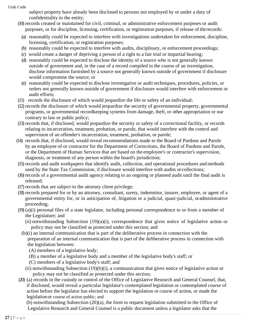subject property have already been disclosed to persons not employed by or under a duty of confidentiality to the entity;

- (10) records created or maintained for civil, criminal, or administrative enforcement purposes or audit purposes, or for discipline, licensing, certification, or registration purposes, if release of therecords:
	- (a) reasonably could be expected to interfere with investigations undertaken for enforcement, discipline, licensing, certification, or registration purposes;
	- (b) reasonably could be expected to interfere with audits, disciplinary, or enforcement proceedings;
	- (c) would create a danger of depriving a person of a right to a fair trial or impartial hearing;
	- (d) reasonably could be expected to disclose the identity of a source who is not generally known outside of government and, in the case of a record compiled in the course of an investigation, disclose information furnished by a source not generally known outside of government if disclosure would compromise the source; or
	- (e) reasonably could be expected to disclose investigative or audit techniques, procedures, policies, or orders not generally known outside of government if disclosure would interfere with enforcement or audit efforts;
- (11) records the disclosure of which would jeopardize the life or safety of an individual;
- (12) records the disclosure of which would jeopardize the security of governmental property, governmental programs, or governmental recordkeeping systems from damage, theft, or other appropriation or use contrary to law or public policy;
- (13) records that, if disclosed, would jeopardize the security or safety of a correctional facility, or records relating to incarceration, treatment, probation, or parole, that would interfere with the control and supervision of an offender's incarceration, treatment, probation, or parole;
- (14) records that, if disclosed, would reveal recommendations made to the Board of Pardons and Parole by an employee of or contractor for the Department of Corrections, the Board of Pardons and Parole, or the Department of Human Services that are based on the employee's or contractor's supervision, diagnosis, or treatment of any person within the board's jurisdiction;
- (15) records and audit workpapers that identify audit, collection, and operational procedures and methods used by the State Tax Commission, if disclosure would interfere with audits orcollections;
- (16) records of a governmental audit agency relating to an ongoing or planned audit until the final audit is released;
- (17) records that are subject to the attorney client privilege;
- (18) records prepared for or by an attorney, consultant, surety, indemnitor, insurer, employee, or agent of a governmental entity for, or in anticipation of, litigation or a judicial, quasi-judicial, oradministrative proceeding;
- (19) (a)(i) personal files of a state legislator, including personal correspondence to or from a member of the Legislature; and
	- (ii) notwithstanding Subsection (19)(a)(i), correspondence that gives notice of legislative action or policy may not be classified as protected under this section; and
	- (b)(i) an internal communication that is part of the deliberative process in connection with the preparation of an internal communication that is part of the deliberative process in connection with the legislation between:
		- (A) members of a legislative body;
		- (B) a member of a legislative body and a member of the legislative body's staff; or
		- (C) members of a legislative body's staff; and
		- (ii) notwithstanding Subsection  $(19)(b)(i)$ , a communication that gives notice of legislative action or policy may not be classified as protected under this section;
- (20) (a) records in the custody or control of the Office of Legislative Research and General Counsel, that, if disclosed, would reveal a particular legislator's contemplated legislation or contemplated course of action before the legislator has elected to support the legislation or course of action, or made the legislationor course of action public; and

(b) notwithstanding Subsection (20)(a), the form to request legislation submitted to the Office of Legislative Research and General Counsel is a public document unless a legislator asks that the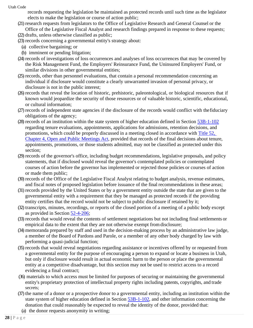records requesting the legislation be maintained as protected records until such time as the legislator elects to make the legislation or course of action public;

- (21) research requests from legislators to the Office of Legislative Research and General Counsel or the Office of the Legislative Fiscal Analyst and research findings prepared in response to these requests; (22) drafts, unless otherwise classified as public;
- (23) records concerning a governmental entity's strategy about:
	- (a) collective bargaining; or
	- (b) imminent or pending litigation;
- (24) records of investigations of loss occurrences and analyses of loss occurrences that may be covered by the Risk Management Fund, the Employers' Reinsurance Fund, the Uninsured Employers' Fund, or similar divisions in other governmental entities;
- (25) records, other than personnel evaluations, that contain a personal recommendation concerning an individual if disclosure would constitute a clearly unwarranted invasion of personal privacy, or disclosure is not in the public interest;
- (26) records that reveal the location of historic, prehistoric, paleontological, or biological resources that if known would jeopardize the security of those resources or of valuable historic, scientific, educational, or cultural information;
- (27) records of independent state agencies if the disclosure of the records would conflict with thefiduciary obligations of the agency;
- (28) records of an institution within the state system of higher education defined in Section [53B-1-102](https://le.utah.gov/xcode/Title53B/Chapter1/53B-1-S102.html?v=C53B-1-S102_2017050920170701) regarding tenure evaluations, appointments, applications for admissions, retention decisions, and promotions, which could be properly discussed in a meeting closed in accordance with [Title 52,](https://le.utah.gov/xcode/Title52/Chapter4/52-4.html?v=C52-4_1800010118000101)  [Chapter](https://le.utah.gov/xcode/Title52/Chapter4/52-4.html?v=C52-4_1800010118000101) [4, Open and Public Meetings Act,](https://le.utah.gov/xcode/Title52/Chapter4/52-4.html?v=C52-4_1800010118000101) provided that records of the final decisions about tenure, appointments, promotions, or those students admitted, may not be classified as protected under this section;
- (29) records of the governor's office, including budget recommendations, legislative proposals, and policy statements, that if disclosed would reveal the governor's contemplated policies or contemplated courses of action before the governor has implemented or rejected those policies or courses of action or made them public;
- (30) records of the Office of the Legislative Fiscal Analyst relating to budget analysis, revenue estimates, and fiscal notes of proposed legislation before issuance of the final recommendations in these areas;
- (31) records provided by the United States or by a government entity outside the state that are given to the governmental entity with a requirement that they be managed as protected records if the providing entity certifies that the record would not be subject to public disclosure if retained by it;
- (32) transcripts, minutes, recordings, or reports of the closed portion of a meeting of a public body except as provided in Section [52-4-206;](https://le.utah.gov/xcode/Title52/Chapter4/52-4-S206.html?v=C52-4-S206_2018050820180508)
- (33) records that would reveal the contents of settlement negotiations but not including final settlements or empirical data to the extent that they are not otherwise exempt fromdisclosure;
- (34) memoranda prepared by staff and used in the decision-making process by an administrative law judge, a member of the Board of Pardons and Parole, or a member of any other body charged by law with performing a quasi-judicial function;
- (35) records that would reveal negotiations regarding assistance or incentives offered by or requested from a governmental entity for the purpose of encouraging a person to expand or locate a business in Utah, but only if disclosure would result in actual economic harm to the person or place the governmental entity at a competitive disadvantage, but this section may not be used to restrict access to a record evidencing a final contract;
- (36) materials to which access must be limited for purposes of securing or maintaining the governmental entity's proprietary protection of intellectual property rights including patents, copyrights, and trade secrets;
- (37) the name of a donor or a prospective donor to a governmental entity, including an institution within the state system of higher education defined in Section [53B-1-102,](https://le.utah.gov/xcode/Title53B/Chapter1/53B-1-S102.html?v=C53B-1-S102_2017050920170701) and other information concerning the donation that could reasonably be expected to reveal the identity of the donor, provided that:
- (a) the donor requests anonymity in writing;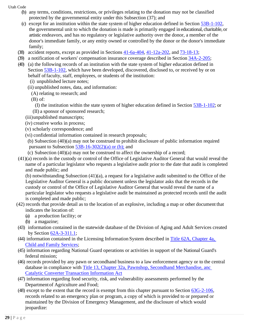- (b) any terms, conditions, restrictions, or privileges relating to the donation may not be classified protected by the governmental entity under this Subsection (37); and
- (c) except for an institution within the state system of higher education defined in Section [53B-1-102,](https://le.utah.gov/xcode/Title53B/Chapter1/53B-1-S102.html?v=C53B-1-S102_2017050920170701) the governmental unit to which the donation is made is primarily engaged in educational, charitable, or artistic endeavors, and has no regulatory or legislative authority over the donor, a member of the donor's immediate family, or any entity owned or controlled by the donor or the donor's immediate family;
- (38) accident reports, except as provided in Sections [41-6a-404,](https://le.utah.gov/xcode/Title41/Chapter6A/41-6a-S404.html?v=C41-6a-S404_2018050820180508) [41-12a-202,](https://le.utah.gov/xcode/Title41/Chapter12A/41-12a-S202.html?v=C41-12a-S202_1800010118000101) and [73-18-13;](https://le.utah.gov/xcode/Title73/Chapter18/73-18-S13.html?v=C73-18-S13_2015051220150512)
- (39) a notification of workers' compensation insurance coverage described in Section [34A-2-205;](https://le.utah.gov/xcode/Title34A/Chapter2/34A-2-S205.html?v=C34A-2-S205_1800010118000101)
- (40) (a) the following records of an institution with the state system of higher education defined in Section [53B-1-102,](https://le.utah.gov/xcode/Title53B/Chapter1/53B-1-S102.html?v=C53B-1-S102_2017050920170701) which have been developed, discovered, disclosed to, or received by or on behalf of faculty, staff, employees, or students of the institution:
	- (i) unpublished lecture notes;
	- (ii) unpublished notes, data, and information:
	- (A) relating to research; and
	- (B) of:
	- (I) the institution within the state system of higher education defined in Section [53B-1-102;](https://le.utah.gov/xcode/Title53B/Chapter1/53B-1-S102.html?v=C53B-1-S102_2020051220200701) or
	- (II) a sponsor of sponsored research;
	- (iii)unpublished manuscripts;
	- (iv) creative works in process;
	- (v) scholarly correspondence; and
	- (vi) confidential information contained in research proposals;
	- (b) Subsection (40)(a) may not be construed to prohibit disclosure of public information required pursuant to Subsection  $53B-16-302(2)(a)$  or (b); and
	- (c) Subsection (40)(a) may not be construed to affect the ownership of a record;
- (41)(a) records in the custody or control of the Office of Legislative Auditor General that would reveal the name of a particular legislator who requests a legislative audit prior to the date that audit is completed and made public; and

(b) notwithstanding Subsection (41)(a), a request for a legislative audit submitted to the Office of the Legislative Auditor General is a public document unless the legislator asks that the records in the custody or control of the Office of Legislative Auditor General that would reveal the name of a particular legislator who requests a legislative audit be maintained as protected records until the audit is completed and made public;

- (42) records that provide detail as to the location of an explosive, including a map or other document that indicates the location of:
	- (a) a production facility; or
	- (b) a magazine;
- (43) information contained in the statewide database of the Division of Aging and Adult Services created by Section [62A-3-311.1;](https://le.utah.gov/xcode/Title62A/Chapter3/62A-3-S311.1.html?v=C62A-3-S311.1_2017050920170509)
- (44) information contained in the Licensing Information System described in [Title 62A, Chapter 4a,](https://le.utah.gov/xcode/Title62A/Chapter4A/62A-4a.html?v=C62A-4a_1800010118000101)  [Child and Family](https://le.utah.gov/xcode/Title62A/Chapter4A/62A-4a.html?v=C62A-4a_1800010118000101) Services;
- (45) information regarding National Guard operations or activities in support of the National Guard's federal mission;
- (46) records provided by any pawn or secondhand business to a law enforcement agency or to the central database in compliance with [Title 13, Chapter 32a, Pawnshop,](https://le.utah.gov/xcode/Title13/Chapter32A/13-32a.html?v=C13-32a_1800010118000101) Secondhand Merchandise, anc [Catalytic Converter Transaction](https://le.utah.gov/xcode/Title13/Chapter32A/13-32a.html?v=C13-32a_1800010118000101) [Information](https://le.utah.gov/xcode/Title13/Chapter32A/13-32a.html?v=C13-32a_1800010118000101) Act
- (47) information regarding food security, risk, and vulnerability assessments performed by the Departmentof Agriculture and Food;
- (48) except to the extent that the record is exempt from this chapter pursuant to Section [63G-2-106,](https://le.utah.gov/xcode/Title63G/Chapter2/63G-2-S106.html?v=C63G-2-S106_1800010118000101) records related to an emergency plan or program, a copy of which is provided to or prepared or maintained by the Division of Emergency Management, and the disclosure of which would jeopardize: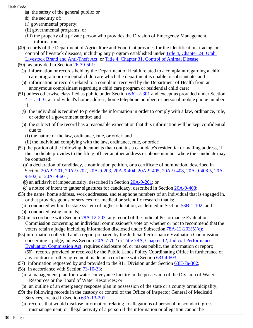- (a) the safety of the general public; or
- (b) the security of:
- (i) governmental property;
- (ii) governmental programs; or
- (iii) the property of a private person who provides the Division of Emergency Management information;
- (49) records of the Department of Agriculture and Food that provides for the identification, tracing, or control of livestock diseases, including any program established under [Title 4, Chapter 24, Utah](https://le.utah.gov/xcode/Title4/Chapter24/4-24.html?v=C4-24_2017050920170701)  [Livestock Brand](https://le.utah.gov/xcode/Title4/Chapter24/4-24.html?v=C4-24_2017050920170701) [and](https://le.utah.gov/xcode/Title4/Chapter24/4-24.html?v=C4-24_2017050920170701) [Anti-Theft Act,](https://le.utah.gov/xcode/Title4/Chapter24/4-24.html?v=C4-24_2017050920170701) or [Title 4, Chapter 31, Control of Animal](https://le.utah.gov/xcode/Title4/Chapter31/4-31.html?v=C4-31_1800010118000101) Disease;
- (50) as provided in Section [26-39-501:](https://le.utah.gov/xcode/Title26/Chapter39/26-39-S501.html?v=C26-39-S501_2015051220150512)
	- (a) information or records held by the Department of Health related to a complaint regarding a child care program or residential child care which the department is unable to substantiate; and
	- (b) information or records related to a complaint received by the Department of Health from an anonymous complainant regarding a child care program or residential child care;
- (51) unless otherwise classified as public under Section [63G-2-301](https://le.utah.gov/xcode/Title63G/Chapter2/63G-2-S301.html?v=C63G-2-S301_2018032220180322) and except as provided under Sectio[n](https://le.utah.gov/xcode/Title41/Chapter1A/41-1a-S116.html?v=C41-1a-S116_2019051420190514) [41-1a-116,](https://le.utah.gov/xcode/Title41/Chapter1A/41-1a-S116.html?v=C41-1a-S116_2019051420190514) an individual's home address, home telephone number, or personal mobile phone number, if:
	- (a) the individual is required to provide the information in order to comply with a law, ordinance, rule, or order of a government entity; and
	- (b) the subject of the record has a reasonable expectation that this information will be kept confidential due to:
		- (i) the nature of the law, ordinance, rule, or order; and
		- (ii) the individual complying with the law, ordinance, rule, or order;
- (52) the portion of the following documents that contains a candidate's residential or mailing address, if the candidate provides to the filing officer another address or phone number where the candidatemay be contacted:
	- (a) a declaration of candidacy, a nomination petition, or a certificate of nomination, described in Section [20A-9-201,](https://le.utah.gov/xcode/Title20A/Chapter9/20A-9-S201.html?v=C20A-9-S201_2019051420190514) [20A-9-202,](https://le.utah.gov/xcode/Title20A/Chapter9/20A-9-S202.html?v=C20A-9-S202_2019051420190514) [20A-9-203,](https://le.utah.gov/xcode/Title20A/Chapter9/20A-9-S203.html?v=C20A-9-S203_2019051420190514) [20A-9-404,](https://le.utah.gov/xcode/Title20A/Chapter9/20A-9-S404.html?v=C20A-9-S404_2019051420190514) [20A-9-405,](https://le.utah.gov/xcode/Title20A/Chapter9/20A-9-S405.html?v=C20A-9-S405_2018050820180508) [20A-9-408,](https://le.utah.gov/xcode/Title20A/Chapter9/20A-9-S408.html?v=C20A-9-S408_2019051420190514) [20A-9-408.5,](https://le.utah.gov/xcode/Title20A/Chapter9/20A-9-S408.5.html?v=C20A-9-S408.5_2015051220150512) [20A-](https://le.utah.gov/xcode/Title20A/Chapter9/20A-9-S502.html?v=C20A-9-S502_2018022120180221)[9-502,](https://le.utah.gov/xcode/Title20A/Chapter9/20A-9-S502.html?v=C20A-9-S502_2018022120180221) or [20A-](https://le.utah.gov/xcode/Title20A/Chapter9/20A-9-S601.html?v=C20A-9-S601_2019051420190514) [9-601;](https://le.utah.gov/xcode/Title20A/Chapter9/20A-9-S601.html?v=C20A-9-S601_2019051420190514)
	- (b) an affidavit of impecuniosity, described in Section [20A-9-201;](https://le.utah.gov/xcode/Title20A/Chapter9/20A-9-S201.html?v=C20A-9-S201_2019051420190514) or
	- (c) a notice of intent to gather signatures for candidacy, described in Section [20A-9-408;](https://le.utah.gov/xcode/Title20A/Chapter9/20A-9-S408.html?v=C20A-9-S408_2019051420190514)
- (53) the name, home address, work addresses, and telephone numbers of an individual that is engaged in, or that provides goods or services for, medical or scientific research that is:
	- (a) conducted within the state system of higher education, as defined in Section  $53B-1-102$ ; and
	- (b) conducted using animals;
- (54) in accordance with Section [78A-12-203, a](https://le.utah.gov/xcode/Title78A/Chapter12/78A-12-S203.html?v=C78A-12-S203_2017050920170509)ny record of the Judicial Performance Evaluation Commission concerning an individual commissioner's vote on whether or not to recommend that the voters retain a judge including information disclosed under Subsection [78A-12-203\(5\)\(e\);](https://le.utah.gov/xcode/Title78A/Chapter12/78A-12-S203.html?v=C78A-12-S203_2017050920170509&78A-12-203(5)(e))
- (55) information collected and a report prepared by the Judicial Performance Evaluation Commission concerning a judge, unless Section [20A-7-702](https://le.utah.gov/xcode/Title20A/Chapter7/20A-7-S702.html?v=C20A-7-S702_2018050820180508) or [Title 78A, Chapter 12, Judicial Performance](https://le.utah.gov/xcode/Title78A/Chapter12/78A-12.html?v=C78A-12_1800010118000101) [Evaluation Commission Act,](https://le.utah.gov/xcode/Title78A/Chapter12/78A-12.html?v=C78A-12_1800010118000101) requires disclosure of, or makes public, the information or report; (56) records provided or received by the Public Lands Policy Coordinating Office in furtherance of any contract or other agreement made in accordance with Section [63J-4-603;](https://le.utah.gov/xcode/Title63J/Chapter4/63J-4-S603.html?v=C63J-4-S603_2018050820180508)
- (57) information requested by and provided to the 911 Division under Section [63H-7a-302;](https://le.utah.gov/xcode/Title63H/Chapter7A/63H-7a-S302.html?v=C63H-7a-S302_2017050920170701)
- (58) in accordance with Section [73-10-33:](https://le.utah.gov/xcode/Title73/Chapter10/73-10-S33.html?v=C73-10-S33_2014040320140513)
	- (a) a management plan for a water conveyance facility in the possession of the Division of Water Resources or the Board of Water Resources; or
- (b) an outline of an emergency response plan in possession of the state or a county ormunicipality;
- (59) the following records in the custody or control of the Office of Inspector General of Medicaid Services, created in Section [63A-13-201:](https://le.utah.gov/xcode/Title63A/Chapter13/63A-13-S201.html?v=C63A-13-S201_2019051420190514)
	- (a) records that would disclose information relating to allegations of personal misconduct, gross mismanagement, or illegal activity of a person if the information or allegation cannot be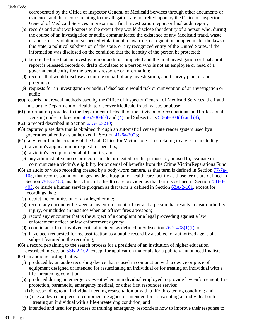corroborated by the Office of Inspector General of Medicaid Services through other documents or evidence, and the records relating to the allegation are not relied upon by the Office of Inspector General of Medicaid Services in preparing a final investigation report or final audit report;

- (b) records and audit workpapers to the extent they would disclose the identity of a person who, during the course of an investigation or audit, communicated the existence of any Medicaid fraud, waste, or abuse, or a violation or suspected violation of a law, rule, or regulation adopted under the laws of this state, a political subdivision of the state, or any recognized entity of the United States, if the information was disclosed on the condition that the identity of the person be protected;
- (c) before the time that an investigation or audit is completed and the final investigation or final audit report is released, records or drafts circulated to a person who is not an employee or head of a governmental entity for the person's response or information;
- (d) records that would disclose an outline or part of any investigation, audit survey plan, or audit program; or
- (e) requests for an investigation or audit, if disclosure would risk circumvention of an investigation or audit;
- (60) records that reveal methods used by the Office of Inspector General of Medicaid Services, the fraud unit, or the Department of Health, to discover Medicaid fraud, waste, or abuse;
- (61) information provided to the Department of Health or the Division of Occupational and Professional Licensing under Subsection  $58-67-304(3)$  and  $(4)$  and Subsections  $58-68-304(3)$  and  $(4)$ ;
- (62) a record described in Section [63G-12-210;](https://le.utah.gov/xcode/Title63G/Chapter12/63G-12-S210.html?v=C63G-12-S210_1800010118000101)
- (63) captured plate data that is obtained through an automatic license plate reader system used bya governmental entity as authorized in Section [41-6a-2003;](https://le.utah.gov/xcode/Title41/Chapter6A/41-6a-S2003.html?v=C41-6a-S2003_2014040320140513)
- (64) any record in the custody of the Utah Office for Victims of Crime relating to a victim, including:
	- (a) a victim's application or request for benefits;
	- (b) a victim's receipt or denial of benefits; and
	- (c) any administrative notes or records made or created for the purpose of, or used to, evaluate or communicate a victim's eligibility for or denial of benefits from the Crime VictimReparations Fund;
- (65) an audio or video recording created by a body-worn camera, as that term is defined in Section [77-7a-](https://le.utah.gov/xcode/Title77/Chapter7A/77-7a-S103.html?v=C77-7a-S103_2016051020160510)[103,](https://le.utah.gov/xcode/Title77/Chapter7A/77-7a-S103.html?v=C77-7a-S103_2016051020160510) that records sound or images inside a hospital or health care facility as those terms are defined in Section [78B-3-403,](https://le.utah.gov/xcode/Title78B/Chapter3/78B-3-S403.html?v=C78B-3-S403_2019051420190514) inside a clinic of a health care provider, as that term is defined in Section [78B-3-](https://le.utah.gov/xcode/Title78B/Chapter3/78B-3-S403.html?v=C78B-3-S403_2019051420190514) [403,](https://le.utah.gov/xcode/Title78B/Chapter3/78B-3-S403.html?v=C78B-3-S403_2019051420190514) or inside a human service program as that term is defined in Section [62A-2-101,](https://le.utah.gov/xcode/Title62A/Chapter2/62A-2-S101.html?v=C62A-2-S101_2019051420190514) except for recordings that:
	- (a) depict the commission of an alleged crime;
	- (b) record any encounter between a law enforcement officer and a person that results in death orbodily injury, or includes an instance when an officer fires a weapon;
	- (c) record any encounter that is the subject of a complaint or a legal proceeding against a law enforcement officer or law enforcement agency;
	- (d) contain an officer involved critical incident as defined in Subsection  $76-2-408(1)(f)$ ; or
	- (e) have been requested for reclassification as a public record by a subject or authorized agent of a subject featured in the recording;
- (66) a record pertaining to the search process for a president of an institution of higher education described in Section [53B-2-102,](https://le.utah.gov/xcode/Title53B/Chapter2/53B-2-S102.html?v=C53B-2-S102_2018050820180508) except for application materials for a publicly announced finalist;
- (67) an audio recording that is:
	- (a) produced by an audio recording device that is used in conjunction with a device or piece of equipment designed or intended for resuscitating an individual or for treating an individual with a life-threatening condition;
	- (b) produced during an emergency event when an individual employed to provide law enforcement, fire protection, paramedic, emergency medical, or other first responder service:
		- (i) is responding to an individual needing resuscitation or with a life-threatening condition; and
	- (ii) uses a device or piece of equipment designed or intended for resuscitating an individual or for treating an individual with a life-threatening condition; and
	- (c) intended and used for purposes of training emergency responders how to improve their response to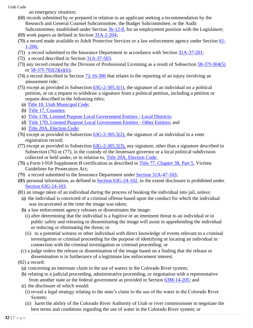an emergency situation;

- (68) records submitted by or prepared in relation to an applicant seeking a recommendation by the Research and General Counsel Subcommittee, the Budget Subcommittee, or the Audit Subcommittee, established under Section [36-12-8, f](https://le.utah.gov/xcode/Title36/Chapter12/36-12-S8.html?v=C36-12-S8_2016051020160510)or an employment position with the Legislature;
- (69) work papers as defined in Section [31A-2-204;](https://le.utah.gov/xcode/Title31A/Chapter2/31A-2-S204.html?v=C31A-2-S204_2018050820180508)
- (70) a record made available to Adult Protective Services or a law enforcement agency under Section [61-](https://le.utah.gov/xcode/Title61/Chapter1/61-1-S206.html?v=C61-1-S206_2018050820180508) [1-206;](https://le.utah.gov/xcode/Title61/Chapter1/61-1-S206.html?v=C61-1-S206_2018050820180508)
- (71) a record submitted to the Insurance Department in accordance with Section [31A-37-201;](https://le.utah.gov/xcode/Title31A/Chapter37/31A-37-S201.html?v=C31A-37-S201_2019051420190514)
- (72) a record described in Section [31A-37-503.](https://le.utah.gov/xcode/Title31A/Chapter37/31A-37-S503.html?v=C31A-37-S503_2019051420190514)
- (73) any record created by the Division of Professional Licensing as a result of Subsection [58-37f-304\(5\)](https://le.utah.gov/xcode/Title58/Chapter37F/58-37f-S304.html?v=C58-37f-S304_2019051420190514&58-37f-304(5)) or [58-37f-702\(2\)\(a\)\(ii\);](https://le.utah.gov/xcode/Title58/Chapter37F/58-37f-S702.html?v=C58-37f-S702_2019051420190514#58-37f-702(2)(a)(ii))
- (74) a record described in Section [72-16-306](https://le.utah.gov/xcode/Title72/Chapter16/72-16-S306.html?v=C72-16-S306_2019051420190514) that relates to the reporting of an injury involving an amusement ride;
- (75) except as provided in Subsection  $63G-2-305.5(1)$ , the signature of an individual on a political petition, or on a request to withdraw a signature from a political petition, including a petition or request described in the following titles:
	- (a) [Title 10, Utah Municipal](https://le.utah.gov/xcode/Title10/10.html?v=C10_1800010118000101) Code;
	- (b) Title 17, [Counties;](https://le.utah.gov/xcode/Title17/17.html?v=C17_1800010118000101)
	- (c) [Title 17B, Limited Purpose Local Government Entities -](https://le.utah.gov/xcode/Title17B/17B.html?v=C17B_1800010118000101) Local Districts;
	- (d) [Title 17D, Limited Purpose Local Government Entities -](https://le.utah.gov/xcode/Title17D/17D.html?v=C17D_1800010118000101) Other Entities; and
	- (e) [Title 20A, Election](https://le.utah.gov/xcode/Title20A/20A.html) Code;
- (76) except as provided in Subsection  $\frac{63G-2-305.5(2)}{63}$ , the signature of an individual in a voter registration record;
- (77) except as provided in Subsection [63G-2-305.5\(3\),](https://le.utah.gov/xcode/Title63G/Chapter2/63G-2-S305.5.html) any signature, other than a signature described in Subsection (76) or (77), in the custody of the lieutenant governor or a local political subdivision collected or held under, or in relation to, [Title 20A, Election](https://le.utah.gov/xcode/Title20A/20A.html) Code;
- (78) a Form I-918 Supplement B certification as described in [Title 77, Chapter 38, Part 5,](https://le.utah.gov/xcode/Title77/Chapter38/77-38-P5.html?v=C77-38-P5_2020051220200512) Victims Guidelines for Prosecutors Act;
- (79) a record submitted to the Insurance Department under [Section 31A-47-103;](https://le.utah.gov/xcode/Title31A/Chapter47/31A-47-S103.html?v=C31A-47-S103_2020051220200512)
- (80) personal information, as defined in [Section 63G-24-102,](https://le.utah.gov/xcode/Title63G/Chapter24/63G-24-S102.html?v=C63G-24-S102_2020051220210101) to the extent disclosure is prohibited unde[r](https://le.utah.gov/xcode/Title63G/Chapter24/63G-24-S103.html?v=C63G-24-S103_2020051220210101) Section [63G-24-103.](https://le.utah.gov/xcode/Title63G/Chapter24/63G-24-S103.html?v=C63G-24-S103_2020051220210101)
- (81) an image taken of an individual during the process of booking the individual into jail, unless:
	- (a) the individual is convicted of a criminal offense based upon the conduct for which the individual was incarcerated at the time the image was taken;
	- (b) a law enforcement agency releases or disseminates the image:
		- (i) after determining that the individual is a fugitive or an imminent threat to an individual or to public safety and releasing or disseminating the image will assist in apprehending the individual or reducing or eliminating the threat; or
		- (ii) to a potential witness or other individual with direct knowledge of events relevant to a criminal investigation or criminal proceeding for the purpose of identifying or locating an individual in connection with the criminal investigation or criminal proceeding; or
	- (c) a judge orders the release or dissemination of the image based on a finding that the release or dissemination is in furtherance of a legitimate law enforcement interest.
- (82) a record:
	- (a) concerning an interstate claim to the use of waters in the Colorado River system;
	- (b) relating to a judicial proceeding, administrative proceeding, or negotiation with a representative from another state or the federal government as provided in Section [63M-14-205;](https://le.utah.gov/xcode/Title63M/Chapter14/63M-14-S205.html?v=C63M-14-S205_2021031620210316) and
	- (c) the disclosure of which would:
		- (i) reveal a legal strategy relating to the state's claim to the use of the water in the Colorado River System;
		- (ii) harm the ability of the Colorado River Authority of Utah or river commissioner to negotiate the best terms and conditions regarding the use of water in the Colorado River system; or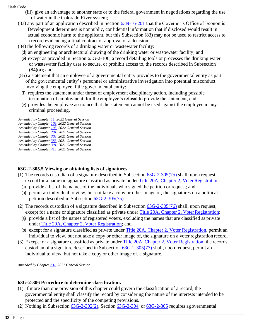- (iii) give an advantage to another state or to the federal government in negotiations regarding the use of water in the Colorado River system;
- (83) any part of an application described in Section [63N-16-201](https://le.utah.gov/xcode/Title63N/Chapter16/63N-16-S201.html?v=C63N-16-S201_2021050520210505) that the Governor's Office of Economic Development determines is nonpublic, confidential information that if disclosed would result in actual economic harm to the applicant, but this Subsection (83) may not be used to restrict access to a record evidencing a final contract or approval of a decision;
- (84) the following records of a drinking water or wastewater facility:
	- (d) an engineering or architectural drawing of the drinking water or wastewater facility; and (e) except as provided in Section 63G-2-106, a record detailing tools or processes the drinking water
	- or wastewater facility uses to secure, or prohibit access to, the records described in Subsection  $(84)(a)$ ; and
- (85) a statement that an employee of a governmental entity provides to the governmental entity as part of the governmental entity's personnel or administrative investigation into potential misconduct involving the employee if the governmental entity:
	- (f) requires the statement under threat of employment disciplinary action, including possible termination of employment, for the employee's refusal to provide the statement; and
	- (g) provides the employee assurance that the statement cannot be used against the employee in any criminal proceeding.

#### *Amended by Chapte[r 11,](https://le.utah.gov/~2022/bills/static/HB0040.html) 2022 General Session*

- *Amended by Chapte[r 109,](https://le.utah.gov/~2022/bills/static/SB0254.html) 2022 General Session*
- *Amended by Chapte[r 198,](https://le.utah.gov/~2022/bills/static/HB0031.html) 2022 General Session Amended by Chapte[r 201,](https://le.utah.gov/~2022/bills/static/HB0038.html) 2021 General Session*
- *Amended by Chapte[r 303,](https://le.utah.gov/~2022/bills/static/HB0097.html) 2021 General Session*
- *Amended by Chapte[r 388,](https://le.utah.gov/~2022/bills/static/HB0399.html) 2021 General Session*
- *Amended by Chapte[r 391,](https://le.utah.gov/~2022/bills/static/HB0406.html) 2021 General Session*
- *Amended by Chapte[r 415,](https://le.utah.gov/~2022/bills/static/SB0043.html) 2021 General Session*

# **63G-2-305.5 Viewing or obtaining lists of signatures.**

- (1) The records custodian of a signature described in Subsection  $63G-2-305(75)$  shall, upon request, except for a name or signature classified as private under [Title 20A, Chapter 2, Voter](https://le.utah.gov/xcode/Title20A/Chapter2/20A-2.html?v=C20A-2_1800010118000101) Registration:
	- (a) provide a list of the names of the individuals who signed the petition or request; and
	- (b) permit an individual to view, but not take a copy or other image of, the signatures on a political petition described in Subsection [63G-2-305\(75\).](https://le.utah.gov/xcode/Title63G/Chapter2/63G-2-S305.html?v=C63G-2-S305_2020051220200512)
- (2) The records custodian of a signature described in Subsection [63G-2-305\(76\)](https://le.utah.gov/xcode/Title63G/Chapter2/63G-2-S305.html?v=C63G-2-S305_2020051220200512) shall, upon request, except for a name or signature classified as private under Title 20A, Chapter 2, Voter Registration:
	- (a) provide a list of the names of registered voters, excluding the names that are classified as private under [Title 20A, Chapter 2, Voter Registration;](https://le.utah.gov/xcode/Title20A/Chapter2/20A-2.html?v=C20A-2_1800010118000101) and
	- (b) except for a signature classified as private under [Title 20A, Chapter 2, Voter Registration,](https://le.utah.gov/xcode/Title20A/Chapter2/20A-2.html?v=C20A-2_1800010118000101) permit an individual to view, but not take a copy or other image of, the signature on a voter registration record.
- (3) Except for a signature classified as private under [Title 20A, Chapter 2, Voter Registration,](https://le.utah.gov/xcode/Title20A/Chapter2/20A-2.html?v=C20A-2_1800010118000101) the records custodian of a signature described in Subsection [63G-2-305\(77\)](https://le.utah.gov/xcode/Title63G/Chapter2/63G-2-S305.html?v=C63G-2-S305_2020051220200512) shall, upon request, permit an individual to view, but not take a copy or other image of, a signature.

*Amended by Chapte[r 231,](https://le.utah.gov/~2021/bills/static/SB0099.html) 2021 General Session*

#### **63G-2-306 Procedure to determine classification.**

- (1) If more than one provision of this chapter could govern the classification of a record, the governmental entity shall classify the record by considering the nature of the interests intended to be protected and the specificity of the competing provisions.
- (2) Nothing in Subsection  $63G-2-302(2)$ , Section  $63G-2-304$ , or  $63G-2-305$  requires a governmental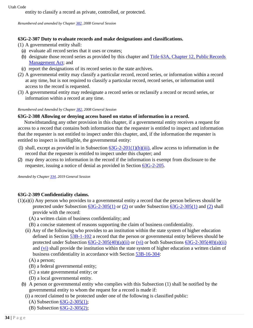entity to classify a record as private, controlled, or protected.

*Renumbered and amended by Chapter [382,](https://le.utah.gov/~2008/bills/static/HB0063.html) 2008 General Session*

# **63G-2-307 Duty to evaluate records and make designations and classifications.**

- (1) A governmental entity shall:
	- (a) evaluate all record series that it uses or creates;
	- (b) designate those record series as provided by this chapter and Title 63A, Chapter 12, Public Records [Management Act;](https://le.utah.gov/xcode/Title63A/Chapter12/63A-12.html?v=C63A-12_1800010118000101) and
- (c) report the designations of its record series to the state archives.
- (2) A governmental entity may classify a particular record, record series, or information within a record at any time, but is not required to classify a particular record, record series, or information until access to the record is requested.
- (3) A governmental entity may redesignate a record series or reclassify a record or record series, or information within a record at any time.

#### *Renumbered and Amended by Chapter [382, 2](http://le.utah.gov/UtahCode/ChapterLookup.jsp?chap=382&sess=2008GS)008 General Session*

# **63G-2-308 Allowing or denying access based on status of information in a record.**

Notwithstanding any other provision in this chapter, if a governmental entity receives a request for access to a record that contains both information that the requester is entitled to inspect and information that the requester is not entitled to inspect under this chapter, and, if the information the requester is entitled to inspect is intelligible, the governmental entity:

- (1) shall, except as provided in in Subsection  $63G-2-201(1)(b)(iii)$ , allow access to information in the record that the requester is entitled to inspect under this chapter; and
- (2) may deny access to information in the record if the information is exempt from disclosure to the requester, issuing a notice of denial as provided in Section [63G-2-205.](https://le.utah.gov/xcode/Title63G/Chapter2/63G-2-S205.html?v=C63G-2-S205_1800010118000101)

*Amended by Chapte[r 334, 2](http://le.utah.gov/UtahCode/ChapterLookup.jsp?chap=334&sess=2019GS)019 General Session*

# **63G-2-309 Confidentiality claims.**

- (1)(a)(i) Any person who provides to a governmental entity a record that the person believes should be protected under Subsection [63G-2-305\(1\)](https://le.utah.gov/xcode/Title63G/Chapter2/63G-2-S305.html?v=C63G-2-S305_2019051420190514&63G-2-305(1)) or [\(2\)](https://le.utah.gov/xcode/Title63G/Chapter2/63G-2-S305.html?v=C63G-2-S305_2019051420190514&63G-2-305(2)) or under Subsection [63G-2-305\(1\)](https://le.utah.gov/xcode/Title63G/Chapter2/63G-2-S305.html?v=C63G-2-S305_2019051420190514&63G-2-305(1)) and [\(2\)](https://le.utah.gov/xcode/Title63G/Chapter2/63G-2-S305.html?v=C63G-2-S305_2019051420190514&63G-2-305(2)) shall provide with the record:
	- (A) a written claim of business confidentiality; and
	- (B) a concise statement of reasons supporting the claim of business confidentiality.
	- (ii) Any of the following who provides to an institution within the state system of higher education defined in Section [53B-1-102](https://le.utah.gov/xcode/Title53B/Chapter1/53B-1-S102.html?v=C53B-1-S102_2017050920170701) a record that the person or governmental entity believes should be protected under Subsection  $63G-2-305(40)(a)(ii)$  or  $(vi)$  or both Subsections  $63G-2-305(40)(a)(ii)$ and [\(vi\)](https://le.utah.gov/xcode/Title63G/Chapter2/63G-2-S305.html?v=C63G-2-S305_2019051420190514&63G-2-305(40)(a)(vi)) shall provide the institution within the state system of higher education a written claim of business confidentiality in accordance with Section [53B-16-304:](https://le.utah.gov/xcode/Title53B/Chapter16/53B-16-S304.html?v=C53B-16-S304_1800010118000101)
		- (A) a person;
		- (B) a federal governmental entity;
		- (C) a state governmental entity; or
		- (D) a local governmental entity.
	- (b) A person or governmental entity who complies with this Subsection (1) shall be notified by the governmental entity to whom the request for a record is made if:
		- (i) a record claimed to be protected under one of the following is classified public:
			- (A) Subsection [63G-2-305\(1\);](https://le.utah.gov/xcode/Title63G/Chapter2/63G-2-S305.html?v=C63G-2-S305_2019051420190514&63G-2-305(1))
			- (B) Subsection [63G-2-305\(2\);](https://le.utah.gov/xcode/Title63G/Chapter2/63G-2-S305.html?v=C63G-2-S305_2019051420190514&63G-2-305(2))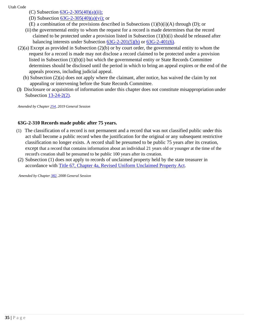- (C) Subsection  $63G-2-305(40)(a)(ii)$ ;
	- (D) Subsection  $63G-2-305(40)(a)(vi)$ ; or
- (E) a combination of the provisions described in Subsections  $(1)(b)(i)(A)$  through  $(D)$ ; or
- (ii) the governmental entity to whom the request for a record is made determines that the record claimed to be protected under a provision listed in Subsection  $(1)(b)(i)$  should be released after balancing interests under Subsection  $63G-2-201(5)(b)$  or  $63G-2-401(6)$ .
- (2)(a) Except as provided in Subsection (2)(b) or by court order, the governmental entity to whom the request for a record is made may not disclose a record claimed to be protected under a provision listed in Subsection (1)(b)(i) but which the governmental entity or State Records Committee determines should be disclosed until the period in which to bring an appeal expires or the end of the appeals process, including judicial appeal.
	- (b) Subsection (2)(a) does not apply where the claimant, after notice, has waived the claim by not appealing or intervening before the State Records Committee.
- (3) Disclosure or acquisition of information under this chapter does not constitute misappropriation under Subsection  $13-24-2(2)$ .

*Amended by Chapte[r 254, 2](http://le.utah.gov/UtahCode/ChapterLookup.jsp?chap=254&sess=2019GS)019 General Session*

# **63G-2-310 Records made public after 75 years.**

- (1) The classification of a record is not permanent and a record that was not classified public under this act shall become a public record when the justification for the original or any subsequent restrictive classification no longer exists. A record shall be presumed to be public 75 years after its creation, except that a record that contains information about an individual 21 years old or younger at the time of the record's creation shall be presumed to be public 100 years after its creation.
- (2) Subsection (1) does not apply to records of unclaimed property held by the state treasurer in accordance with [Title 67, Chapter 4a, Revised Uniform Unclaimed Property](https://le.utah.gov/xcode/Title67/Chapter4A/67-4a.html?v=C67-4a_2017050920170509) Act.

*Amended by Chapte[r 382, 2](http://le.utah.gov/UtahCode/ChapterLookup.jsp?chap=382&sess=2008GS)008 General Session*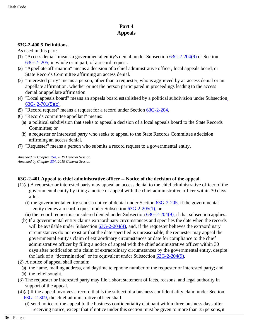# **Part 4 Appeals**

#### **63G-2-400.5 Definitions.**

As used in this part:

- (1) "Access de[n](https://le.utah.gov/xcode/Title63G/Chapter2/63G-2-S205.html?v=C63G-2-S205_1800010118000101)ial" means a governmental entity's denial, under Subsection  $63G-2-204(9)$  or Section [63G-2-](https://le.utah.gov/xcode/Title63G/Chapter2/63G-2-S205.html?v=C63G-2-S205_1800010118000101) [205,](https://le.utah.gov/xcode/Title63G/Chapter2/63G-2-S205.html?v=C63G-2-S205_1800010118000101) in whole or in part, of a record request.
- (2) "Appellate affirmation" means a decision of a chief administrative officer, local appeals board, or State Records Committee affirming an access denial.
- (3) "Interested party" means a person, other than a requester, who is aggrieved by an access denial or an appellate affirmation, whether or not the person participated in proceedings leading to the access denial or appellate affirmation.
- (4) "Local appeals board" means an appeals board established by a political subdivision under Subsection [63G-](https://le.utah.gov/xcode/Title63G/Chapter2/63G-2-S701.html?v=C63G-2-S701_2019051420190514&63G-2-701(5)(c)) [2-701\(5\)\(c\).](https://le.utah.gov/xcode/Title63G/Chapter2/63G-2-S701.html?v=C63G-2-S701_2019051420190514&63G-2-701(5)(c))
- (5) "Record request" means a request for a record under Section [63G-2-204.](https://le.utah.gov/xcode/Title63G/Chapter2/63G-2-S204.html?v=C63G-2-S204_2019051420190514)
- (6) "Records committee appellant" means:
	- (a) a political subdivision that seeks to appeal a decision of a local appeals board to the State Records Committee; or
	- (b) a requester or interested party who seeks to appeal to the State Records Committee adecision affirming an access denial.
- (7) "Requester" means a person who submits a record request to a governmental entity.

*Amended by Chapte[r 254, 2](http://le.utah.gov/UtahCode/ChapterLookup.jsp?chap=254&sess=2019GS)019 General Session Amended by Chapte[r 334, 2](http://le.utah.gov/UtahCode/ChapterLookup.jsp?chap=334&sess=2019GS)019 General Session*

# **63G-2-401 Appeal to chief administrative officer -- Notice of the decision of the appeal.**

- (1)(a) A requester or interested party may appeal an access denial to the chief administrative officer of the governmental entity by filing a notice of appeal with the chief administrative officer within 30 days after:
	- (i) the governmental entity sends a notice of denial under Section  $63G-2-205$ , if the governmental entity denies a record request under Subsection [63G-2-205\(1\);](https://le.utah.gov/xcode/Title63G/Chapter2/63G-2-S205.html?v=C63G-2-S205_1800010118000101&63G-2-205(1)) or
	- (ii) the record request is considered denied under Subsection [63G-2-204\(9\), i](https://le.utah.gov/xcode/Title63G/Chapter2/63G-2-S204.html?v=C63G-2-S204_2019051420190514&63G-2-204(9))f that subsection applies.
	- (b) If a governmental entity claims extraordinary circumstances and specifies the date when the records will be available under Subsection [63G-2-204\(4\),](https://le.utah.gov/xcode/Title63G/Chapter2/63G-2-S204.html?v=C63G-2-S204_2019051420190514&63G-2-204(4)) and, if the requester believes the extraordinary circumstances do not exist or that the date specified is unreasonable, the requester may appeal the governmental entity's claim of extraordinary circumstances or date for compliance to the chief administrative officer by filing a notice of appeal with the chief administrative officer within 30 days after notification of a claim of extraordinary circumstances by the governmental entity, despite the lack of a "determination" or its equivalent under Subsection [63G-2-204\(9\).](https://le.utah.gov/xcode/Title63G/Chapter2/63G-2-S204.html?v=C63G-2-S204_2019051420190514&63G-2-204(9))
- (2) A notice of appeal shall contain:
- (a) the name, mailing address, and daytime telephone number of the requester or interested party; and (b) the relief sought.
- (3) The requester or interested party may file a short statement of facts, reasons, and legal authority in support of the appeal.
- (4)(a) If the appeal involves a record that is the subject of a business confidentiality claim under Section [63G-](https://le.utah.gov/xcode/Title63G/Chapter2/63G-2-S309.html?v=C63G-2-S309_2019051420190514) [2-309,](https://le.utah.gov/xcode/Title63G/Chapter2/63G-2-S309.html?v=C63G-2-S309_2019051420190514) the chief administrative officer shall:
	- (i) send notice of the appeal to the business confidentiality claimant within three business days after receiving notice, except that if notice under this section must be given to more than 35 persons,it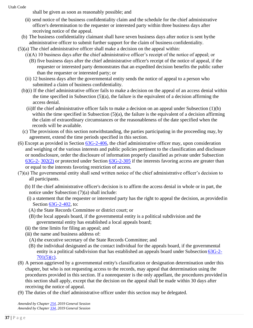shall be given as soon as reasonably possible; and

- (ii) send notice of the business confidentiality claim and the schedule for the chief administrative officer's determination to the requester or interested party within three business days after receiving notice of the appeal.
- (b) The business confidentiality claimant shall have seven business days after notice is sent bythe administrative officer to submit further support for the claim of business confidentiality.
- (5)(a) The chief administrative officer shall make a decision on the appeal within:
	- (i)(A) 10 business days after the chief administrative officer's receipt of the notice of appeal; or
		- (B) five business days after the chief administrative officer's receipt of the notice of appeal, if the requester or interested party demonstrates that an expedited decision benefits the public rather than the requester or interested party; or
	- (ii) 12 business days after the governmental entity sends the notice of appeal to a person who submitted a claim of business confidentiality.
	- (b)(i) If the chief administrative officer fails to make a decision on the appeal of an access denial within the time specified in Subsection  $(5)(a)$ , the failure is the equivalent of a decision affirming the access denial.
		- (ii)If the chief administrative officer fails to make a decision on an appeal under Subsection (1)(b) within the time specified in Subsection  $(5)(a)$ , the failure is the equivalent of a decision affirming the claim of extraordinary circumstances or the reasonableness of the date specified when the records will be available.
	- (c) The provisions of this section notwithstanding, the parties participating in the proceeding may, by agreement, extend the time periods specified in this section.
- (6) Except as provided in Section [63G-2-406, t](https://le.utah.gov/xcode/Title63G/Chapter2/63G-2-S406.html?v=C63G-2-S406_1800010118000101)he chief administrative officer may, upon consideration and weighing of the various interests and public policies pertinent to the classification and disclosure or nondisclosure, order the disclosure of information properly classified as private under Subsection [63G-2-](https://le.utah.gov/xcode/Title63G/Chapter2/63G-2-S302.html?v=C63G-2-S302_2019051420190514&63G-2-302(2)) [302\(2\)](https://le.utah.gov/xcode/Title63G/Chapter2/63G-2-S302.html?v=C63G-2-S302_2019051420190514&63G-2-302(2)) or protected under Section [63G-2-305](https://le.utah.gov/xcode/Title63G/Chapter2/63G-2-S305.html?v=C63G-2-S305_2019051420190514) if the interests favoring access are greater than or equal to the interests favoring restriction of access.
- (7)(a) The governmental entity shall send written notice of the chief administrative officer's decision to all participants.
	- (b) If the chief administrative officer's decision is to affirm the access denial in whole or in part, the notice under Subsection (7)(a) shall include:
	- (i) a statement that the requester or interested party has the right to appeal the decision, as providedin Section [63G-2-402,](https://le.utah.gov/xcode/Title63G/Chapter2/63G-2-S402.html?v=C63G-2-S402_2019051420190514) to:
	- (A) the State Records Committee or district court; or
	- (B) the local appeals board, if the governmental entity is a political subdivision and the governmental entity has established a local appeals board;
	- (ii) the time limits for filing an appeal; and
	- (iii) the name and business address of:
		- (A) the executive secretary of the State Records Committee; and
		- (B) the individual designated as the contact individual for the appeals board, if the governmental entity is a political subdivision that has established an appeals board under Subsection [63G-2-](https://le.utah.gov/xcode/Title63G/Chapter2/63G-2-S701.html?v=C63G-2-S701_2019051420190514&63G-2-701(5)(c))  $701(5)(c)$ .
- (8) A person aggrieved by a governmental entity's classification or designation determination under this chapter, but who is not requesting access to the records, may appeal that determination using the procedures provided in this section. If a nonrequester is the only appellant, the procedures provided in this section shall apply, except that the decision on the appeal shall be made within 30 days after receiving the notice of appeal.
- (9) The duties of the chief administrative officer under this section may be delegated.

*Amended by Chapte[r 254, 2](http://le.utah.gov/UtahCode/ChapterLookup.jsp?chap=254&sess=2019GS)019 General Session Amended by Chapte[r 334, 2](http://le.utah.gov/UtahCode/ChapterLookup.jsp?chap=334&sess=2019GS)019 General Session*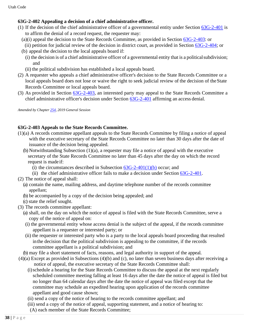# **63G-2-402 Appealing a decision of a chief administrative officer.**

- (1) If the decision of the chief administrative officer of a governmental entity under Section [63G-2-401](https://le.utah.gov/xcode/Title63G/Chapter2/63G-2-S401.html?v=C63G-2-S401_2019051420190514) is to affirm the denial of a record request, the requester may:
	- (a)(i) appeal the decision to the State Records Committee, as provided in Section [63G-2-403:](https://le.utah.gov/xcode/Title63G/Chapter2/63G-2-S403.html?v=C63G-2-S403_2019051420190514) or
	- (ii) petition for judicial review of the decision in district court, as provided in Section [63G-2-404;](https://le.utah.gov/xcode/Title63G/Chapter2/63G-2-S404.html?v=C63G-2-S404_2019051420190514) or (b) appeal the decision to the local appeals board if:
	- (i) the decision is of a chief administrative officer of a governmental entity that is a politicalsubdivision; and
	- (ii) the political subdivision has established a local appeals board.
- (2) A requester who appeals a chief administrative officer's decision to the State Records Committee or a local appeals board does not lose or waive the right to seek judicial review of the decision of the State Records Committee or local appeals board.
- (3) As provided in Section [63G-2-403,](https://le.utah.gov/xcode/Title63G/Chapter2/63G-2-S403.html?v=C63G-2-S403_2019051420190514) an interested party may appeal to the State Records Committee a chief administrative officer's decision under Section [63G-2-401](https://le.utah.gov/xcode/Title63G/Chapter2/63G-2-S401.html?v=C63G-2-S401_2019051420190514) affirming an access denial.

*Amended by Chapte[r 254,](https://le.utah.gov/~2019/bills/static/SB0025.html) 2019 General Session*

# **63G-2-403 Appeals to the State Records Committee.**

- (1)(a) A records committee appellant appeals to the State Records Committee by filing a notice of appeal with the executive secretary of the State Records Committee no later than 30 days after the date of issuance of the decision being appealed.
	- (b) Notwithstanding Subsection (1)(a), a requester may file a notice of appeal with the executive secretary of the State Records Committee no later than 45 days after the day on which the record request is made if:
		- (i) the circumstances described in Subsection  $63G-2-401(1)(b)$  occur; and
		- (ii) the chief administrative officer fails to make a decision under Section [63G-2-401.](https://le.utah.gov/xcode/Title63G/Chapter2/63G-2-S401.html?v=C63G-2-S401_2019051420190514)
- (2) The notice of appeal shall:
	- (a) contain the name, mailing address, and daytime telephone number of the records committee appellant;
	- (b) be accompanied by a copy of the decision being appealed; and
	- (c) state the relief sought.
- (3) The records committee appellant:
	- (a) shall, on the day on which the notice of appeal is filed with the State Records Committee, serve a copy of the notice of appeal on:
	- (i) the governmental entity whose access denial is the subject of the appeal, if the records committee appellant is a requester or interested party; or
	- (ii) the requester or interested party who is a party to the local appeals board proceeding that resulted inthe decision that the political subdivision is appealing to the committee, if the records committee appellant is a political subdivision; and
- (b) may file a short statement of facts, reasons, and legal authority in support of the appeal.
- (4)(a) Except as provided in Subsections (4)(b) and (c), no later than seven business days after receiving a notice of appeal, the executive secretary of the State Records Committee shall:
	- (i)schedule a hearing for the State Records Committee to discuss the appeal at the next regularly scheduled committee meeting falling at least 16 days after the date the notice of appeal is filed but no longer than 64 calendar days after the date the notice of appeal was filed except that the committee may schedule an expedited hearing upon application of the records committee appellant and good cause shown;
	- (ii) send a copy of the notice of hearing to the records committee appellant; and
	- (iii) send a copy of the notice of appeal, supporting statement, and a notice of hearing to:
	- (A) each member of the State Records Committee;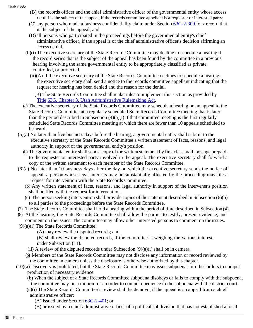- (B) the records officer and the chief administrative officer of the governmental entity whose access denial is the subject of the appeal, if the records committee appellant is a requester or interested party;
- (C) any person who made a business confidentiality claim under Section [63G-2-309](https://le.utah.gov/xcode/Title63G/Chapter2/63G-2-S309.html?v=C63G-2-S309_2019051420190514) for arecord that is the subject of the appeal; and
- (D) all persons who participated in the proceedings before the governmental entity's chief administrative officer, if the appeal is of the chief administrative officer's decision affirming an access denial.
- (b)(i) The executive secretary of the State Records Committee may decline to schedule a hearing if the record series that is the subject of the appeal has been found by the committee in a previous hearing involving the same governmental entity to be appropriately classified as private, controlled, or protected.
	- (ii)(A) If the executive secretary of the State Records Committee declines to schedule a hearing, the executive secretary shall send a notice to the records committee appellant indicating that the request for hearing has been denied and the reason for the denial.

(B) The State Records Committee shall make rules to implement this section as provided by [Title](https://le.utah.gov/xcode/Title63G/Chapter3/63G-3.html?v=C63G-3_1800010118000101) [63G,](https://le.utah.gov/xcode/Title63G/Chapter3/63G-3.html?v=C63G-3_1800010118000101) [Chapter 3, Utah Administrative Rulemaking Act.](https://le.utah.gov/xcode/Title63G/Chapter3/63G-3.html?v=C63G-3_1800010118000101)

- (c) The executive secretary of the State Records Committee may schedule a hearing on an appeal to the State Records Committee at a regularly scheduled State Records Committee meeting that is later than the period described in Subsection  $(4)(a)(i)$  if that committee meeting is the first regularly scheduled State Records Committee meeting at which there are fewer than 10 appeals scheduled to be heard.
- (5)(a) No later than five business days before the hearing, a governmental entity shall submit to the executive secretary of the State Records Committee a written statement of facts, reasons, and legal authority in support of the governmental entity's position.
	- (b) The governmental entity shall send a copy of the written statement by first class mail, postage prepaid, to the requester or interested party involved in the appeal. The executive secretary shall forward a copy of the written statement to each member of the State Records Committee.
- (6)(a) No later than 10 business days after the day on which the executive secretary sends the notice of appeal, a person whose legal interests may be substantially affected by the proceeding may file a request for intervention with the State Records Committee.
	- (b) Any written statement of facts, reasons, and legal authority in support of the intervener's position shall be filed with the request for intervention.
	- (c) The person seeking intervention shall provide copies of the statement described in Subsection (6)(b) to all parties to the proceedings before the State Records Committee.
- (7) The State Records Committee shall hold a hearing within the period of time described in Subsection (4).
- (8) At the hearing, the State Records Committee shall allow the parties to testify, present evidence, and
- comment on the issues. The committee may allow other interested persons to comment on the issues.
- (9)(a)(i) The State Records Committee:
	- (A) may review the disputed records; and
	- (B) shall review the disputed records, if the committee is weighing the various interests under Subsection (11).
	- (ii) A review of the disputed records under Subsection  $(9)(a)(i)$  shall be in camera.
	- (b) Members of the State Records Committee may not disclose any information or record reviewed by the committee in camera unless the disclosure is otherwise authorized by this chapter.
- (10)(a) Discovery is prohibited, but the State Records Committee may issue subpoenas or other orders to compel production of necessary evidence.
	- (b) When the subject of a State Records Committee subpoena disobeys or fails to comply with the subpoena, the committee may fie a motion for an order to compel obedience to the subpoena with the district court.
	- (c)(i) The State Records Committee's review shall be de novo, if the appeal is an appeal from a chief administrative officer:
		- (A) issued under Section  $63G-2-401$ ; or
		- (B) or issued by a chief administrative officer of a political subdivision that has not established a local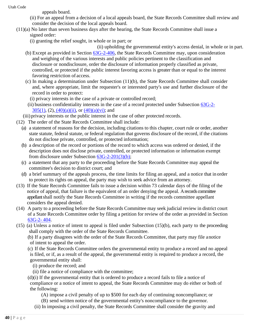appeals board.

- (ii) For an appeal from a decision of a local appeals board, the State Records Committee shall review and consider the decision of the local appeals board.
- (11)(a) No later than seven business days after the hearing, the State Records Committee shall issue a signed order:
	- (i) granting the relief sought, in whole or in part; or

(ii) upholding the governmental entity's access denial, in whole or in part.

- (b) Except as provided in Section [63G-2-406, t](https://le.utah.gov/xcode/Title63G/Chapter2/63G-2-S406.html?v=C63G-2-S406_1800010118000101)he State Records Committee may, upon consideration and weighing of the various interests and public policies pertinent to the classification and disclosure or nondisclosure, order the disclosure of information properly classified as private, controlled, or protected if the public interest favoring access is greater than or equal to the interest favoring restriction of access.
- (c) In making a determination under Subsection (11)(b), the State Records Committee shall consider and, where appropriate, limit the requester's or interested party's use and further disclosure of the record in order to protect:
	- (i) privacy interests in the case of a private or controlled record;
- (ii) business confidentiality interests in the case of a record protected under Subsection [63G-2-](https://le.utah.gov/xcode/Title63G/Chapter2/63G-2-S305.html?v=C63G-2-S305_2019051420190514&63G-2-305(1))  $305(1)$ ,  $(2)$ ,  $(40)(a)(ii)$ , or  $(40)(a)(vi)$ ; and

(iii) privacy interests or the public interest in the case of other protected records.

- (12) The order of the State Records Committee shall include:
	- (a) a statement of reasons for the decision, including citations to this chapter, court rule or order, another state statute, federal statute, or federal regulation that governs disclosure of the record, if the citations do not disclose private, controlled, or protected information;
	- (b) a description of the record or portions of the record to which access was ordered or denied, if the description does not disclose private, controlled, or protected information or information exempt from disclosure under Subsection [63G-2-201\(3\)\(b\);](https://le.utah.gov/xcode/Title63G/Chapter2/63G-2-S201.html?v=C63G-2-S201_2019051420190514&63G-2-201(3)(b))
	- (c) a statement that any party to the proceeding before the State Records Committee may appeal the committee's decision to district court; and
	- (d) a brief summary of the appeals process, the time limits for filing an appeal, and a notice that in order to protect its rights on appeal, the party may wish to seek advice from an attorney.
- (13) If the State Records Committee fails to issue a decision within 73 calendar days of the filing of the notice of appeal, that failure is the equivalent of an order denying the appeal. Arecords committee appellant shall notify the State Records Committee in writing if the records committee appellant considers the appeal denied.
- (14) A party to a proceeding before the State Records Committee may seek judicial review in district court of a State Records Committee order by filing a petition for review of the order as provided in Section [63G-2-](https://le.utah.gov/xcode/Title63G/Chapter2/63G-2-S404.html?v=C63G-2-S404_2019051420190514) [404.](https://le.utah.gov/xcode/Title63G/Chapter2/63G-2-S404.html?v=C63G-2-S404_2019051420190514)
- (15) (a) Unless a notice of intent to appeal is filed under Subsection (15)(b), each party to the proceeding shall comply with the order of the State Records Committee.

(b) If a party disagrees with the order of the State Records Committee, that party may file anotice of intent to appeal the order.

- (c) If the State Records Committee orders the governmental entity to produce a record and no appeal is filed, or if, as a result of the appeal, the governmental entity is required to produce a record, the governmental entity shall:
	- (i) produce the record; and
	- (ii) file a notice of compliance with the committee;
- (d)(i) If the governmental entity that is ordered to produce a record fails to file a notice of compliance or a notice of intent to appeal, the State Records Committee may do either or both of the following:
	- (A) impose a civil penalty of up to \$500 for each day of continuing noncompliance; or
	- (B) send written notice of the governmental entity's noncompliance to the governor.
	- (ii) In imposing a civil penalty, the State Records Committee shall consider the gravity and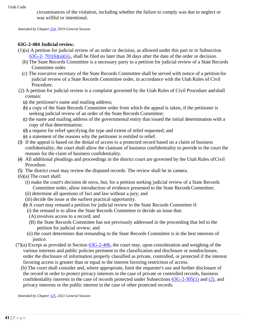circumstances of the violation, including whether the failure to comply was due to neglect or was willful or intentional.

*Amended by Chapte[r 254, 2](http://le.utah.gov/UtahCode/ChapterLookup.jsp?chap=254&sess=2019GS)019 General Session*

# **63G-2-404 Judicial review.**

- (1)(a) A petition for judicial review of an order or decision, as allowed under this part or in Subsection [63G-2-](https://le.utah.gov/xcode/Title63G/Chapter2/63G-2-S701.html?v=C63G-2-S701_2019051420190514&63G-2-701(6)(a)(ii))  $701(6)(a)(ii)$ , shall be filed no later than 30 days after the date of the order or decision.
	- (b) The State Records Committee is a necessary party to a petition for judicial review of a State Records Committee order.
	- (c) The executive secretary of the State Records Committee shall be served with notice of a petition for judicial review of a State Records Committee order, in accordance with the Utah Rules of Civil Procedure.
- (2) A petition for judicial review is a complaint governed by the Utah Rules of Civil Procedure andshall contain:
	- (a) the petitioner's name and mailing address;
	- (b) a copy of the State Records Committee order from which the appeal is taken, if the petitioner is seeking judicial review of an order of the State Records Committee;
	- (c) the name and mailing address of the governmental entity that issued the initial determination with a copy of that determination;
	- (d) a request for relief specifying the type and extent of relief requested; and
	- (e) a statement of the reasons why the petitioner is entitled to relief.
- (3) If the appeal is based on the denial of access to a protected record based on a claim of business confidentiality, the court shall allow the claimant of business confidentiality to provide to the court the reasons for the claim of business confidentiality.
- (4) All additional pleadings and proceedings in the district court are governed by the Utah Rules ofCivil Procedure.
- (5) The district court may review the disputed records. The review shall be in camera.
- (6)(a) The court shall:
	- (i) make the court's decision de novo, but, for a petition seeking judicial review of a State Records Committee order, allow introduction of evidence presented to the State RecordsCommittee;
	- (ii) determine all questions of fact and law without a jury; and
	- (iii) decide the issue at the earliest practical opportunity.
	- (b) A court may remand a petition for judicial review to the State Records Committee if:
		- (i) the remand is to allow the State Records Committee to decide an issue that:
		- (A) involves access to a record; and
		- (B) the State Records Committee has not previously addressed in the proceeding that led to the petition for judicial review; and
		- (ii) the court determines that remanding to the State Records Committee is in the best interests of justice.
- $(7)(a)$  Except as provided in Section  $63G-2-406$ , the court may, upon consideration and weighing of the various interests and public policies pertinent to the classification and disclosure or nondisclosure, order the disclosure of information properly classified as private, controlled, or protected if the interest favoring access is greater than or equal to the interest favoring restriction of access.
	- (b) The court shall consider and, where appropriate, limit the requester's use and further disclosure of the record in order to protect privacy interests in the case of private or controlled records, business confidentiality interests in the case of records protected under Subsections [63G-2-305\(1\)](https://le.utah.gov/xcode/Title63G/Chapter2/63G-2-S305.html?v=C63G-2-S305_2019051420190514&63G-2-305(1)) and [\(2\),](https://le.utah.gov/xcode/Title63G/Chapter2/63G-2-S305.html?v=C63G-2-S305_2019051420190514&63G-2-305(2)) and privacy interests or the public interest in the case of other protected records.

*Amended by Chapte[r 325,](https://le.utah.gov/~2021/bills/static/SB0150.html) 2021 General Session*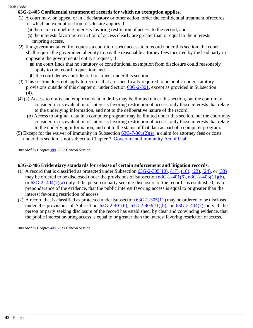# **63G-2-405 Confidential treatment of records for which no exemption applies.**

- (1) A court may, on appeal or in a declaratory or other action, order the confidential treatment ofrecords for which no exemption from disclosure applies if:
	- (a) there are compelling interests favoring restriction of access to the record; and
	- (b) the interests favoring restriction of access clearly are greater than or equal to the interests favoring access.
- (2) If a governmental entity requests a court to restrict access to a record under this section, the court shall require the governmental entity to pay the reasonable attorney fees incurred by the lead party in opposing the governmental entity's request, if:
	- (a) the court finds that no statutory or constitutional exemption from disclosure could reasonably apply to the record in question; and
	- (b) the court denies confidential treatment under this section.
- (3) This section does not apply to records that are specifically required to be public under statutory provisions outside of this chapter or under Section [63G-2-301, e](https://le.utah.gov/xcode/Title63G/Chapter2/63G-2-S301.html?v=C63G-2-S301_2014040320140513)xcept as provided in Subsection (4).
- (4) (a) Access to drafts and empirical data in drafts may be limited under this section, but the court may consider, in its evaluation of interests favoring restriction of access, only those interests that relate to the underlying information, and not to the deliberative nature of the record.
	- (b) Access to original data in a computer program may be limited under this section, but the court may consider, in its evaluation of interests favoring restriction of access, only those interests that relate to the underlying information, and not to the status of that data as part of a computer program.
- (5) Except for the waiver of immunity in Subsection  $63G-7-301(2)(e)$ , a claim for attorney fees or costs under this section is not subject to Chapter 7, [Governmental Immunity Act of Utah.](https://le.utah.gov/xcode/Title63G/Chapter7/63G-7.html?v=C63G-7_1800010118000101)

*Amended by Chapte[r 388, 2](https://le.utah.gov/~2022/bills/static/HB0399.html)022 General Session*

#### **63G-2-406 Evidentiary standards for release of certain enforcement and litigation records.**

- (1) A record that is classified as protected under Subsection  $63G-2-305(10)$ ,  $(17)$ ,  $(18)$ ,  $(23)$ ,  $(24)$ , or  $(33)$ may be ordered to be disclosed under the provisions of Subsection [63G-2-401\(6\),](https://le.utah.gov/xcode/Title63G/Chapter2/63G-2-S401.html?v=C63G-2-S401_2015051220150512&63G-2-401(6)) [63G-2-403\(11\)\(b\),](https://le.utah.gov/xcode/Title63G/Chapter2/63G-2-S403.html?v=C63G-2-S403_2015051220150512&63G-2-403(11)(b)) or  $63G-2-404(7)(a)$  $63G-2-404(7)(a)$  only if the person or party seeking disclosure of the record has established, by a preponderance of the evidence, that the public interest favoring access is equal to or greater than the interest favoring restriction of access.
- (2) A record that is classified as protected under Subsection  $63G-2-305(11)$  may be ordered to be disclosed under the provisions of Subsection  $63G-2-401(6)$ ,  $63G-2-403(11)(b)$ , or  $63G-2-404(7)$  only if the person or party seeking disclosure of the record has established, by clear and convincing evidence, that the public interest favoring access is equal to or greater than the interest favoring restriction of access.

*Amended by Chapte[r 445, 2](https://le.utah.gov/~2013/bills/static/SB0190.html)013 General Session*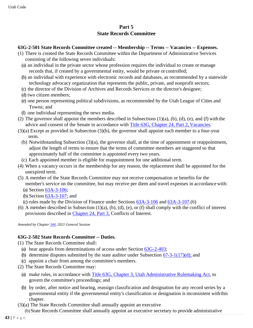# **Part 5 State Records Committee**

# **63G-2-501 State Records Committee created -- Membership -- Terms -- Vacancies -- Expenses.**

- (1) There is created the State Records Committee within the Department of Administrative Services consisting of the following seven individuals:
	- (a) an individual in the private sector whose profession requires the individual to create or manage records that, if created by a governmental entity, would be private or controlled;
	- (b) an individual with experience with electronic records and databases, as recommended by a statewide technology advocacy organization that represents the public, private, and nonprofit sectors;
	- (c) the director of the Division of Archives and Records Services or the director's designee;
	- (d) two citizen members;
	- (e) one person representing political subdivisions, as recommended by the Utah League of Cities and Towns; and
	- (f) one individual representing the news media.
- (2) The governor shall appoint the members described in Subsections (1)(a), (b), (d), (e), and (f) with the advice and consent of the Senate in accordance with [Title 63G, Chapter 24, Part 2,](https://le.utah.gov/xcode/Title63G/Chapter24/63G-24-P2.html?v=C63G-24-P2_2020051220210101) Vacancies.
- (3)(a) Except as provided in Subsection (3)(b), the governor shall appoint each member to a four-year term.
	- (b) Notwithstanding Subsection  $(3)(a)$ , the governor shall, at the time of appointment or reappointment, adjust the length of terms to ensure that the terms of committee members are staggered so that approximately half of the committee is appointed every two years.
	- (c) Each appointed member is eligible for reappointment for one additional term.
- (4) When a vacancy occurs in the membership for any reason, the replacement shall be appointed for the unexpired term.
- (5) A member of the State Records Committee may not receive compensation or benefits for the member's service on the committee, but may receive per diem and travel expenses in accordance with:
	- (a) Section [63A-3-106;](https://le.utah.gov/xcode/Title63A/Chapter3/63A-3-S106.html?v=C63A-3-S106_2018032220180322)
	- (b) Section [63A-3-107;](https://le.utah.gov/xcode/Title63A/Chapter3/63A-3-S107.html?v=C63A-3-S107_2014040320140513) and
	- (c) rules made by the Division of Finance under Sections [63A-3-106](https://le.utah.gov/xcode/Title63A/Chapter3/63A-3-S106.html?v=C63A-3-S106_2018032220180322) and [63A-3-107.\(](https://le.utah.gov/xcode/Title63A/Chapter3/63A-3-S107.html?v=C63A-3-S107_2014040320140513)6)
- (6) A member described in Subsection  $(1)(a)$ ,  $(b)$ ,  $(d)$ ,  $(e)$ , or  $(f)$  shall comply with the conflict of interest provisions described in [Chapter 24, Part 3,](https://le.utah.gov/xcode/Title63G/Chapter24/63G-24-P3.html?v=C63G-24-P3_2020051220210101) Conflicts of Interest.

*Amended by Chapte[r 344, 2](https://le.utah.gov/~2021/bills/static/SB0181.html)021 General Session*

#### **63G-2-502 State Records Committee -- Duties.**

- (1) The State Records Committee shall:
	- (a) hear appeals from determinations of access under Section [63G-2-403;](https://le.utah.gov/xcode/Title63G/Chapter2/63G-2-S403.html?v=C63G-2-S403_2019051420190514)
	- (b) determine disputes submitted by the state auditor under Subsection  $\frac{67-3-1(17)(d)}{d}$ ; and
	- (c) appoint a chair from among the committee's members.
- (2) The State Records Committee may:
	- (a) make rules, in accordance with [Title 63G, Chapter 3, Utah Administrative Rulemaking Act,](https://le.utah.gov/xcode/Title63G/Chapter3/63G-3.html?v=C63G-3_1800010118000101) to govern the committee's proceedings; and
	- (b) by order, after notice and hearing, reassign classification and designation for any record series by a governmental entity if the governmental entity's classification or designation is inconsistent withthis chapter.
- (3)(a) The State Records Committee shall annually appoint an executive (b)State Records Committee shall annually appoint an executive secretary to provide administrative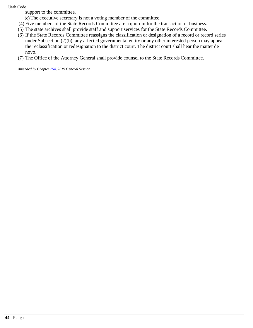support to the committee.

(c) The executive secretary is not a voting member of the committee.

- (4) Five members of the State Records Committee are a quorum for the transaction of business.
- (5) The state archives shall provide staff and support services for the State Records Committee.
- (6) If the State Records Committee reassigns the classification or designation of a record or record series under Subsection (2)(b), any affected governmental entity or any other interested person may appeal the reclassification or redesignation to the district court. The district court shall hear the matter de novo.
- (7) The Office of the Attorney General shall provide counsel to the State Records Committee.

*Amended by Chapte[r 254, 2](http://le.utah.gov/UtahCode/ChapterLookup.jsp?chap=254&sess=2019GS)019 General Session*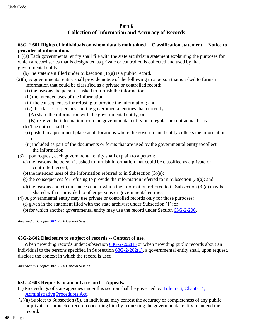#### **Part 6**

# **Collection of Information and Accuracy of Records**

#### **63G-2-601 Rights of individuals on whom data is maintained -- Classification statement -- Notice to provider of information.**

(1)(a) Each governmental entity shall file with the state archivist a statement explaining the purposes for which a record series that is designated as private or controlled is collected and used by that governmental entity.

(b)The statement filed under Subsection (1)(a) is a public record.

- (2)(a) A governmental entity shall provide notice of the following to a person that is asked to furnish information that could be classified as a private or controlled record:
	- (i) the reasons the person is asked to furnish the information;
	- (ii) the intended uses of the information;
	- (iii) the consequences for refusing to provide the information; and
	- (iv) the classes of persons and the governmental entities that currently:
		- (A) share the information with the governmental entity; or
		- (B) receive the information from the governmental entity on a regular or contractual basis.
	- (b) The notice shall be:
	- (i) posted in a prominent place at all locations where the governmental entity collects the information; or
	- (ii) included as part of the documents or forms that are used by the governmental entity tocollect the information.
- (3) Upon request, each governmental entity shall explain to a person:
	- (a) the reasons the person is asked to furnish information that could be classified as a private or controlled record;
	- (b) the intended uses of the information referred to in Subsection (3)(a);
	- (c) the consequences for refusing to provide the information referred to in Subsection  $(3)(a)$ ; and
	- (d) the reasons and circumstances under which the information referred to in Subsection (3)(a) may be shared with or provided to other persons or governmental entities.
- (4) A governmental entity may use private or controlled records only for those purposes:
	- (a) given in the statement filed with the state archivist under Subsection (1); or
	- (b) for which another governmental entity may use the record under Section [63G-2-206.](https://le.utah.gov/xcode/Title63G/Chapter2/63G-2-S206.html?v=C63G-2-S206_1800010118000101)

*Amended by Chapte[r 382, 2](http://le.utah.gov/UtahCode/ChapterLookup.jsp?chap=382&sess=2008GS)008 General Session*

#### **63G-2-602 Disclosure to subject of records -- Context of use.**

When providing records under Subsection  $63G-2-202(1)$  or when providing public records about an individual to the persons specified in Subsection  $63G-2-202(1)$ , a governmental entity shall, upon request, disclose the context in which the record is used.

*Amended by Chapter 382, 2008 General Session*

#### **63G-2-603 Requests to amend a record -- Appeals.**

- (1) Proceedings of state agencies under this section shall be governed by [Title 63G, Chapter 4,](https://le.utah.gov/xcode/Title63G/Chapter4/63G-4.html?v=C63G-4_1800010118000101) [Administrative](https://le.utah.gov/xcode/Title63G/Chapter4/63G-4.html?v=C63G-4_1800010118000101) [Procedures Act.](https://le.utah.gov/xcode/Title63G/Chapter4/63G-4.html?v=C63G-4_1800010118000101)
- (2)(a) Subject to Subsection (8), an individual may contest the accuracy or completeness of any public, or private, or protected record concerning him by requesting the governmental entity to amend the record.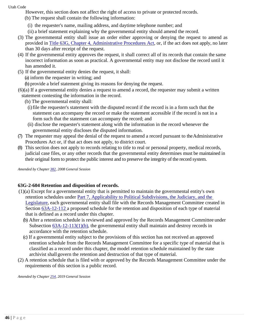However, this section does not affect the right of access to private or protected records.

- (b) The request shall contain the following information:
	- (i) the requester's name, mailing address, and daytime telephone number; and
	- (ii) a brief statement explaining why the governmental entity should amend the record.
- (3) The governmental entity shall issue an order either approving or denying the request to amend as provided in [Title 63G, Chapter 4, Administrative Procedures Act,](https://le.utah.gov/xcode/Title63G/Chapter4/63G-4.html?v=C63G-4_1800010118000101) or, if the act does not apply, no later than 30 days after receipt of the request.
- (4) If the governmental entity approves the request, it shall correct all of its records that contain the same incorrect information as soon as practical. A governmental entity may not disclose the record until it has amended it.
- (5) If the governmental entity denies the request, it shall:
	- (a) inform the requester in writing; and

(b) provide a brief statement giving its reasons for denying the request.

- (6)(a) If a governmental entity denies a request to amend a record, the requester may submit a written statement contesting the information in the record.
	- (b) The governmental entity shall:
		- (i)file the requester's statement with the disputed record if the record is in a form such that the statement can accompany the record or make the statement accessible if the record is not in a form such that the statement can accompany the record; and
		- (ii) disclose the requester's statement along with the information in the record whenever the governmental entity discloses the disputed information.
- (7) The requester may appeal the denial of the request to amend a record pursuant to theAdministrative Procedures Act or, if that act does not apply, to district court.
- (8) This section does not apply to records relating to title to real or personal property, medical records, judicial case files, or any other records that the governmental entity determines must be maintained in their original form to protect the public interest and to preserve the integrity of the record system.

*Amended by Chapte[r 382, 2](http://le.utah.gov/UtahCode/ChapterLookup.jsp?chap=382&sess=2008GS)008 General Session*

#### **63G-2-604 Retention and disposition of records.**

- (1)(a) Except for a governmental entity that is permitted to maintain the governmental entity's own retention schedules under [Part 7, Applicability to Political Subdivisions, the Judiciary, and the](https://le.utah.gov/xcode/Title63G/Chapter2/63G-2-P7.html?v=C63G-2-P7_1800010118000101)  [Legislature,](https://le.utah.gov/xcode/Title63G/Chapter2/63G-2-P7.html?v=C63G-2-P7_1800010118000101) each governmental entity shall file with the Records Management Committee created in Section [63A-12-112 a](https://le.utah.gov/xcode/Title63A/Chapter12/63A-12-S112.html?v=C63A-12-S112_2019051420190514) proposed schedule for the retention and disposition of each type of material that is defined as a record under this chapter.
	- (b) After a retention schedule is reviewed and approved by the Records Management Committee under Subsection  $63A-12-113(1)(b)$ , the governmental entity shall maintain and destroy records in accordance with the retention schedule.
	- (c) If a governmental entity subject to the provisions of this section has not received an approved retention schedule from the Records Management Committee for a specific type of material that is classified as a record under this chapter, the model retention schedule maintained by the state archivist shall govern the retention and destruction of that type of material.
- (2) A retention schedule that is filed with or approved by the Records Management Committee under the requirements of this section is a public record.

*Amended by Chapte[r 254, 2](http://le.utah.gov/UtahCode/ChapterLookup.jsp?chap=254&sess=2019GS)019 General Session*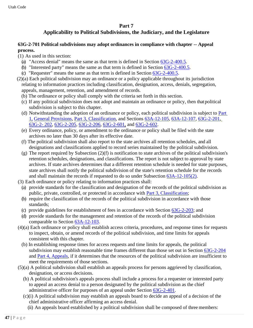# **Part 7**

# **Applicability to Political Subdivisions, the Judiciary, and the Legislature**

## **63G-2-701 Political subdivisions may adopt ordinances in compliance with chapter -- Appeal process.**

(1) As used in this section:

- (a) "Access denial" means the same as that term is defined in Section [63G-2-400.5.](https://le.utah.gov/xcode/Title63G/Chapter2/63G-2-S400.5.html?v=C63G-2-S400.5_2019051420190514)
- (b) "Interested party" means the same as that term is defined in Section [63G-2-400.5.](https://le.utah.gov/xcode/Title63G/Chapter2/63G-2-S400.5.html?v=C63G-2-S400.5_2019051420190514)
- (c) "Requester" means the same as that term is defined in Section [63G-2-400.5.](https://le.utah.gov/xcode/Title63G/Chapter2/63G-2-S400.5.html?v=C63G-2-S400.5_2019051420190514)
- (2)(a) Each political subdivision may an ordinance or a policy applicable throughout its jurisdiction relating to information practices including classification, designation, access, denials, segregation, appeals, management, retention, and amendment of records.
	- (b) The ordinance or policy shall comply with the criteria set forth in this section.
	- (c) If any political subdivision does not adopt and maintain an ordinance or policy, then thatpolitical subdivision is subject to this chapter.
	- (d) Notwithstanding the adoption of an ordinance or policy, each political subdivision is subject to [Part](https://le.utah.gov/xcode/Title63G/Chapter2/63G-2-P1.html?v=C63G-2-P1_1800010118000101) [1,](https://le.utah.gov/xcode/Title63G/Chapter2/63G-2-P1.html?v=C63G-2-P1_1800010118000101) [General Provisions,](https://le.utah.gov/xcode/Title63G/Chapter2/63G-2-P1.html?v=C63G-2-P1_1800010118000101) [Part 3, Classification,](https://le.utah.gov/xcode/Title63G/Chapter2/63G-2-P3.html?v=C63G-2-P3_1800010118000101) and Sections [63A-12-105,](https://le.utah.gov/xcode/Title63A/Chapter12/63A-12-S105.html?v=C63A-12-S105_1800010118000101) [63A-12-107,](https://le.utah.gov/xcode/Title63A/Chapter12/63A-12-S107.html?v=C63A-12-S107_1800010118000101) [63G-2-201,](https://le.utah.gov/xcode/Title63G/Chapter2/63G-2-S201.html?v=C63G-2-S201_2019051420190514) [63G-2-](https://le.utah.gov/xcode/Title63G/Chapter2/63G-2-S202.html?v=C63G-2-S202_2019051420190514) [202,](https://le.utah.gov/xcode/Title63G/Chapter2/63G-2-S202.html?v=C63G-2-S202_2019051420190514) [63G-2-205,](https://le.utah.gov/xcode/Title63G/Chapter2/63G-2-S205.html?v=C63G-2-S205_1800010118000101) [63G-2-206,](https://le.utah.gov/xcode/Title63G/Chapter2/63G-2-S206.html?v=C63G-2-S206_2019051420190514) [63G-2-601,](https://le.utah.gov/xcode/Title63G/Chapter2/63G-2-S601.html?v=C63G-2-S601_1800010118000101) and [63G-2-602.](https://le.utah.gov/xcode/Title63G/Chapter2/63G-2-S602.html?v=C63G-2-S602_1800010118000101)
	- (e) Every ordinance, policy, or amendment to the ordinance or policy shall be filed with the state archives no later than 30 days after its effective date.
	- (f) The political subdivision shall also report to the state archives all retention schedules, and all designations and classifications applied to record series maintained by the political subdivision.
	- (g) The report required by Subsection (2)(f) is notification to state archives of the political subdivision's retention schedules, designations, and classifications. The report is not subject to approval by state archives. If state archives determines that a different retention schedule is needed for state purposes, state archives shall notify the political subdivision of the state's retention schedule for the records and shall maintain the records if requested to do so under Subsection [63A-12-105\(2\).](https://le.utah.gov/xcode/Title63A/Chapter12/63A-12-S105.html?v=C63A-12-S105_1800010118000101&63A-12-105(2))
- (3) Each ordinance or policy relating to information practices shall:
	- (a) provide standards for the classification and designation of the records of the political subdivision as public, private, controlled, or protected in accordance with Part 3, [Classification;](https://le.utah.gov/xcode/Title63G/Chapter2/63G-2-P3.html?v=C63G-2-P3_1800010118000101)
	- (b) require the classification of the records of the political subdivision in accordance with those standards;
	- (c) provide guidelines for establishment of fees in accordance with Section [63G-2-203;](https://le.utah.gov/xcode/Title63G/Chapter2/63G-2-S203.html?v=C63G-2-S203_2016051020160510) and
	- (d) provide standards for the management and retention of the records of the political subdivision comparable to Section [63A-12-103.](https://le.utah.gov/xcode/Title63A/Chapter12/63A-12-S103.html?v=C63A-12-S103_2019051420190514)
- (4)(a) Each ordinance or policy shall establish access criteria, procedures, and response times for requests to inspect, obtain, or amend records of the political subdivision, and time limits for appeals consistent with this chapter.
	- (b) In establishing response times for access requests and time limits for appeals, the political subdivision may establish reasonable time frames different than those set out in Section [63G-2-204](https://le.utah.gov/xcode/Title63G/Chapter2/63G-2-S204.html?v=C63G-2-S204_2019051420190514) and [Part 4,](https://le.utah.gov/xcode/Title63G/Chapter2/63G-2-P4.html?v=C63G-2-P4_1800010118000101) [Appeals,](https://le.utah.gov/xcode/Title63G/Chapter2/63G-2-P4.html?v=C63G-2-P4_1800010118000101) if it determines that the resources of the political subdivision are insufficient to meet the requirements of those sections.
- (5)(a) A political subdivision shall establish an appeals process for persons aggrieved by classification, designation, or access decisions.
	- (b) A political subdivision's appeals process shall include a process for a requester or interested party to appeal an access denial to a person designated by the political subdivision as the chief administrative officer for purposes of an appeal under Section [63G-2-401.](https://le.utah.gov/xcode/Title63G/Chapter2/63G-2-S401.html?v=C63G-2-S401_2019051420190514)
	- (c)(i) A political subdivision may establish an appeals board to decide an appeal of a decision of the chief administrative officer affirming an access denial.
		- (ii) An appeals board established by a political subdivision shall be composed of three members: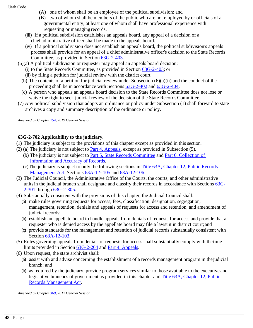- (A) one of whom shall be an employee of the political subdivision; and
- (B) two of whom shall be members of the public who are not employed by or officials of a governmental entity, at least one of whom shall have professional experience with requesting or managing records.
- (iii) If a political subdivision establishes an appeals board, any appeal of a decision of a chief administrative officer shall be made to the appeals board.
- (iv) If a political subdivision does not establish an appeals board, the political subdivision's appeals process shall provide for an appeal of a chief administrative officer's decision to the State Records Committee, as provided in Section [63G-2-403.](https://le.utah.gov/xcode/Title63G/Chapter2/63G-2-S403.html?v=C63G-2-S403_2019051420190514)
- (6)(a) A political subdivision or requester may appeal an appeals board decision:
	- (i) to the State Records Committee, as provided in Section [63G-2-403;](https://le.utah.gov/xcode/Title63G/Chapter2/63G-2-S403.html?v=C63G-2-S403_2019051420190514) or
	- (ii) by filing a petition for judicial review with the district court.
	- (b) The contents of a petition for judicial review under Subsection (6)(a)(ii) and the conduct of the proceeding shall be in accordance with Sections [63G-2-402](https://le.utah.gov/xcode/Title63G/Chapter2/63G-2-S402.html?v=C63G-2-S402_2019051420190514) and [63G-2-404.](https://le.utah.gov/xcode/Title63G/Chapter2/63G-2-S404.html?v=C63G-2-S404_2019051420190514)
	- (c) A person who appeals an appeals board decision to the State Records Committee does not lose or waive the right to seek judicial review of the decision of the State Records Committee.
- (7) Any political subdivision that adopts an ordinance or policy under Subsection (1) shall forward to state archives a copy and summary description of the ordinance or policy.

*Amended by Chapte[r 254, 2](http://le.utah.gov/UtahCode/ChapterLookup.jsp?chap=254&sess=2019GS)019 General Session*

# **63G-2-702 Applicability to the judiciary.**

- (1) The judiciary is subject to the provisions of this chapter except as provided in this section.
- (2) (a) The judiciary is not subject to [Part 4, Appeals,](https://le.utah.gov/xcode/Title63G/Chapter2/63G-2-P4.html?v=C63G-2-P4_1800010118000101) except as provided in Subsection (5).
	- (b) The judiciary is not subject to [Part 5, State Records Committee](https://le.utah.gov/xcode/Title63G/Chapter2/63G-2-P5.html?v=C63G-2-P5_1800010118000101) and [Part 6, Collection of](https://le.utah.gov/xcode/Title63G/Chapter2/63G-2-P6.html?v=C63G-2-P6_1800010118000101) [Information](https://le.utah.gov/xcode/Title63G/Chapter2/63G-2-P6.html?v=C63G-2-P6_1800010118000101) [and Accuracy of](https://le.utah.gov/xcode/Title63G/Chapter2/63G-2-P6.html?v=C63G-2-P6_1800010118000101) Records.
	- (c)The judiciary is subject to only the following sections in [Title 63A, Chapter 12, Public Records](https://le.utah.gov/xcode/Title63A/Chapter12/63A-12.html?v=C63A-12_1800010118000101) [Management Act:](https://le.utah.gov/xcode/Title63A/Chapter12/63A-12.html?v=C63A-12_1800010118000101) Sections [63A-12-](https://le.utah.gov/xcode/Title63A/Chapter12/63A-12-S105.html?v=C63A-12-S105_1800010118000101) [105](https://le.utah.gov/xcode/Title63A/Chapter12/63A-12-S105.html?v=C63A-12-S105_1800010118000101) and [63A-12-106.](https://le.utah.gov/xcode/Title63A/Chapter12/63A-12-S106.html?v=C63A-12-S106_1800010118000101)
- (3) The Judicial Council, the Administrative Office of the Courts, the courts, and other administrative unitsin the judicial branch shall designate and classify their records in accordance with Sections [63G-](https://le.utah.gov/xcode/Title63G/Chapter2/63G-2-S301.html?v=C63G-2-S301_2014040320140513)[2-301](https://le.utah.gov/xcode/Title63G/Chapter2/63G-2-S301.html?v=C63G-2-S301_2014040320140513) through [63G-2-305.](https://le.utah.gov/xcode/Title63G/Chapter2/63G-2-S305.html?v=C63G-2-S305_2015051220150701)
- (4) Substantially consistent with the provisions of this chapter, the Judicial Council shall:
	- (a) make rules governing requests for access, fees, classification, designation, segregation, management, retention, denials and appeals of requests for access and retention, and amendment of judicial records;
	- (b) establish an appellate board to handle appeals from denials of requests for access and provide that a requester who is denied access by the appellate board may file a lawsuit in district court; and
	- (c) provide standards for the management and retention of judicial records substantially consistent with Section [63A-12-103.](https://le.utah.gov/xcode/Title63A/Chapter12/63A-12-S103.html?v=C63A-12-S103_1800010118000101)
- (5) Rules governing appeals from denials of requests for access shall substantially comply with thetime limits provided in Section [63G-2-204](https://le.utah.gov/xcode/Title63G/Chapter2/63G-2-S204.html?v=C63G-2-S204_1800010118000101) and Part 4, [Appeals.](https://le.utah.gov/xcode/Title63G/Chapter2/63G-2-P4.html?v=C63G-2-P4_1800010118000101)
- (6) Upon request, the state archivist shall:
	- (a) assist with and advise concerning the establishment of a records management program in thejudicial branch; and
	- (b) as required by the judiciary, provide program services similar to those available to the executive and legislative branches of government as provided in this chapter and [Title 63A, Chapter 12, Public](https://le.utah.gov/xcode/Title63A/Chapter12/63A-12.html?v=C63A-12_1800010118000101) [Records Management](https://le.utah.gov/xcode/Title63A/Chapter12/63A-12.html?v=C63A-12_1800010118000101) Act.

*Amended by Chapte[r 369, 2](http://le.utah.gov/UtahCode/ChapterLookup.jsp?chap=369&sess=2012GS)012 General Session*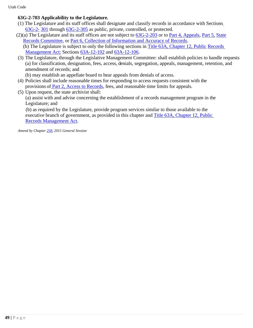# **63G-2-703 Applicability to the Legislature.**

- (1) The Legislature and its staff offices shall designate and classify records in accordance with Sections [63G-2-](https://le.utah.gov/xcode/Title63G/Chapter2/63G-2-S301.html?v=C63G-2-S301_2014040320140513) [301](https://le.utah.gov/xcode/Title63G/Chapter2/63G-2-S301.html?v=C63G-2-S301_2014040320140513) through [63G-2-305](https://le.utah.gov/xcode/Title63G/Chapter2/63G-2-S305.html?v=C63G-2-S305_2015051220150701) as public, private, controlled, or protected.
- (2)(a) The Legislature and its staff offices are not subject to [63G-2-203](https://le.utah.gov/xcode/Title63G/Chapter2/63G-2-S203.html?v=C63G-2-S203_1800010118000101) or to [Part 4, Appeals,](https://le.utah.gov/xcode/Title63G/Chapter2/63G-2-P4.html?v=C63G-2-P4_1800010118000101) [Part 5,](https://le.utah.gov/xcode/Title63G/Chapter2/63G-2-P5.html?v=C63G-2-P5_1800010118000101) [State](https://le.utah.gov/xcode/Title63G/Chapter2/63G-2-P5.html?v=C63G-2-P5_1800010118000101) [Records Committee,](https://le.utah.gov/xcode/Title63G/Chapter2/63G-2-P5.html?v=C63G-2-P5_1800010118000101) or [Part 6, Collection of Information and Accuracy of Records.](https://le.utah.gov/xcode/Title63G/Chapter2/63G-2-P6.html?v=C63G-2-P6_1800010118000101) (b) The Legislature is subject to only the following sections in [Title 63A, Chapter 12, Public](https://le.utah.gov/xcode/Title63A/Chapter12/63A-12.html?v=C63A-12_1800010118000101) [Records](https://le.utah.gov/xcode/Title63A/Chapter12/63A-12.html?v=C63A-12_1800010118000101) [Management Act:](https://le.utah.gov/xcode/Title63A/Chapter12/63A-12.html?v=C63A-12_1800010118000101) Sections [63A-12-102](https://le.utah.gov/xcode/Title63A/Chapter12/63A-12-S102.html?v=C63A-12-S102_1800010118000101) and [63A-12-106.](https://le.utah.gov/xcode/Title63A/Chapter12/63A-12-S106.html?v=C63A-12-S106_1800010118000101)
- (3) The Legislature, through the Legislative Management Committee: shall establish policies to handle requests (a) for classification, designation, fees, access, denials, segregation, appeals, management, retention, and amendment of records; and
	- (b) may establish an appellate board to hear appeals from denials of access.
- (4) Policies shall include reasonable times for responding to access requests consistent with the provisions of [Part 2, Access to Records,](https://le.utah.gov/xcode/Title63G/Chapter2/63G-2-P2.html?v=C63G-2-P2_1800010118000101) fees, and reasonable time limits for appeals.
- (5) Upon request, the state archivist shall:

(a) assist with and advise concerning the establishment of a records management program in the Legislature; and

 (b) as required by the Legislature, provide program services similar to those available to the executive branch of government, as provided in this chapter and [Title 63A, Chapter 12, Public](https://le.utah.gov/xcode/Title63A/Chapter12/63A-12.html?v=C63A-12_1800010118000101)  [Records](https://le.utah.gov/xcode/Title63A/Chapter12/63A-12.html?v=C63A-12_1800010118000101) [Management](https://le.utah.gov/xcode/Title63A/Chapter12/63A-12.html?v=C63A-12_1800010118000101) Act.

*Amend by Chapter [258, 2](http://le.utah.gov/UtahCode/ChapterLookup.jsp?chap=258&sess=2015GS)015 General Session*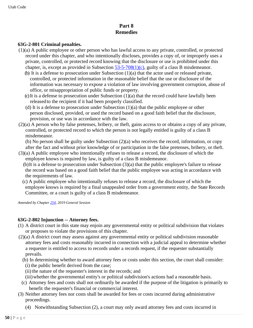# **Part 8 Remedies**

## **63G-2-801 Criminal penalties.**

- (1)(a) A public employee or other person who has lawful access to any private, controlled, or protected record under this chapter, and who intentionally discloses, provides a copy of, or improperly uses a private, controlled, or protected record knowing that the disclosure or use is prohibited under this chapter, is, except as provided in Subsection  $53-5-708(1)(c)$ , guilty of a class B misdemeanor.
	- (b) It is a defense to prosecution under Subsection (1)(a) that the actor used or released private, controlled, or protected information in the reasonable belief that the use or disclosure of the information was necessary to expose a violation of law involving government corruption, abuse of office, or misappropriation of public funds or property.
	- (c)It is a defense to prosecution under Subsection (1)(a) that the record could have lawfully been released to the recipient if it had been properly classified.
	- (d) It is a defense to prosecution under Subsection (1)(a) that the public employee or other person disclosed, provided, or used the record based on a good faith belief that the disclosure, provision, or use was in accordance with the law.
- (2)(a) A person who by false pretenses, bribery, or theft, gains access to or obtains a copy of any private, controlled, or protected record to which the person is not legally entitled is guilty of a class B misdemeanor.

(b) No person shall be guilty under Subsection (2)(a) who receives the record, information, or copy after the fact and without prior knowledge of or participation in the false pretenses, bribery, or theft.

- (3)(a) A public employee who intentionally refuses to release a record, the disclosure of which the employee knows is required by law, is guilty of a class B misdemeanor.
	- (b)It is a defense to prosecution under Subsection (3)(a) that the public employee's failure to release the record was based on a good faith belief that the public employee was acting in accordance with the requirements of law.
	- (c) A public employee who intentionally refuses to release a record, the disclosure of which the employee knows is required by a final unappealed order from a government entity, the State Records Committee, or a court is guilty of a class B misdemeanor.

*Amended by Chapter 254, 2019 General Session*

# **63G-2-802 Injunction -- Attorney fees.**

- (1) A district court in this state may enjoin any governmental entity or political subdivision that violates or proposes to violate the provisions of this chapter.
- (2)(a) A district court may assess against any governmental entity or political subdivision reasonable attorney fees and costs reasonably incurred in connection with a judicial appeal to determine whether a requester is entitled to access to records under a records request, if the requester substantially prevails.
	- (b) In determining whether to award attorney fees or costs under this section, the court shall consider: (i) the public benefit derived from the case;
		- (ii) the nature of the requester's interest in the records; and
		- (iii)whether the governmental entity's or political subdivision's actions had a reasonable basis.
	- (c) Attorney fees and costs shall not ordinarily be awarded if the purpose of the litigation is primarily to benefit the requester's financial or commercial interest.
- (3) Neither attorney fees nor costs shall be awarded for fees or costs incurred during administrative proceedings.
	- (4) Notwithstanding Subsection (2), a court may only award attorney fees and costs incurred in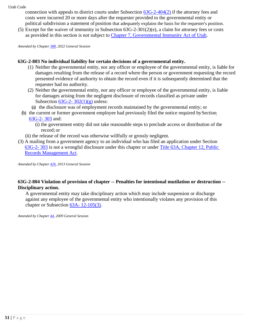connection with appeals to district courts under Subsection 63G-2-404(2) if the attorney fees and costs were incurred 20 or more days after the requester provided to the governmental entity or political subdivision a statement of position that adequately explains the basis for the requester's position.

(5) Except for the waiver of immunity in Subsection 63G-2-301(2)(e), a claim for attorney fees or costs as provided in this section is not subject to Chapter 7, Governmental Immunity Act of Utah.

*Amended by Chapter 388, 2022 General Session*

#### **63G-2-803 No individual liability for certain decisions of a governmental entity.**

- (1) Neither the governmental entity, nor any officer or employee of the governmental entity, is liable for damages resulting from the release of a record where the person or government requesting the record presented evidence of authority to obtain the record even if it is subsequently determined that the requester had no authority.
- (2) Neither the governmental entity, nor any officer or employee of the governmental entity, is liable for damages arising from the negligent disclosure of records classified as private under Subsection  $63G-2-302(1)(g)$  unless:
	- (a) the disclosure was of employment records maintained by the governmental entity; or
- (b) the current or former government employee had previously filed the notice required bySection 63G-2- 303 and:
	- (i) the government entity did not take reasonable steps to preclude access or distribution of the record; or
	- (ii) the release of the record was otherwise willfully or grossly negligent.
- (3) A mailing from a government agency to an individual who has filed an application under Section 63G-2- 303 is not a wrongful disclosure under this chapter or under Title 63A, Chapter 12, Public Records Management Act.

*Amended by Chapter 426, 2013 General Session*

# **63G-2-804 Violation of provision of chapter -- Penalties for intentional mutilation or destruction -- Disciplinary action.**

A governmental entity may take disciplinary action which may include suspension or discharge against any employee of the governmental entity who intentionally violates any provision of this chapter or Subsection 63A- 12-105(3).

*Amended by Chapter 44, 2009 General Session*